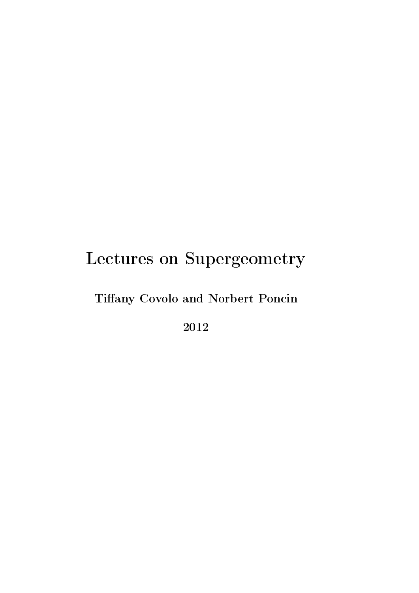# Tiffany Covolo and Norbert Poncin

2012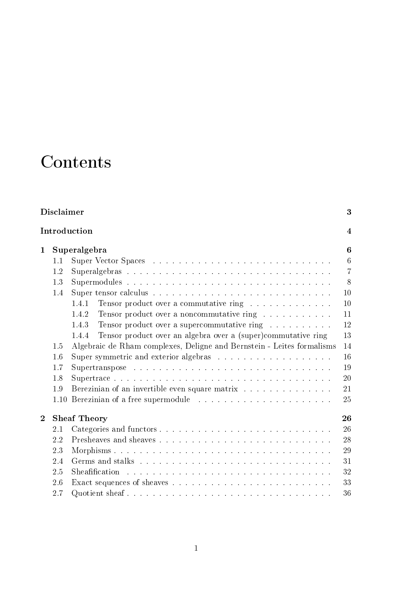# Contents

|                | <b>Disclaimer</b>         |                                                                        |                |  |  |  |  |
|----------------|---------------------------|------------------------------------------------------------------------|----------------|--|--|--|--|
|                | Introduction              |                                                                        |                |  |  |  |  |
| $\mathbf 1$    | Superalgebra              |                                                                        |                |  |  |  |  |
|                | 1.1                       |                                                                        | 6              |  |  |  |  |
|                | 1.2                       |                                                                        | $\overline{7}$ |  |  |  |  |
|                | 1.3                       |                                                                        | 8              |  |  |  |  |
|                | 1.4                       |                                                                        | 10             |  |  |  |  |
|                |                           | Tensor product over a commutative ring<br>1.4.1                        | 10             |  |  |  |  |
|                |                           | Tensor product over a noncommutative ring<br>1.4.2                     | 11             |  |  |  |  |
|                |                           | Tensor product over a supercommutative ring<br>1.4.3                   | 12             |  |  |  |  |
|                |                           | Tensor product over an algebra over a (super)commutative ring<br>1.4.4 | 13             |  |  |  |  |
|                | 1.5                       | Algebraic de Rham complexes, Deligne and Bernstein - Leites formalisms |                |  |  |  |  |
|                | 1.6                       |                                                                        | 16             |  |  |  |  |
|                | 1.7                       |                                                                        | 19             |  |  |  |  |
|                | 1.8                       |                                                                        | 20             |  |  |  |  |
|                | 1.9                       | Berezinian of an invertible even square matrix                         | 21             |  |  |  |  |
|                | 1.10                      | 25<br>Berezinian of a free supermodule                                 |                |  |  |  |  |
| $\overline{2}$ | 26<br><b>Sheaf Theory</b> |                                                                        |                |  |  |  |  |
|                | 2.1                       |                                                                        | 26             |  |  |  |  |
|                | 2.2                       |                                                                        | 28             |  |  |  |  |
|                | 2.3                       |                                                                        | 29             |  |  |  |  |
|                | 2.4                       |                                                                        | 31             |  |  |  |  |
|                | 2.5                       |                                                                        | 32             |  |  |  |  |
|                | 2.6                       |                                                                        | 33             |  |  |  |  |
|                | 2.7                       |                                                                        | 36             |  |  |  |  |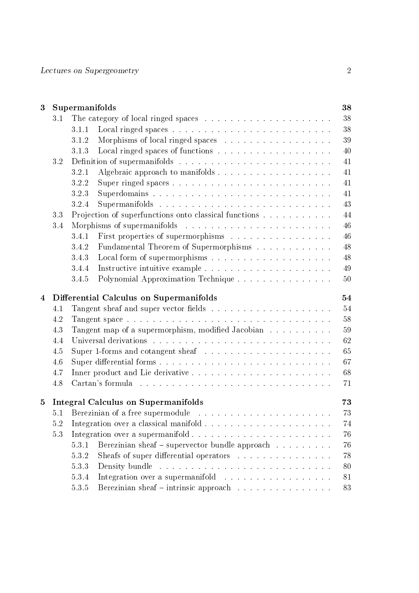| 3              | Supermanifolds                                   |                                                             |                                                                                                      |    |  |  |  |  |
|----------------|--------------------------------------------------|-------------------------------------------------------------|------------------------------------------------------------------------------------------------------|----|--|--|--|--|
|                | 3.1                                              |                                                             |                                                                                                      | 38 |  |  |  |  |
|                |                                                  | 3.1.1                                                       |                                                                                                      | 38 |  |  |  |  |
|                |                                                  | 3.1.2                                                       | Morphisms of local ringed spaces $\ldots \ldots \ldots \ldots \ldots \ldots$                         | 39 |  |  |  |  |
|                |                                                  | 3.1.3                                                       |                                                                                                      | 40 |  |  |  |  |
|                | 3.2                                              |                                                             | Definition of supermanifolds $\ldots \ldots \ldots \ldots \ldots \ldots \ldots \ldots \ldots \ldots$ | 41 |  |  |  |  |
|                |                                                  | 3.2.1                                                       |                                                                                                      | 41 |  |  |  |  |
|                |                                                  | 3.2.2                                                       |                                                                                                      | 41 |  |  |  |  |
|                |                                                  | 3.2.3                                                       |                                                                                                      | 41 |  |  |  |  |
|                |                                                  | 3.2.4                                                       |                                                                                                      | 43 |  |  |  |  |
|                | 3.3                                              | 44<br>Projection of superfunctions onto classical functions |                                                                                                      |    |  |  |  |  |
|                | $3.4\,$                                          |                                                             | Morphisms of supermanifolds                                                                          | 46 |  |  |  |  |
|                |                                                  | 3.4.1                                                       | First properties of supermorphisms                                                                   | 46 |  |  |  |  |
|                |                                                  | 3.4.2                                                       | Fundamental Theorem of Supermorphisms                                                                | 48 |  |  |  |  |
|                |                                                  | 3.4.3                                                       |                                                                                                      | 48 |  |  |  |  |
|                |                                                  | 3.4.4                                                       |                                                                                                      | 49 |  |  |  |  |
|                |                                                  | 3.4.5                                                       |                                                                                                      | 50 |  |  |  |  |
| $\overline{4}$ | Differential Calculus on Supermanifolds<br>54    |                                                             |                                                                                                      |    |  |  |  |  |
|                | 4.1                                              |                                                             |                                                                                                      | 54 |  |  |  |  |
|                | 4.2                                              |                                                             |                                                                                                      | 58 |  |  |  |  |
|                | 4.3                                              |                                                             | Tangent map of a supermorphism, modified Jacobian                                                    | 59 |  |  |  |  |
|                | 4.4                                              |                                                             |                                                                                                      | 62 |  |  |  |  |
|                | 4.5                                              |                                                             | Super 1-forms and cotangent sheaf $\ldots \ldots \ldots \ldots \ldots \ldots \ldots$                 | 65 |  |  |  |  |
|                | 4.6                                              |                                                             |                                                                                                      | 67 |  |  |  |  |
|                | 4.7                                              |                                                             |                                                                                                      | 68 |  |  |  |  |
|                | 4.8                                              |                                                             |                                                                                                      | 71 |  |  |  |  |
| 5              | 73<br><b>Integral Calculus on Supermanifolds</b> |                                                             |                                                                                                      |    |  |  |  |  |
|                |                                                  |                                                             | 5.1 Berezinian of a free supermodule                                                                 | 73 |  |  |  |  |
|                | 5.2                                              |                                                             |                                                                                                      | 74 |  |  |  |  |
|                | 5.3                                              |                                                             |                                                                                                      | 76 |  |  |  |  |
|                |                                                  | 5.3.1                                                       | Berezinian sheaf – supervector bundle approach                                                       | 76 |  |  |  |  |
|                |                                                  | 5.3.2                                                       | Sheafs of super differential operators                                                               | 78 |  |  |  |  |
|                |                                                  | 5.3.3                                                       |                                                                                                      | 80 |  |  |  |  |
|                |                                                  | 5.3.4                                                       | Integration over a supermanifold                                                                     | 81 |  |  |  |  |
|                |                                                  |                                                             |                                                                                                      |    |  |  |  |  |
|                |                                                  | 5.3.5                                                       | Berezinian sheaf – intrinsic approach $\ldots \ldots \ldots \ldots \ldots$                           | 83 |  |  |  |  |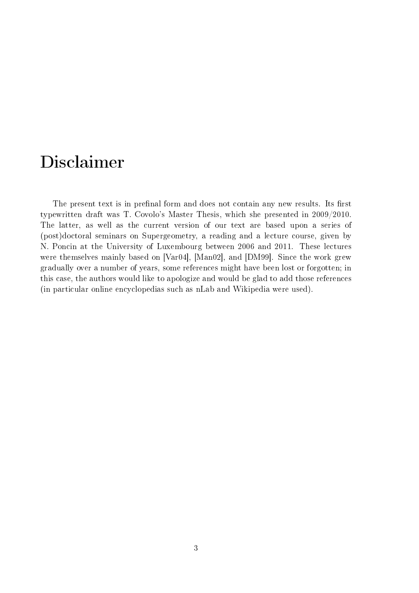# Disclaimer

The present text is in prefinal form and does not contain any new results. Its first typewritten draft was T. Covolo's Master Thesis, which she presented in 2009/2010. The latter, as well as the current version of our text are based upon a series of (post)doctoral seminars on Supergeometry, a reading and a lecture course, given by N. Poncin at the University of Luxembourg between 2006 and 2011. These lectures were themselves mainly based on [Var04], [Man02], and [DM99]. Since the work grew gradually over a number of years, some references might have been lost or forgotten; in this case, the authors would like to apologize and would be glad to add those references (in particular online encyclopedias such as nLab and Wikipedia were used).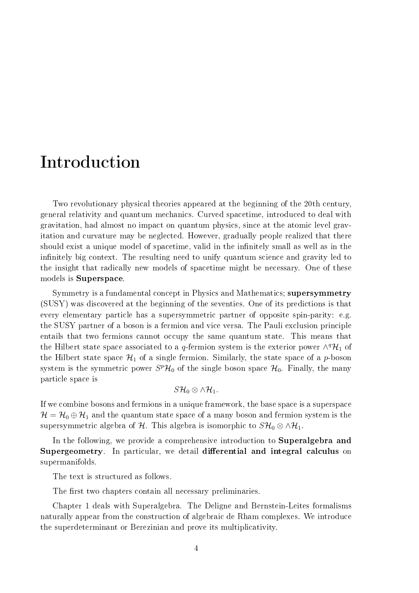# Introduction

Two revolutionary physical theories appeared at the beginning of the 20th century, general relativity and quantum mechanics. Curved spacetime, introduced to deal with gravitation, had almost no impact on quantum physics, since at the atomic level gravitation and curvature may be neglected. However, gradually people realized that there should exist a unique model of spacetime, valid in the infinitely small as well as in the infinitely big context. The resulting need to unify quantum science and gravity led to the insight that radically new models of spacetime might be necessary. One of these models is Superspace.

Symmetry is a fundamental concept in Physics and Mathematics; supersymmetry (SUSY) was discovered at the beginning of the seventies. One of its predictions is that every elementary particle has a supersymmetric partner of opposite spin-parity: e.g. the SUSY partner of a boson is a fermion and vice versa. The Pauli exclusion principle entails that two fermions cannot occupy the same quantum state. This means that the Hilbert state space associated to a q-fermion system is the exterior power  $\wedge^q \mathcal{H}_1$  of the Hilbert state space  $\mathcal{H}_1$  of a single fermion. Similarly, the state space of a p-boson system is the symmetric power  $S^p\mathcal{H}_0$  of the single boson space  $\mathcal{H}_0$ . Finally, the many particle space is

$$
S\mathcal{H}_0\otimes\wedge\mathcal{H}_1.
$$

If we combine bosons and fermions in a unique framework, the base space is a superspace  $\mathcal{H} = \mathcal{H}_0 \oplus \mathcal{H}_1$  and the quantum state space of a many boson and fermion system is the supersymmetric algebra of H. This algebra is isomorphic to  $S\mathcal{H}_{0}\otimes\wedge\mathcal{H}_{1}$ .

In the following, we provide a comprehensive introduction to **Superalgebra and** Supergeometry. In particular, we detail differential and integral calculus on supermanifolds.

The text is structured as follows.

The first two chapters contain all necessary preliminaries.

Chapter 1 deals with Superalgebra. The Deligne and Bernstein-Leites formalisms naturally appear from the construction of algebraic de Rham complexes. We introduce the superdeterminant or Berezinian and prove its multiplicativity.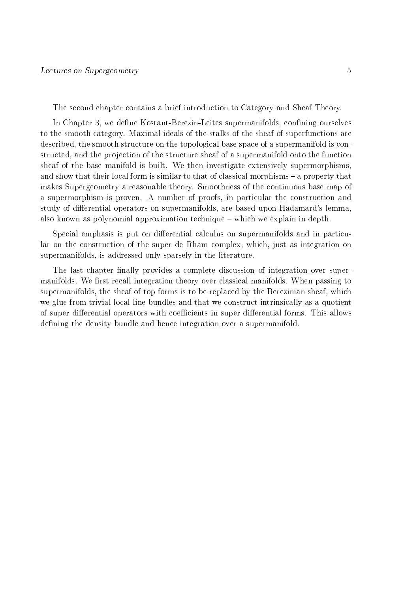The second chapter contains a brief introduction to Category and Sheaf Theory.

In Chapter 3, we define Kostant-Berezin-Leites supermanifolds, confining ourselves to the smooth category. Maximal ideals of the stalks of the sheaf of superfunctions are described, the smooth structure on the topological base space of a supermanifold is constructed, and the projection of the structure sheaf of a supermanifold onto the function sheaf of the base manifold is built. We then investigate extensively supermorphisms, and show that their local form is similar to that of classical morphisms  $-$  a property that makes Supergeometry a reasonable theory. Smoothness of the continuous base map of a supermorphism is proven. A number of proofs, in particular the construction and study of differential operators on supermanifolds, are based upon Hadamard's lemma, also known as polynomial approximation technique which we explain in depth.

Special emphasis is put on differential calculus on supermanifolds and in particular on the construction of the super de Rham complex, which, just as integration on supermanifolds, is addressed only sparsely in the literature.

The last chapter finally provides a complete discussion of integration over supermanifolds. We first recall integration theory over classical manifolds. When passing to supermanifolds, the sheaf of top forms is to be replaced by the Berezinian sheaf, which we glue from trivial local line bundles and that we construct intrinsically as a quotient of super differential operators with coefficients in super differential forms. This allows defining the density bundle and hence integration over a supermanifold.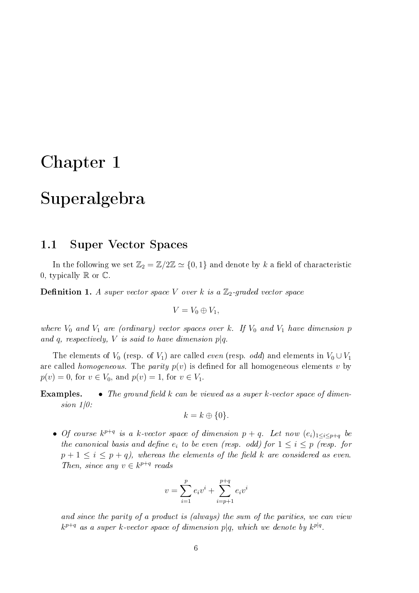# Chapter 1

# Superalgebra

## 1.1 Super Vector Spaces

In the following we set  $\mathbb{Z}_2 = \mathbb{Z}/2\mathbb{Z} \simeq \{0,1\}$  and denote by k a field of characteristic 0, typically  $\mathbb R$  or  $\mathbb C$ .

**Definition 1.** A super vector space V over k is a  $\mathbb{Z}_2$ -graded vector space

$$
V=V_0\oplus V_1,
$$

where  $V_0$  and  $V_1$  are (ordinary) vector spaces over k. If  $V_0$  and  $V_1$  have dimension p and q, respectively, V is said to have dimension  $p|q$ .

The elements of  $V_0$  (resp. of  $V_1$ ) are called *even* (resp. *odd*) and elements in  $V_0 \cup V_1$ are called *homogeneous*. The *parity*  $p(v)$  is defined for all homogeneous elements v by  $p(v) = 0$ , for  $v \in V_0$ , and  $p(v) = 1$ , for  $v \in V_1$ .

**Examples.** • The ground field k can be viewed as a super k-vector space of dimension  $1/0$ :

$$
k = k \oplus \{0\}.
$$

• Of course  $k^{p+q}$  is a k-vector space of dimension  $p+q$ . Let now  $(e_i)_{1\leq i\leq p+q}$  be the canonical basis and define  $e_i$  to be even (resp. odd) for  $1 \leq i \leq p$  (resp. for  $p + 1 \leq i \leq p + q$ , whereas the elements of the field k are considered as even. Then, since any  $v \in k^{p+q}$  reads

$$
v = \sum_{i=1}^{p} e_i v^i + \sum_{i=p+1}^{p+q} e_i v^i
$$

and since the parity of a product is (always) the sum of the parities, we can view  $k^{p+q}$  as a super k-vector space of dimension  $p|q$ , which we denote by  $k^{p|q}$ .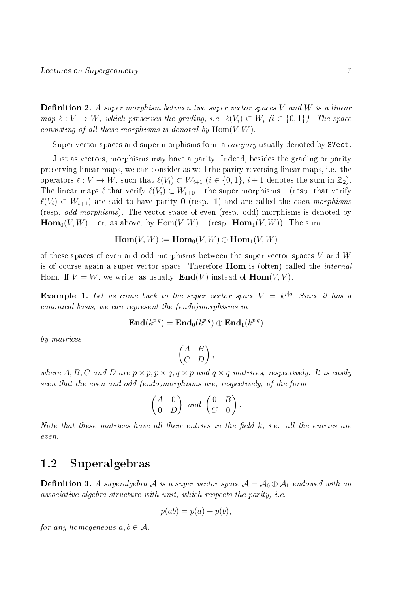**Definition 2.** A super morphism between two super vector spaces V and W is a linear map  $\ell : V \to W$ , which preserves the grading, i.e.  $\ell(V_i) \subset W_i$  (i  $\in \{0, 1\}$ ). The space consisting of all these morphisms is denoted by  $\text{Hom}(V, W)$ .

Super vector spaces and super morphisms form a *category* usually denoted by SVect.

Just as vectors, morphisms may have a parity. Indeed, besides the grading or parity preserving linear maps, we can consider as well the parity reversing linear maps, i.e. the operators  $\ell : V \to W$ , such that  $\ell(V_i) \subset W_{i+1}$   $(i \in \{0, 1\}, i+1$  denotes the sum in  $\mathbb{Z}_2$ ). The linear maps  $\ell$  that verify  $\ell(V_i) \subset W_{i+0}$  – the super morphisms – (resp. that verify  $\ell(V_i) \subset W_{i+1}$  are said to have parity 0 (resp. 1) and are called the *even morphisms* (resp. odd morphisms). The vector space of even (resp. odd) morphisms is denoted by  $\text{Hom}_{0}(V, W)$  – or, as above, by  $\text{Hom}(V, W)$  – (resp.  $\text{Hom}_{1}(V, W)$ ). The sum

$$
\operatorname{Hom}(V,W):=\operatorname{Hom}_0(V,W)\oplus \operatorname{Hom}_1(V,W)
$$

of these spaces of even and odd morphisms between the super vector spaces  $V$  and  $W$ is of course again a super vector space. Therefore Hom is (often) called the internal Hom. If  $V = W$ , we write, as usually,  $\text{End}(V)$  instead of  $\text{Hom}(V, V)$ .

**Example 1.** Let us come back to the super vector space  $V = k^{p|q}$ . Since it has a canonical basis, we can represent the (endo)morphisms in

$$
\mathbf{End}(k^{p|q})=\mathbf{End}_{0}(k^{p|q})\oplus \mathbf{End}_{1}(k^{p|q})
$$

by matrices

$$
\begin{pmatrix} A & B \\ C & D \end{pmatrix},
$$

where A, B, C and D are  $p \times p$ ,  $p \times q$ ,  $q \times p$  and  $q \times q$  matrices, respectively. It is easily seen that the even and odd (endo)morphisms are, respectively, of the form

$$
\begin{pmatrix} A & 0 \\ 0 & D \end{pmatrix} and \begin{pmatrix} 0 & B \\ C & 0 \end{pmatrix}.
$$

Note that these matrices have all their entries in the field  $k$ , i.e. all the entries are even.

# 1.2 Superalgebras

**Definition 3.** A superalgebra A is a super vector space  $A = A_0 \oplus A_1$  endowed with an associative algebra structure with unit, which respects the parity, i.e.

$$
p(ab) = p(a) + p(b),
$$

for any homogeneous  $a, b \in \mathcal{A}$ .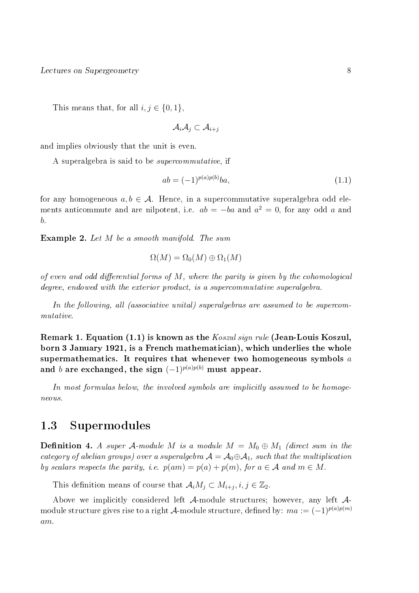This means that, for all  $i, j \in \{0, 1\},\$ 

$$
\mathcal{A}_i\mathcal{A}_j\subset \mathcal{A}_{i+j}
$$

and implies obviously that the unit is even.

A superalgebra is said to be supercommutative, if

$$
ab = (-1)^{p(a)p(b)}ba,\t\t(1.1)
$$

for any homogeneous  $a, b \in \mathcal{A}$ . Hence, in a supercommutative superalgebra odd elements anticommute and are nilpotent, i.e.  $ab = -ba$  and  $a^2 = 0$ , for any odd a and b.

Example 2. Let M be a smooth manifold. The sum

$$
\Omega(M) = \Omega_0(M) \oplus \Omega_1(M)
$$

of even and odd differential forms of  $M$ , where the parity is given by the cohomological degree, endowed with the exterior product, is a supercommutative superalgebra.

In the following, all (associative unital) superalgebras are assumed to be supercommutative.

Remark 1. Equation (1.1) is known as the Koszul sign rule (Jean-Louis Koszul, born 3 January 1921, is a French mathematician), which underlies the whole supermathematics. It requires that whenever two homogeneous symbols  $a$ and b are exchanged, the sign  $(-1)^{p(a)p(b)}$  must appear.

In most formulas below, the involved symbols are implicitly assumed to be homogeneous.

## 1.3 Supermodules

**Definition 4.** A super A-module M is a module  $M = M_0 \oplus M_1$  (direct sum in the category of abelian groups) over a superalgebra  $\mathcal{A} = \mathcal{A}_0 \oplus \mathcal{A}_1$ , such that the multiplication by scalars respects the parity, i.e.  $p(am) = p(a) + p(m)$ , for  $a \in \mathcal{A}$  and  $m \in M$ .

This definition means of course that  $\mathcal{A}_i M_j \subset M_{i+j}, i, j \in \mathbb{Z}_2$ .

Above we implicitly considered left A-module structures; however, any left Amodule structure gives rise to a right A-module structure, defined by:  $ma := (-1)^{p(a)p(m)}$ am.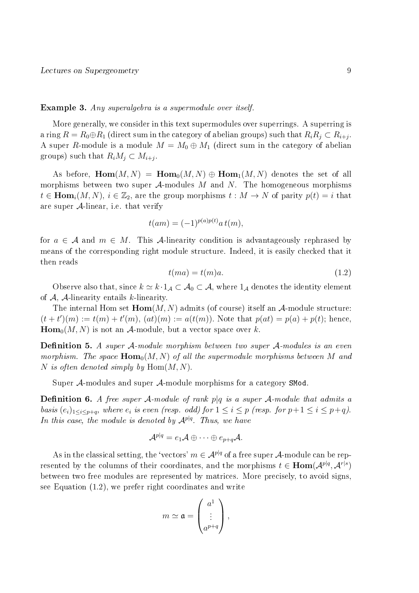#### Example 3. Any superalgebra is a supermodule over itself.

More generally, we consider in this text supermodules over superrings. A superring is a ring  $R=R_0{\oplus}R_1$  (direct sum in the category of abelian groups) such that  $R_iR_j\subset R_{i+j}.$ A super R-module is a module  $M = M_0 \oplus M_1$  (direct sum in the category of abelian groups) such that  $R_iM_j \subset M_{i+j}$ .

As before,  $\text{Hom}(M, N) = \text{Hom}_{0}(M, N) \oplus \text{Hom}_{1}(M, N)$  denotes the set of all morphisms between two super  $A$ -modules M and N. The homogeneous morphisms  $t \in \text{Hom}_{i}(M, N), i \in \mathbb{Z}_{2}$ , are the group morphisms  $t : M \to N$  of parity  $p(t) = i$  that are super  $A$ -linear, i.e. that verify

$$
t(am) = (-1)^{p(a)p(t)} a t(m),
$$

for  $a \in \mathcal{A}$  and  $m \in M$ . This A-linearity condition is advantageously rephrased by means of the corresponding right module structure. Indeed, it is easily checked that it then reads

$$
t(ma) = t(m)a.
$$
\n<sup>(1.2)</sup>

Observe also that, since  $k \simeq k \cdot 1_{\mathcal{A}} \subset \mathcal{A}_0 \subset \mathcal{A}$ , where  $1_{\mathcal{A}}$  denotes the identity element of  $A$ ,  $A$ -linearity entails k-linearity.

The internal Hom set  $\text{Hom}(M, N)$  admits (of course) itself an  $\mathcal{A}$ -module structure:  $(t + t')(m) := t(m) + t'(m)$ ,  $(at)(m) := a(t(m))$ . Note that  $p(at) = p(a) + p(t)$ ; hence,  $\text{Hom}_{0}(M, N)$  is not an A-module, but a vector space over k.

**Definition 5.** A super A-module morphism between two super A-modules is an even morphism. The space  $\text{Hom}_{0}(M, N)$  of all the supermodule morphisms between M and N is often denoted simply by  $\text{Hom}(M, N)$ .

Super A-modules and super A-module morphisms for a category SMod.

**Definition 6.** A free super A-module of rank p|q is a super A-module that admits a basis  $(e_i)_{1 \leq i \leq p+q}$ , where  $e_i$  is even (resp. odd) for  $1 \leq i \leq p$  (resp. for  $p+1 \leq i \leq p+q$ ). In this case, the module is denoted by  $\mathcal{A}^{p|q}$ . Thus, we have

$$
\mathcal{A}^{p|q}=e_1\mathcal{A}\oplus\cdots\oplus e_{p+q}\mathcal{A}.
$$

As in the classical setting, the 'vectors'  $m \in \mathcal{A}^{p|q}$  of a free super  $\mathcal{A}$ -module can be represented by the columns of their coordinates, and the morphisms  $t \in \text{Hom}(\mathcal{A}^{p|q}, \mathcal{A}^{r|s})$ between two free modules are represented by matrices. More precisely, to avoid signs, see Equation (1.2), we prefer right coordinates and write

$$
m \simeq \mathfrak{a} = \begin{pmatrix} a^1 \\ \vdots \\ a^{p+q} \end{pmatrix},
$$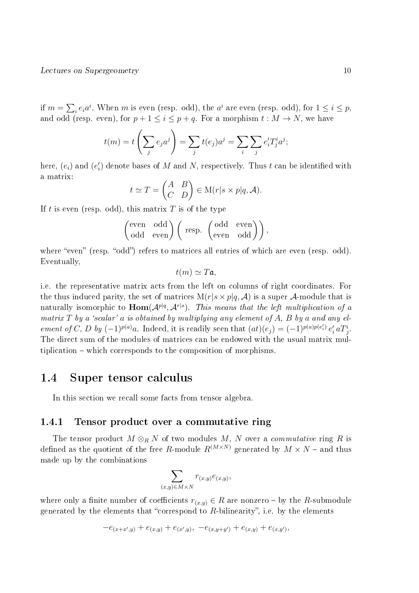if  $m = \sum_i e_i a^i$ . When m is even (resp. odd), the  $a^i$  are even (resp. odd), for  $1 \leq i \leq p$ , and odd (resp. even), for  $p + 1 \leq i \leq p + q$ . For a morphism  $t : M \to N$ , we have

$$
t(m) = t\left(\sum_j e_j a^j\right) = \sum_j t(e_j) a^j = \sum_i \sum_j e'_i T^i_j a^j;
$$

here,  $(e_i)$  and  $(e'_i)$  denote bases of  $M$  and  $N$ , respectively. Thus  $t$  can be identified with a matrix:

$$
t \simeq T = \begin{pmatrix} A & B \\ C & D \end{pmatrix} \in M(r|s \times p|q, \mathcal{A}).
$$

If t is even (resp. odd), this matrix  $T$  is of the type

$$
\begin{pmatrix} \text{even} & \text{odd} \\ \text{odd} & \text{even} \end{pmatrix} \begin{pmatrix} \text{resp.} & \begin{pmatrix} \text{odd} & \text{even} \\ \text{even} & \text{odd} \end{pmatrix} \end{pmatrix},
$$

where "even" (resp. "odd") refers to matrices all entries of which are even (resp. odd). Eventually,

$$
t(m) \simeq T\mathfrak{a},
$$

i.e. the representative matrix acts from the left on columns of right coordinates. For the thus induced parity, the set of matrices  $M(r|s \times p|q, A)$  is a super A-module that is naturally isomorphic to  $\text{Hom}(\mathcal{A}^{p|q},\mathcal{A}^{r|s})$ . This means that the left multiplication of a matrix  $T$  by a 'scalar' a is obtained by multiplying any element of  $A$ ,  $B$  by a and any element of C, D by  $(-1)^{p(a)}a$ . Indeed, it is readily seen that  $(at)(e_j) = (-1)^{p(a)p(e'_i)} e'_i a T^i_j$ . The direct sum of the modules of matrices can be endowed with the usual matrix multiplication which corresponds to the composition of morphisms.

## 1.4 Super tensor calculus

In this section we recall some facts from tensor algebra.

### 1.4.1 Tensor product over a commutative ring

The tensor product  $M \otimes_R N$  of two modules M, N over a *commutative* ring R is defined as the quotient of the free R-module  $R^{(M\times N)}$  generated by  $M\times N$  – and thus made up by the combinations

$$
\sum_{(x,y)\in M\times N} r_{(x,y)}e_{(x,y)},
$$

where only a finite number of coefficients  $r_{(x,y)} \in R$  are nonzero – by the R-submodule generated by the elements that "correspond to  $R$ -bilinearity", i.e. by the elements

$$
-e_{(x+x',y)} + e_{(x,y)} + e_{(x',y)}, -e_{(x,y+y')} + e_{(x,y)} + e_{(x,y')},
$$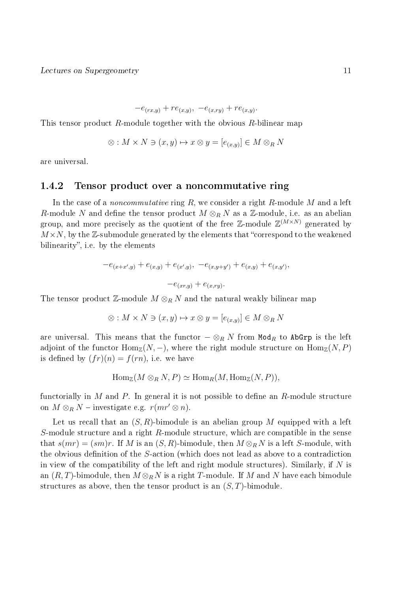$$
-e_{(rx,y)} + re_{(x,y)}, -e_{(x,ry)} + re_{(x,y)}.
$$

This tensor product R-module together with the obvious  $R$ -bilinear map

$$
\otimes: M \times N \ni (x, y) \mapsto x \otimes y = [e_{(x, y)}] \in M \otimes_R N
$$

are universal.

#### 1.4.2 Tensor product over a noncommutative ring

In the case of a *noncommutative* ring  $R$ , we consider a right  $R$ -module M and a left R-module N and define the tensor product  $M \otimes_R N$  as a Z-module, i.e. as an abelian group, and more precisely as the quotient of the free Z-module  $\mathbb{Z}^{(M\times N)}$  generated by  $M \times N$ , by the Z-submodule generated by the elements that "correspond to the weakened" bilinearity", i.e. by the elements

$$
-e_{(x+x',y)} + e_{(x,y)} + e_{(x',y)}, -e_{(x,y+y')} + e_{(x,y)} + e_{(x,y')},
$$

$$
-e_{(x,y)} + e_{(x,ry)}.
$$

The tensor product Z-module  $M \otimes_R N$  and the natural weakly bilinear map

$$
\otimes: M \times N \ni (x, y) \mapsto x \otimes y = [e_{(x, y)}] \in M \otimes_R N
$$

are universal. This means that the functor  $-\otimes_R N$  from Mod<sub>R</sub> to AbGrp is the left adjoint of the functor  $\text{Hom}_{\mathbb{Z}}(N,-)$ , where the right module structure on  $\text{Hom}_{\mathbb{Z}}(N,P)$ is defined by  $(fr)(n) = f(rn)$ , i.e. we have

$$
\operatorname{Hom}_{\mathbb{Z}}(M \otimes_R N, P) \simeq \operatorname{Hom}_R(M, \operatorname{Hom}_{\mathbb{Z}}(N, P)),
$$

functorially in M and P. In general it is not possible to define an  $R$ -module structure on  $M \otimes_R N$  – investigate e.g.  $r(mr' \otimes n)$ .

Let us recall that an  $(S, R)$ -bimodule is an abelian group M equipped with a left S-module structure and a right R-module structure, which are compatible in the sense that  $s(mr) = (sm)r$ . If M is an  $(S, R)$ -bimodule, then  $M \otimes_R N$  is a left S-module, with the obvious definition of the  $S$ -action (which does not lead as above to a contradiction in view of the compatibility of the left and right module structures). Similarly, if  $N$  is an  $(R, T)$ -bimodule, then  $M \otimes_R N$  is a right T-module. If M and N have each bimodule structures as above, then the tensor product is an  $(S, T)$ -bimodule.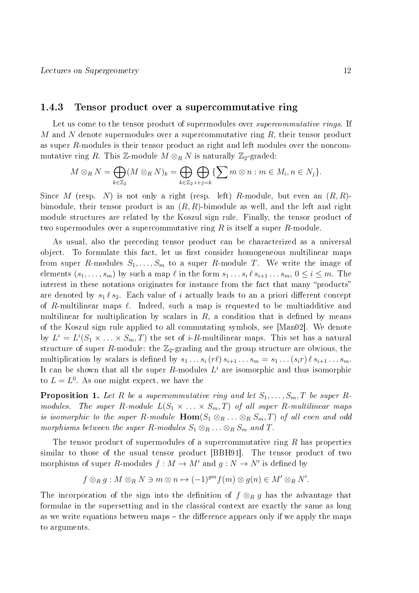#### 1.4.3 Tensor product over a supercommutative ring

Let us come to the tensor product of supermodules over *supercommutative rings*. If M and N denote supermodules over a supercommutative ring  $R$ , their tensor product as super R-modules is their tensor product as right and left modules over the noncommutative ring R. This Z-module  $M\otimes_R N$  is naturally Z<sub>2</sub>-graded:

$$
M \otimes_R N = \bigoplus_{k \in \mathbb{Z}_2} (M \otimes_R N)_k = \bigoplus_{k \in \mathbb{Z}_2} \bigoplus_{i+j=k} \{ \sum m \otimes n : m \in M_i, n \in N_j \}.
$$

Since M (resp. N) is not only a right (resp. left) R-module, but even an  $(R, R)$ bimodule, their tensor product is an  $(R, R)$ -bimodule as well, and the left and right module structures are related by the Koszul sign rule. Finally, the tensor product of two supermodules over a supercommutative ring  $R$  is itself a super  $R$ -module.

As usual, also the preceding tensor product can be characterized as a universal object. To formulate this fact, let us first consider homogeneous multilinear maps from super R-modules  $S_1, \ldots, S_m$  to a super R-module T. We write the image of elements  $(s_1, \ldots, s_m)$  by such a map  $\ell$  in the form  $s_1 \ldots s_i \ell s_{i+1} \ldots s_m$ ,  $0 \le i \le m$ . The interest in these notations originates for instance from the fact that many "products" are denoted by  $s_1 \ell s_2$ . Each value of i actually leads to an a priori different concept of R-multilinear maps  $\ell$ . Indeed, such a map is requested to be multiadditive and multilinear for multiplication by scalars in  $R$ , a condition that is defined by means of the Koszul sign rule applied to all commutating symbols, see [Man02]. We denote by  $L^i = L^i(S_1 \times \ldots \times S_m, T)$  the set of *i-R*-multilinear maps. This set has a natural structure of super R-module: the  $\mathbb{Z}_2$ -grading and the group structure are obvious, the multiplication by scalars is defined by  $s_1 \ldots s_i (r\ell) s_{i+1} \ldots s_m = s_1 \ldots (s_i r) \ell s_{i+1} \ldots s_m$ . It can be shown that all the super R-modules  $L^i$  are isomorphic and thus isomorphic to  $L = L^0$ . As one might expect, we have the

**Proposition 1.** Let R be a supercommutative ring and let  $S_1, \ldots, S_m, T$  be super Rmodules. The super R-module  $L(S_1 \times \ldots \times S_m, T)$  of all super R-multilinear maps is isomorphic to the super R-module  $\text{Hom}(S_1 \otimes_R \ldots \otimes_R S_m, T)$  of all even and odd morphisms between the super R-modules  $S_1 \otimes_R \ldots \otimes_R S_m$  and T.

The tensor product of supermodules of a supercommutative ring  $R$  has properties similar to those of the usual tensor product [BBH91]. The tensor product of two morphisms of super R-modules  $f : M \to M'$  and  $g : N \to N'$  is defined by

$$
f \otimes_R g: M \otimes_R N \ni m \otimes n \mapsto (-1)^{gm} f(m) \otimes g(n) \in M' \otimes_R N'.
$$

The incorporation of the sign into the definition of  $f \otimes_R g$  has the advantage that formulae in the supersetting and in the classical context are exactly the same as long as we write equations between maps  $-$  the difference appears only if we apply the maps to arguments.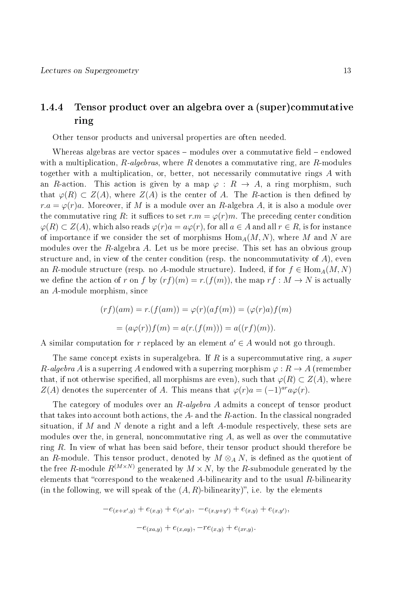## 1.4.4 Tensor product over an algebra over a (super)commutative ring

Other tensor products and universal properties are often needed.

Whereas algebras are vector spaces  $-$  modules over a commutative field  $-$  endowed with a multiplication,  $R$ -algebras, where R denotes a commutative ring, are R-modules together with a multiplication, or, better, not necessarily commutative rings A with an R-action. This action is given by a map  $\varphi: R \to A$ , a ring morphism, such that  $\varphi(R) \subset Z(A)$ , where  $Z(A)$  is the center of A. The R-action is then defined by  $r.a = \varphi(r)a$ . Moreover, if M is a module over an R-algebra A, it is also a module over the commutative ring R: it suffices to set  $r.m = \varphi(r)m$ . The preceding center condition  $\varphi(R) \subset Z(A)$ , which also reads  $\varphi(r)a = a\varphi(r)$ , for all  $a \in A$  and all  $r \in R$ , is for instance of importance if we consider the set of morphisms  $\text{Hom}_{A}(M, N)$ , where M and N are modules over the  $R$ -algebra  $A$ . Let us be more precise. This set has an obvious group structure and, in view of the center condition (resp. the noncommutativity of  $A$ ), even an R-module structure (resp. no A-module structure). Indeed, if for  $f \in \text{Hom}_A(M, N)$ we define the action of r on f by  $(r f)(m) = r(f(m))$ , the map  $r f : M \to N$  is actually an A-module morphism, since

$$
(rf)(am) = r.(f(am)) = \varphi(r)(af(m)) = (\varphi(r)a)f(m)
$$

$$
= (a\varphi(r))f(m) = a(r.(f(m))) = a((rf)(m)).
$$

A similar computation for r replaced by an element  $a' \in A$  would not go through.

The same concept exists in superalgebra. If R is a supercommutative ring, a super R-algebra A is a superring A endowed with a superring morphism  $\varphi: R \to A$  (remember that, if not otherwise specified, all morphisms are even), such that  $\varphi(R) \subset Z(A)$ , where  $Z(A)$  denotes the supercenter of A. This means that  $\varphi(r)a = (-1)^{ar}a\varphi(r)$ .

The category of modules over an R-algebra A admits a concept of tensor product that takes into account both actions, the  $A$ - and the  $R$ -action. In the classical nongraded situation, if M and N denote a right and a left A-module respectively, these sets are modules over the, in general, noncommutative ring  $A$ , as well as over the commutative ring  $R$ . In view of what has been said before, their tensor product should therefore be an R-module. This tensor product, denoted by  $M \otimes_A N$ , is defined as the quotient of the free R-module  $R^{(M\times N)}$  generated by  $M\times N$ , by the R-submodule generated by the elements that "correspond to the weakened A-bilinearity and to the usual  $R$ -bilinearity (in the following, we will speak of the  $(A, R)$ -bilinearity)", i.e. by the elements

$$
-e_{(x+x',y)} + e_{(x,y)} + e_{(x',y)}, -e_{(x,y+y')} + e_{(x,y)} + e_{(x,y')},
$$

$$
-e_{(xa,y)} + e_{(x,ay)}, -re_{(x,y)} + e_{(xr,y)}.
$$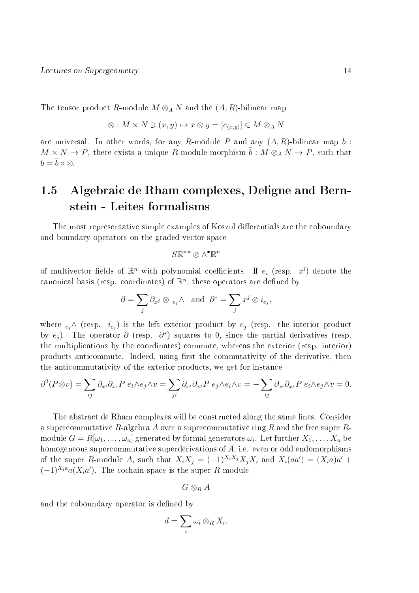The tensor product R-module  $M \otimes_A N$  and the  $(A, R)$ -bilinear map

$$
\otimes: M \times N \ni (x, y) \mapsto x \otimes y = [e_{(x, y)}] \in M \otimes_A N
$$

are universal. In other words, for any R-module P and any  $(A, R)$ -bilinear map b:  $M \times N \to P$ , there exists a unique R-module morphism  $\tilde{b} : M \otimes_A N \to P$ , such that  $b = \tilde{b} \circ \otimes$ .

# 1.5 Algebraic de Rham complexes, Deligne and Bernstein - Leites formalisms

The most representative simple examples of Koszul differentials are the coboundary and boundary operators on the graded vector space

$$
S\mathbb{R}^{n*}\otimes \wedge^\bullet \mathbb{R}^n
$$

of multivector fields of  $\mathbb{R}^n$  with polynomial coefficients. If  $e_i$  (resp.  $x^i$ ) denote the canonical basis (resp. coordinates) of  $\mathbb{R}^n$ , these operators are defined by

$$
\partial = \sum_j \partial_{x^j} \otimes \, \,_{e_j} \wedge \quad \text{and} \quad \partial^* = \sum_j x^j \otimes i_{e_j},
$$

where  $_{e_j} \wedge$  (resp.  $i_{e_j}$ ) is the left exterior product by  $e_j$  (resp. the interior product by  $e_j$ ). The operator  $\partial$  (resp.  $\partial^*$ ) squares to 0, since the partial derivatives (resp. the multiplications by the coordinates) commute, whereas the exterior (resp. interior) products anticommute. Indeed, using first the commutativity of the derivative, then the anticommutativity of the exterior products, we get for instance

$$
\partial^2 (P \otimes v) = \sum_{ij} \partial_{x^i} \partial_{x^j} P e_i \wedge e_j \wedge v = \sum_{ji} \partial_{x^i} \partial_{x^j} P e_j \wedge e_i \wedge v = -\sum_{ij} \partial_{x^i} \partial_{x^j} P e_i \wedge e_j \wedge v = 0.
$$

The abstract de Rham complexes will be constructed along the same lines. Consider a supercommutative R-algebra A over a supercommutative ring R and the free super Rmodule  $G=R[\omega_1,\ldots,\omega_n]$  generated by formal generators  $\omega_i.$  Let further  $X_1,\ldots,X_n$  be homogeneous supercommutative superderivations of  $A$ , i.e. even or odd endomorphisms of the super R-module A, such that  $X_i X_j = (-1)^{X_i X_j} X_j X_i$  and  $X_i(aa') = (X_i a)a' +$  $(-1)^{X_i a} a(X_i a')$ . The cochain space is the super R-module

$$
G\otimes_R A
$$

and the coboundary operator is defined by

$$
d=\sum_i \omega_i\otimes_R X_i.
$$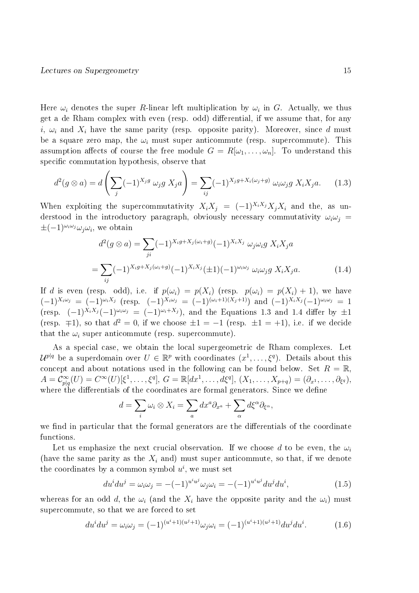Here  $\omega_i$  denotes the super R-linear left multiplication by  $\omega_i$  in G. Actually, we thus get a de Rham complex with even (resp. odd) differential, if we assume that, for any i,  $\omega_i$  and  $X_i$  have the same parity (resp. opposite parity). Moreover, since d must be a square zero map, the  $\omega_i$  must super anticommute (resp. supercommute). This assumption affects of course the free module  $G = R[\omega_1, \ldots, \omega_n]$ . To understand this specific commutation hypothesis, observe that

$$
d^2(g \otimes a) = d\left(\sum_j (-1)^{X_j g} \omega_j g X_j a\right) = \sum_{ij} (-1)^{X_j g + X_i(\omega_j + g)} \omega_i \omega_j g X_i X_j a. \tag{1.3}
$$

When exploiting the supercommutativity  $X_i X_j = (-1)^{X_i X_j} X_i X_i$  and the, as understood in the introductory paragraph, obviously necessary commutativity  $\omega_i \omega_j =$  $\pm(-1)^{\omega_i\omega_j}\omega_j\omega_i$ , we obtain

$$
d^{2}(g \otimes a) = \sum_{ji} (-1)^{X_{i}g + X_{j}(\omega_{i}+g)} (-1)^{X_{i}X_{j}} \omega_{j} \omega_{i}g X_{i}X_{j}a
$$
  
= 
$$
\sum_{ij} (-1)^{X_{i}g + X_{j}(\omega_{i}+g)} (-1)^{X_{i}X_{j}} (\pm 1)(-1)^{\omega_{i}\omega_{j}} \omega_{i}\omega_{j}g X_{i}X_{j}a.
$$
 (1.4)

If d is even (resp. odd), i.e. if  $p(\omega_i) = p(X_i)$  (resp.  $p(\omega_i) = p(X_i) + 1$ ), we have  $(-1)^{X_i\omega_j} = (-1)^{\omega_i X_j}$  (resp.  $(-1)^{\chi_i\omega_j} = (-1)^{(\omega_i+1)(X_j+1)}$ ) and  $(-1)^{X_i X_j} (-1)^{\omega_i \omega_j} = 1$ (resp.  $(-1)^{\hat{X}_i X_j} (-1)^{\omega_i \omega_j} = (-1)^{\omega_i + X_j}$ ), and the Equations 1.3 and 1.4 differ by  $\pm 1$ (resp.  $\mp 1$ ), so that  $d^2 = 0$ , if we choose  $\pm 1 = -1$  (resp.  $\pm 1 = +1$ ), i.e. if we decide that the  $\omega_i$  super anticommute (resp. supercommute).

As a special case, we obtain the local supergeometric de Rham complexes. Let  $\mathcal{U}^{p|q}$  be a superdomain over  $U \in \mathbb{R}^p$  with coordinates  $(x^1, \ldots, \xi^q)$ . Details about this concept and about notations used in the following can be found below. Set  $R = \mathbb{R}$  $A = C_{p|q}^{\infty}(U) = C^{\infty}(U)[\xi^{1}, \ldots, \xi^{q}], G = \mathbb{R}[dx^{1}, \ldots, d\xi^{q}], (X_{1}, \ldots, X_{p+q}) = (\partial_{x^{1}}, \ldots, \partial_{\xi^{q}}),$ where the differentials of the coordinates are formal generators. Since we define

$$
d = \sum_{i} \omega_i \otimes X_i = \sum_{a} dx^a \partial_{x^a} + \sum_{\alpha} d\xi^{\alpha} \partial_{\xi^{\alpha}},
$$

we find in particular that the formal generators are the differentials of the coordinate functions.

Let us emphasize the next crucial observation. If we choose d to be even, the  $\omega_i$ (have the same parity as the  $X_i$  and) must super anticommute, so that, if we denote the coordinates by a common symbol  $u^i$ , we must set

$$
du^{i}du^{j} = \omega_{i}\omega_{j} = -(-1)^{u^{i}u^{j}}\omega_{j}\omega_{i} = -(-1)^{u^{i}u^{j}}du^{j}du^{i}, \qquad (1.5)
$$

whereas for an odd d, the  $\omega_i$  (and the  $X_i$  have the opposite parity and the  $\omega_i$ ) must supercommute, so that we are forced to set

$$
du^{i}du^{j} = \omega_{i}\omega_{j} = (-1)^{(u^{i}+1)(u^{j}+1)}\omega_{j}\omega_{i} = (-1)^{(u^{i}+1)(u^{j}+1)}du^{j}du^{i}.
$$
 (1.6)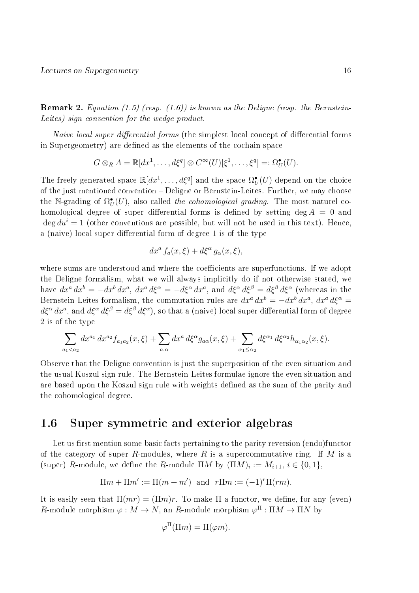**Remark 2.** Equation (1.5) (resp.  $(1.6)$ ) is known as the Deligne (resp. the Bernstein-Leites) sign convention for the wedge product.

Naive local super differential forms (the simplest local concept of differential forms in Supergeometry) are defined as the elements of the cochain space

$$
G \otimes_R A = \mathbb{R}[dx^1, \dots, d\xi^q] \otimes C^\infty(U)[\xi^1, \dots, \xi^q] =: \Omega^{\bullet}_U(U).
$$

The freely generated space  $\mathbb{R}[dx^1,\ldots,d\xi^q]$  and the space  $\Omega^\bullet_U(U)$  depend on the choice of the just mentioned convention Deligne or Bernstein-Leites. Further, we may choose the N-grading of  $\Omega^{\bullet}_U(U)$ , also called the cohomological grading. The most naturel cohomological degree of super differential forms is defined by setting deg  $A = 0$  and  $\deg du^{i} = 1$  (other conventions are possible, but will not be used in this text). Hence, a (naive) local super differential form of degree 1 is of the type

$$
dx^a f_a(x,\xi) + d\xi^\alpha g_\alpha(x,\xi),
$$

where sums are understood and where the coefficients are superfunctions. If we adopt the Deligne formalism, what we will always implicitly do if not otherwise stated, we have  $dx^a dx^b = -dx^b dx^a$ ,  $dx^a d\xi^{\alpha} = -d\xi^{\alpha} dx^a$ , and  $d\xi^{\alpha} d\xi^{\beta} = d\xi^{\beta} d\xi^{\alpha}$  (whereas in the Bernstein-Leites formalism, the commutation rules are  $dx^a dx^b = -dx^b dx^a$ ,  $dx^a d\xi^{\alpha} =$  $d\xi^\alpha\,dx^a$ , and  $d\xi^\alpha\,d\xi^\beta=d\xi^\beta\,d\xi^\alpha),$  so that a (naive) local super differential form of degree 2 is of the type

$$
\sum_{a_1 < a_2} dx^{a_1} \, dx^{a_2} f_{a_1 a_2}(x, \xi) + \sum_{a, \alpha} dx^a \, d\xi^{\alpha} g_{a\alpha}(x, \xi) + \sum_{\alpha_1 \leq \alpha_2} d\xi^{\alpha_1} \, d\xi^{\alpha_2} h_{\alpha_1 \alpha_2}(x, \xi).
$$

Observe that the Deligne convention is just the superposition of the even situation and the usual Koszul sign rule. The Bernstein-Leites formulae ignore the even situation and are based upon the Koszul sign rule with weights defined as the sum of the parity and the cohomological degree.

## 1.6 Super symmetric and exterior algebras

Let us first mention some basic facts pertaining to the parity reversion (endo)functor of the category of super R-modules, where R is a supercommutative ring. If M is a (super) R-module, we define the R-module  $\Pi M$  by  $(\Pi M)_i := M_{i+1}, i \in \{0,1\},$ 

$$
\Pi m + \Pi m' := \Pi (m + m') \text{ and } r \Pi m := (-1)^r \Pi (rm).
$$

It is easily seen that  $\Pi(mr) = (\Pi m)r$ . To make  $\Pi$  a functor, we define, for any (even) R-module morphism  $\varphi: M \to N$ , an R-module morphism  $\varphi^{\Pi}: \Pi M \to \Pi N$  by

$$
\varphi^{\Pi}(\Pi m) = \Pi(\varphi m).
$$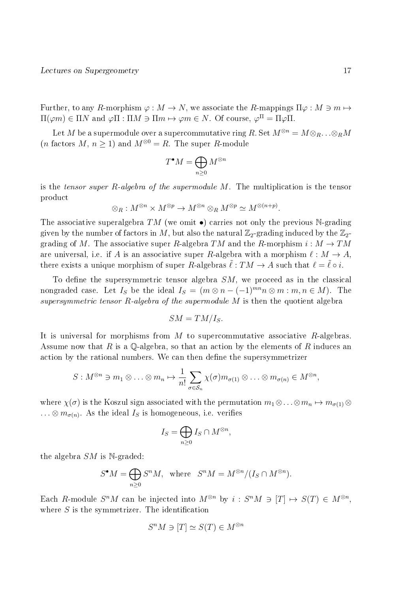Further, to any R-morphism  $\varphi : M \to N$ , we associate the R-mappings  $\Pi \varphi : M \ni m \mapsto$  $\Pi(\varphi m) \in \Pi N$  and  $\varphi \Pi : \Pi M \ni \Pi m \mapsto \varphi m \in N$ . Of course,  $\varphi^{\Pi} = \Pi \varphi \Pi$ .

Let M be a supermodule over a supercommutative ring R. Set  $M^{\otimes n} = M \otimes_R \ldots \otimes_R M$ (*n* factors  $M, n \ge 1$ ) and  $M^{\otimes 0} = R$ . The super R-module

$$
T^{\bullet}M=\bigoplus_{n\geq 0}M^{\otimes n}
$$

is the tensor super R-algebra of the supermodule M. The multiplication is the tensor product

$$
\otimes_R: M^{\otimes n} \times M^{\otimes p} \to M^{\otimes n} \otimes_R M^{\otimes p} \simeq M^{\otimes (n+p)}.
$$

The associative superalgebra TM (we omit  $\bullet$ ) carries not only the previous N-grading given by the number of factors in M, but also the natural  $\mathbb{Z}_2$ -grading induced by the  $\mathbb{Z}_2$ grading of M. The associative super R-algebra TM and the R-morphism  $i : M \to TM$ are universal, i.e. if A is an associative super R-algebra with a morphism  $\ell : M \to A$ . there exists a unique morphism of super R-algebras  $\ell : TM \to A$  such that  $\ell = \ell \circ i$ .

To define the supersymmetric tensor algebra  $SM$ , we proceed as in the classical nongraded case. Let  $I_S$  be the ideal  $I_S = (m \otimes n - (-1)^{mn} n \otimes m : m, n \in M)$ . The supersymmetric tensor R-algebra of the supermodule  $M$  is then the quotient algebra

$$
SM=TM/I_S.
$$

It is universal for morphisms from  $M$  to supercommutative associative  $R$ -algebras. Assume now that R is a Q-algebra, so that an action by the elements of R induces an action by the rational numbers. We can then define the supersymmetrizer

$$
S: M^{\otimes n} \ni m_1 \otimes \ldots \otimes m_n \mapsto \frac{1}{n!} \sum_{\sigma \in S_n} \chi(\sigma) m_{\sigma(1)} \otimes \ldots \otimes m_{\sigma(n)} \in M^{\otimes n},
$$

where  $\chi(\sigma)$  is the Koszul sign associated with the permutation  $m_1 \otimes \ldots \otimes m_n \mapsto m_{\sigma(1)} \otimes$  $\ldots \otimes m_{\sigma(n)}$ . As the ideal  $I_S$  is homogeneous, i.e. verifies

$$
I_S = \bigoplus_{n \ge 0} I_S \cap M^{\otimes n},
$$

the algebra  $SM$  is N-graded:

$$
S^{\bullet}M = \bigoplus_{n \geq 0} S^n M, \text{ where } S^n M = M^{\otimes n} / (I_S \cap M^{\otimes n}).
$$

Each R-module  $S^nM$  can be injected into  $M^{\otimes n}$  by  $i: S^nM \ni [T] \mapsto S(T) \in M^{\otimes n}$ , where  $S$  is the symmetrizer. The identification

$$
S^n M \ni [T] \simeq S(T) \in M^{\otimes n}
$$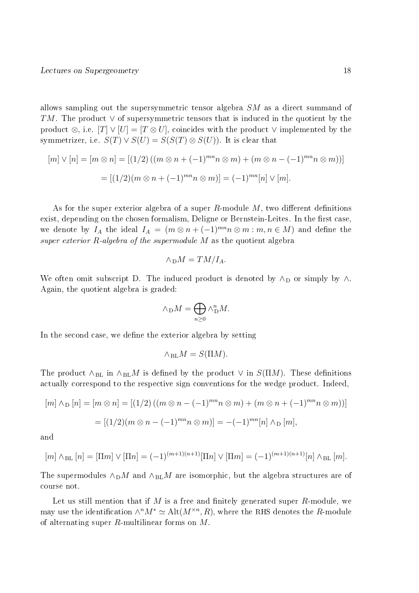allows sampling out the supersymmetric tensor algebra  $SM$  as a direct summand of TM. The product  $\vee$  of supersymmetric tensors that is induced in the quotient by the product ⊗, i.e.  $[T] \vee [U] = [T \otimes U]$ , coincides with the product  $\vee$  implemented by the symmetrizer, i.e.  $S(T) \vee S(U) = S(S(T) \otimes S(U))$ . It is clear that

$$
[m] \vee [n] = [m \otimes n] = [(1/2)((m \otimes n + (-1)^{mn}n \otimes m) + (m \otimes n - (-1)^{mn}n \otimes m))]
$$

$$
= [(1/2)(m \otimes n + (-1)^{mn}n \otimes m)] = (-1)^{mn}[n] \vee [m].
$$

As for the super exterior algebra of a super R-module  $M$ , two different definitions exist, depending on the chosen formalism, Deligne or Bernstein-Leites. In the first case, we denote by  $I_A$  the ideal  $I_A = (m \otimes n + (-1)^{mn} n \otimes m : m, n \in M)$  and define the super exterior  $R$ -algebra of the supermodule  $M$  as the quotient algebra

$$
\wedge_{\mathcal{D}} M = TM/I_A.
$$

We often omit subscript D. The induced product is denoted by  $\wedge_D$  or simply by  $\wedge$ . Again, the quotient algebra is graded:

$$
\wedge_D M = \bigoplus_{n \geq 0} \wedge_D^n M.
$$

In the second case, we define the exterior algebra by setting

$$
\wedge_{\mathrm{BL}} M = S(\Pi M).
$$

The product  $\wedge_{BL}$  in  $\wedge_{BL}M$  is defined by the product  $\vee$  in  $S(\Pi M)$ . These definitions actually correspond to the respective sign conventions for the wedge product. Indeed,

$$
[m] \wedge_{D} [n] = [m \otimes n] = [(1/2)((m \otimes n - (-1)^{mn}n \otimes m) + (m \otimes n + (-1)^{mn}n \otimes m))]
$$

$$
= [(1/2)(m \otimes n - (-1)^{mn}n \otimes m)] = -(-1)^{mn}[n] \wedge_{D} [m],
$$

and

$$
[m] \wedge_{\text{BL}} [n] = [\Pi m] \vee [\Pi n] = (-1)^{(m+1)(n+1)} [\Pi n] \vee [\Pi m] = (-1)^{(m+1)(n+1)} [n] \wedge_{\text{BL}} [m].
$$

The supermodules  $\wedge_{\text{D}} M$  and  $\wedge_{\text{BL}} M$  are isomorphic, but the algebra structures are of course not.

Let us still mention that if M is a free and finitely generated super  $R$ -module, we may use the identification  $\wedge^n M^* \simeq \text{Alt}(M^{\times n}, R)$ , where the RHS denotes the R-module of alternating super R-multilinear forms on M.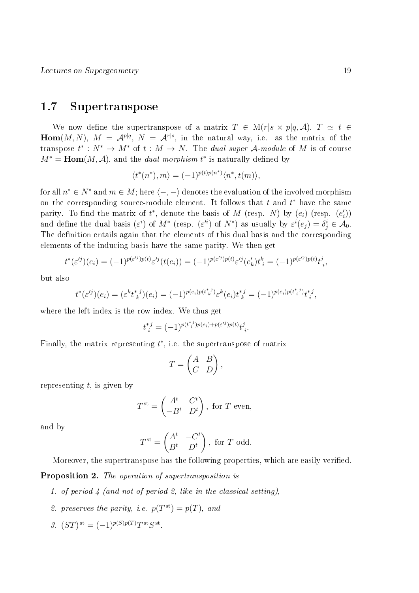## 1.7 Supertranspose

We now define the supertranspose of a matrix  $T \in M(r|s \times p|q, \mathcal{A}), T \simeq t \in$  $\mathbf{Hom}(M,N),\;M\;=\;\mathcal{A}^{p|q},\;N\;=\;\mathcal{A}^{r|s},\;{\rm in\;\;the\;\;natural\;\;way,\;\;i.e.\;\;as\;\;the\;\;matrix\;\;of\;\;the\;\;of\;\;the\;\;of\;\;the\;\;of\;\;the\;\;of\;\;the\;\;the\;\;of\;\;the\;\;of\;\;the\;\;of\;\;the\;\;of\;\;the\;\;of\;\;the\;\;of\;\;the\;\;of\;\;the\;\;of\;\;the\;\;of\;\;the\;\;of\;\;the\;\;of\;\;the\;\;of\;\;the\;\;$ transpose  $t^*: N^* \to M^*$  of  $t: M \to N$ . The *dual super* A-module of M is of course  $M^* = \text{Hom}(M, \mathcal{A})$ , and the *dual morphism*  $t^*$  is naturally defined by

$$
\langle t^*(n^*), m \rangle = (-1)^{p(t)p(n^*)} \langle n^*, t(m) \rangle,
$$

for all  $n^* \in N^*$  and  $m \in M$ ; here  $\langle -, - \rangle$  denotes the evaluation of the involved morphism on the corresponding source-module element. It follows that  $t$  and  $t^*$  have the same parity. To find the matrix of  $t^*$ , denote the basis of M (resp. N) by  $(e_i)$  (resp.  $(e'_i)$ ) and define the dual basis  $(\varepsilon^i)$  of  $M^*$  (resp.  $(\varepsilon^{i})$  of  $N^*$ ) as usually by  $\varepsilon^i(e_j) = \delta^i_j \in \mathcal{A}_0$ . The definition entails again that the elements of this dual basis and the corresponding elements of the inducing basis have the same parity. We then get

$$
t^*(\varepsilon'^j)(e_i) = (-1)^{p(\varepsilon'^j)p(t)}\varepsilon'^j(t(e_i)) = (-1)^{p(\varepsilon'^j)p(t)}\varepsilon'^j(e'_k)t^k_i = (-1)^{p(\varepsilon'^j)p(t)}t^j_i,
$$

but also

$$
t^*(\varepsilon'^j)(e_i) = (\varepsilon^k t_k^{*j})(e_i) = (-1)^{p(e_i)p(t_k^{*j})}\varepsilon^k(e_i)t_k^{*j} = (-1)^{p(e_i)p(t_k^{*j})}t_k^{*j},
$$

where the left index is the row index. We thus get

$$
t_i^{*j} = (-1)^{p(t_i^{*j})p(e_i) + p(\varepsilon'^j)p(t)} t_i^j.
$$

Finally, the matrix representing  $t^*$ , i.e. the supertranspose of matrix

$$
T = \begin{pmatrix} A & B \\ C & D \end{pmatrix},
$$

representing  $t$ , is given by

$$
T^{\text{st}} = \begin{pmatrix} A^t & C^t \\ -B^t & D^t \end{pmatrix}, \text{ for } T \text{ even},
$$

and by

$$
T^{\text{st}} = \begin{pmatrix} A^t & -C^t \\ B^t & D^t \end{pmatrix}, \text{ for } T \text{ odd.}
$$

Moreover, the supertranspose has the following properties, which are easily verified.

Proposition 2. The operation of supertransposition is

- 1. of period 4 (and not of period 2, like in the classical setting),
- 2. preserves the parity, i.e.  $p(T^{\text{st}}) = p(T)$ , and
- 3.  $(ST)$ <sup>st</sup> =  $(-1)^{p(S)p(T)}T$ <sup>st</sup> $S$ <sup>st</sup>.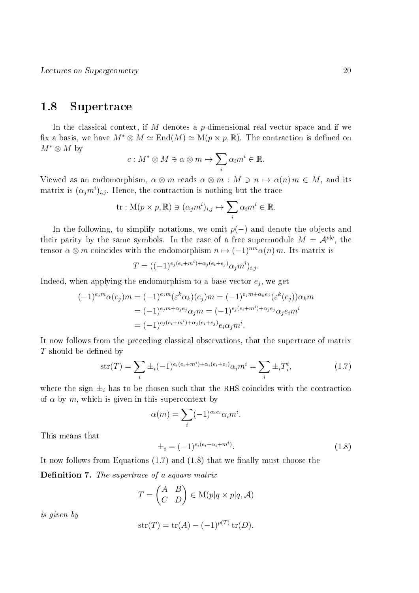## 1.8 Supertrace

In the classical context, if  $M$  denotes a  $p$ -dimensional real vector space and if we fix a basis, we have  $M^* \otimes M \simeq \text{End}(M) \simeq \text{M}(p \times p, \mathbb{R})$ . The contraction is defined on  $M^* \otimes M$  by

$$
c: M^* \otimes M \ni \alpha \otimes m \mapsto \sum_i \alpha_i m^i \in \mathbb{R}.
$$

Viewed as an endomorphism,  $\alpha \otimes m$  reads  $\alpha \otimes m : M \ni n \mapsto \alpha(n) m \in M$ , and its matrix is  $(\alpha_j m^i)_{i,j}$ . Hence, the contraction is nothing but the trace

tr: 
$$
M(p \times p, \mathbb{R}) \ni (\alpha_j m^i)_{i,j} \mapsto \sum_i \alpha_i m^i \in \mathbb{R}
$$
.

In the following, to simplify notations, we omit  $p(-)$  and denote the objects and their parity by the same symbols. In the case of a free supermodule  $M = \mathcal{A}^{p|q}$ , the tensor  $\alpha \otimes m$  coincides with the endomorphism  $n \mapsto (-1)^{nm} \alpha(n) m$ . Its matrix is

$$
T = ((-1)^{e_j(e_i + m^i) + \alpha_j(e_i + e_j)} \alpha_j m^i)_{i,j}.
$$

Indeed, when applying the endomorphism to a base vector  $e_j$ , we get

$$
(-1)^{e_j m} \alpha(e_j) m = (-1)^{e_j m} (\varepsilon^k \alpha_k)(e_j) m = (-1)^{e_j m + \alpha_k e_j} (\varepsilon^k(e_j)) \alpha_k m
$$
  

$$
= (-1)^{e_j m + \alpha_j e_j} \alpha_j m = (-1)^{e_j (e_i + m^i) + \alpha_j e_j} \alpha_j e_i m^i
$$
  

$$
= (-1)^{e_j (e_i + m^i) + \alpha_j (e_i + e_j)} e_i \alpha_j m^i.
$$

It now follows from the preceding classical observations, that the supertrace of matrix  $T$  should be defined by

$$
str(T) = \sum_{i} \pm_{i} (-1)^{e_i(e_i + m^i) + \alpha_i(e_i + e_i)} \alpha_i m^i = \sum_{i} \pm_{i} T_i^i,
$$
\n(1.7)

where the sign  $\pm_i$  has to be chosen such that the RHS coincides with the contraction of  $\alpha$  by m, which is given in this supercontext by

$$
\alpha(m) = \sum_{i} (-1)^{\alpha_i e_i} \alpha_i m^i.
$$

This means that

$$
\pm_i = (-1)^{e_i(e_i + \alpha_i + m^i)}.
$$
\n(1.8)

It now follows from Equations  $(1.7)$  and  $(1.8)$  that we finally must choose the

**Definition 7.** The supertrace of a square matrix

$$
T = \begin{pmatrix} A & B \\ C & D \end{pmatrix} \in M(p|q \times p|q, \mathcal{A})
$$

is given by

$$
str(T) = tr(A) - (-1)^{p(T)} tr(D).
$$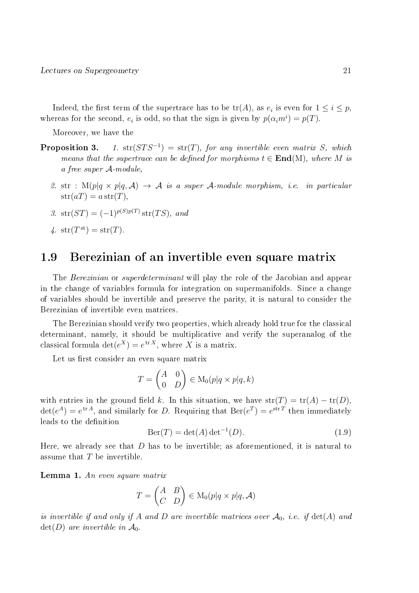Indeed, the first term of the supertrace has to be  $\mathrm{tr}(A)$ , as  $e_i$  is even for  $1\leq i\leq p,$ whereas for the second,  $e_i$  is odd, so that the sign is given by  $p(\alpha_i m^i) = p(T)$ .

Moreover, we have the

- Proposition 3. 1.  $str(STS^{-1}) = str(T)$ , for any invertible even matrix S, which means that the supertrace can be defined for morphisms  $t \in End(M)$ , where M is a free super A-module,
	- 2. str :  $M(p|q \times p|q, \mathcal{A}) \rightarrow \mathcal{A}$  is a super  $\mathcal{A}\text{-module morphism}, i.e.$  in particular  $str(aT) = a str(T),$
	- 3.  $str(ST) = (-1)^{p(S)p(T)} str(TS)$ , and
	- 4.  $str(T^{st}) = str(T)$ .

## 1.9 Berezinian of an invertible even square matrix

The Berezinian or superdeterminant will play the role of the Jacobian and appear in the change of variables formula for integration on supermanifolds. Since a change of variables should be invertible and preserve the parity, it is natural to consider the Berezinian of invertible even matrices.

The Berezinian should verify two properties, which already hold true for the classical determinant, namely, it should be multiplicative and verify the superanalog of the classical formula  $\det(e^X) = e^{\text{tr }X}$ , where X is a matrix.

Let us first consider an even square matrix

$$
T = \begin{pmatrix} A & 0 \\ 0 & D \end{pmatrix} \in M_0(p|q \times p|q, k)
$$

with entries in the ground field k. In this situation, we have  $str(T) = tr(A) - tr(D)$ ,  $\det(e^A) = e^{\text{tr }A}$ , and similarly for D. Requiring that  $\text{Ber}(e^T) = e^{\text{str }T}$  then immediately leads to the definition

$$
Ber(T) = det(A) det-1(D).
$$
\n(1.9)

Here, we already see that  $D$  has to be invertible; as aforementioned, it is natural to assume that T be invertible.

**Lemma 1.** An even square matrix

$$
T = \begin{pmatrix} A & B \\ C & D \end{pmatrix} \in M_0(p|q \times p|q, \mathcal{A})
$$

is invertible if and only if A and D are invertible matrices over  $\mathcal{A}_0$ , i.e. if  $det(A)$  and  $\det(D)$  are invertible in  $\mathcal{A}_0$ .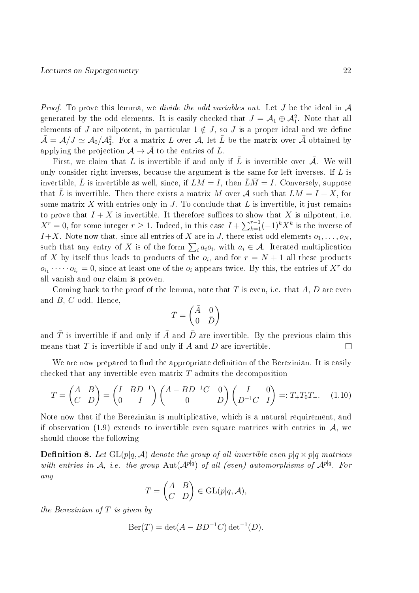*Proof.* To prove this lemma, we *divide the odd variables out*. Let  $J$  be the ideal in  $A$ generated by the odd elements. It is easily checked that  $J = \mathcal{A}_1 \oplus \mathcal{A}_1^2$ . Note that all elements of J are nilpotent, in particular  $1 \notin J$ , so J is a proper ideal and we define  $\bar{\mathcal{A}} = \mathcal{A}/J \simeq \mathcal{A}_0/\mathcal{A}_1^2$ . For a matrix  $L$  over  $\mathcal{A}$ , let  $\bar{L}$  be the matrix over  $\bar{\mathcal{A}}$  obtained by applying the projection  $\mathcal{A} \to \bar{\mathcal{A}}$  to the entries of L.

First, we claim that L is invertible if and only if  $\overline{L}$  is invertible over  $\overline{A}$ . We will only consider right inverses, because the argument is the same for left inverses. If  $L$  is invertible,  $\bar{L}$  is invertible as well, since, if  $LM = I$ , then  $\bar{L}\bar{M} = I$ . Conversely, suppose that  $\overline{L}$  is invertible. Then there exists a matrix M over A such that  $LM = I + X$ , for some matrix X with entries only in J. To conclude that  $L$  is invertible, it just remains to prove that  $I + X$  is invertible. It therefore suffices to show that X is nilpotent, i.e.  $X^r = 0$ , for some integer  $r \geq 1$ . Indeed, in this case  $I + \sum_{k=1}^{r-1} (-1)^k X^k$  is the inverse of  $I+X$ . Note now that, since all entries of X are in J, there exist odd elements  $o_1, \ldots, o_N$ , such that any entry of X is of the form  $\sum_i a_i o_i$ , with  $a_i \in \mathcal{A}$ . Iterated multiplication of X by itself thus leads to products of the  $o_i$ , and for  $r = N + 1$  all these products  $o_{i_1} \cdots o_{i_r} = 0$ , since at least one of the  $o_i$  appears twice. By this, the entries of  $X^r$  do all vanish and our claim is proven.

Coming back to the proof of the lemma, note that T is even, i.e. that  $A, D$  are even and B, C odd. Hence,

$$
\bar{T}=\begin{pmatrix}\bar{A}&0\\0&\bar{D}\end{pmatrix}
$$

and  $\bar{T}$  is invertible if and only if  $\bar{A}$  and  $\bar{D}$  are invertible. By the previous claim this means that  $T$  is invertible if and only if  $A$  and  $D$  are invertible.  $\Box$ 

We are now prepared to find the appropriate definition of the Berezinian. It is easily checked that any invertible even matrix  $T$  admits the decomposition

$$
T = \begin{pmatrix} A & B \\ C & D \end{pmatrix} = \begin{pmatrix} I & BD^{-1} \\ 0 & I \end{pmatrix} \begin{pmatrix} A - BD^{-1}C & 0 \\ 0 & D \end{pmatrix} \begin{pmatrix} I & 0 \\ D^{-1}C & I \end{pmatrix} =: T_{+}T_{0}T_{-}.\tag{1.10}
$$

Note now that if the Berezinian is multiplicative, which is a natural requirement, and if observation (1.9) extends to invertible even square matrices with entries in  $\mathcal{A}$ , we should choose the following

**Definition 8.** Let  $GL(p|q, \mathcal{A})$  denote the group of all invertible even  $p|q \times p|q$  matrices with entries in A, i.e. the group  $\text{Aut}(\mathcal{A}^{p|q})$  of all (even) automorphisms of  $\mathcal{A}^{p|q}$ . For any

$$
T = \begin{pmatrix} A & B \\ C & D \end{pmatrix} \in \text{GL}(p|q, \mathcal{A}),
$$

the Berezinian of  $T$  is given by

$$
Ber(T) = det(A - BD^{-1}C) det^{-1}(D).
$$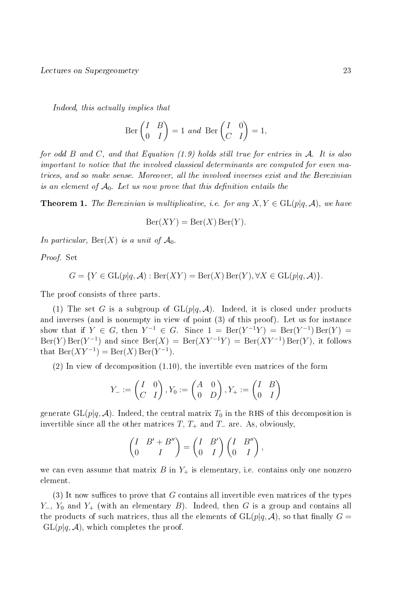Indeed, this actually implies that

$$
\text{Ber}\begin{pmatrix} I & B \\ 0 & I \end{pmatrix} = 1 \text{ and } \text{Ber}\begin{pmatrix} I & 0 \\ C & I \end{pmatrix} = 1,
$$

for odd B and C, and that Equation  $(1.9)$  holds still true for entries in A. It is also important to notice that the involved classical determinants are computed for even matrices, and so make sense. Moreover, all the involved inverses exist and the Berezinian is an element of  $\mathcal{A}_0$ . Let us now prove that this definition entails the

**Theorem 1.** The Berezinian is multiplicative, i.e. for any  $X, Y \in GL(p|q, \mathcal{A})$ , we have

$$
Ber(XY) = Ber(X) Ber(Y).
$$

In particular,  $\text{Ber}(X)$  is a unit of  $\mathcal{A}_0$ .

Proof. Set

$$
G = \{ Y \in GL(p|q, \mathcal{A}) : \text{Ber}(XY) = \text{Ber}(X)\,\text{Ber}(Y), \forall X \in GL(p|q, \mathcal{A}) \}.
$$

The proof consists of three parts.

(1) The set G is a subgroup of  $GL(p|q, A)$ . Indeed, it is closed under products and inverses (and is nonempty in view of point (3) of this proof). Let us for instance show that if  $Y \in G$ , then  $Y^{-1} \in G$ . Since  $1 = \text{Ber}(Y^{-1}Y) = \text{Ber}(Y^{-1}) \text{Ber}(Y) =$  $\text{Ber}(Y) \text{Ber}(Y^{-1})$  and since  $\text{Ber}(X) = \text{Ber}(XY^{-1}Y) = \text{Ber}(XY^{-1}) \text{Ber}(Y)$ , it follows that  $\text{Ber}(XY^{-1}) = \text{Ber}(X) \text{Ber}(Y^{-1}).$ 

(2) In view of decomposition (1.10), the invertible even matrices of the form

$$
Y_{-} := \begin{pmatrix} I & 0 \\ C & I \end{pmatrix}, Y_{0} := \begin{pmatrix} A & 0 \\ 0 & D \end{pmatrix}, Y_{+} := \begin{pmatrix} I & B \\ 0 & I \end{pmatrix}
$$

generate  $GL(p|q, \mathcal{A})$ . Indeed, the central matrix  $T_0$  in the RHS of this decomposition is invertible since all the other matrices  $T, T_+$  and  $T_-\$ are. As, obviously,

$$
\begin{pmatrix} I & B' + B'' \\ 0 & I \end{pmatrix} = \begin{pmatrix} I & B' \\ 0 & I \end{pmatrix} \begin{pmatrix} I & B'' \\ 0 & I \end{pmatrix},
$$

we can even assume that matrix  $B$  in  $Y_+$  is elementary, i.e. contains only one nonzero element.

(3) It now suffices to prove that  $G$  contains all invertible even matrices of the types  $Y_-, Y_0$  and  $Y_+$  (with an elementary B). Indeed, then G is a group and contains all the products of such matrices, thus all the elements of  $GL(p|q, \mathcal{A})$ , so that finally  $G =$  $GL(p|q, \mathcal{A})$ , which completes the proof.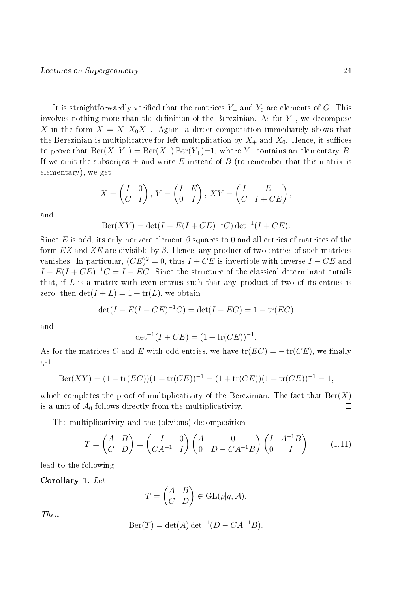It is straightforwardly verified that the matrices  $Y_-\$  and  $Y_0$  are elements of G. This involves nothing more than the definition of the Berezinian. As for  $Y_+$ , we decompose X in the form  $X = X_+X_0X_-.$  Again, a direct computation immediately shows that the Berezinian is multiplicative for left multiplication by  $X_+$  and  $X_0$ . Hence, it suffices to prove that  $\text{Ber}(X_{-}Y_{+}) = \text{Ber}(X_{-}) \text{Ber}(Y_{+}) = 1$ , where  $Y_{+}$  contains an elementary B. If we omit the subscripts  $\pm$  and write E instead of B (to remember that this matrix is elementary), we get

$$
X = \begin{pmatrix} I & 0 \\ C & I \end{pmatrix}, Y = \begin{pmatrix} I & E \\ 0 & I \end{pmatrix}, XY = \begin{pmatrix} I & E \\ C & I + CE \end{pmatrix},
$$

and

$$
Ber(XY) = det(I - E(I + CE)^{-1}C) det^{-1}(I + CE).
$$

Since E is odd, its only nonzero element  $\beta$  squares to 0 and all entries of matrices of the form  $EZ$  and  $ZE$  are divisible by  $\beta$ . Hence, any product of two entries of such matrices vanishes. In particular,  $(CE)^2 = 0$ , thus  $I + CE$  is invertible with inverse  $I - CE$  and  $I - E(I + CE)^{-1}C = I - EC$ . Since the structure of the classical determinant entails that, if  $L$  is a matrix with even entries such that any product of two of its entries is zero, then  $\det(I+L) = 1 + \text{tr}(L)$ , we obtain

$$
\det(I - E(I + CE)^{-1}C) = \det(I - EC) = 1 - \text{tr}(EC)
$$

and

$$
\det^{-1}(I + CE) = (1 + \text{tr}(CE))^{-1}.
$$

As for the matrices C and E with odd entries, we have  $tr(EC) = -tr(CE)$ , we finally get

$$
Ber(XY) = (1 - tr(EC))(1 + tr(CE))^{-1} = (1 + tr(CE))(1 + tr(CE))^{-1} = 1,
$$

which completes the proof of multiplicativity of the Berezinian. The fact that  $\text{Ber}(X)$ is a unit of  $A_0$  follows directly from the multiplicativity.  $\Box$ 

The multiplicativity and the (obvious) decomposition

$$
T = \begin{pmatrix} A & B \\ C & D \end{pmatrix} = \begin{pmatrix} I & 0 \\ CA^{-1} & I \end{pmatrix} \begin{pmatrix} A & 0 \\ 0 & D - CA^{-1}B \end{pmatrix} \begin{pmatrix} I & A^{-1}B \\ 0 & I \end{pmatrix}
$$
(1.11)

lead to the following

Corollary 1. Let

$$
T = \begin{pmatrix} A & B \\ C & D \end{pmatrix} \in \text{GL}(p|q, \mathcal{A}).
$$

Then

$$
Ber(T) = det(A) det^{-1}(D - CA^{-1}B).
$$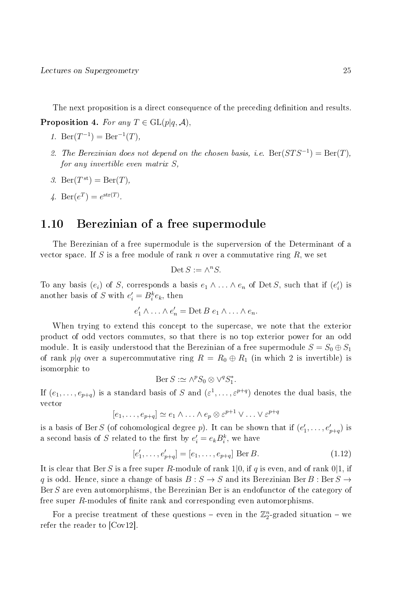The next proposition is a direct consequence of the preceding definition and results.

**Proposition 4.** For any  $T \in GL(p|q, \mathcal{A})$ ,

- 1. Ber $(T^{-1}) = \text{Ber}^{-1}(T)$ ,
- 2. The Berezinian does not depend on the chosen basis, i.e.  $\text{Ber}(STS^{-1}) = \text{Ber}(T)$ , for any invertible even matrix S,
- 3. Ber $(T^{\text{st}}) = \text{Ber}(T)$ ,
- 4. Ber( $e^T$ ) =  $e^{\text{str}(T)}$ .

## 1.10 Berezinian of a free supermodule

The Berezinian of a free supermodule is the superversion of the Determinant of a vector space. If S is a free module of rank n over a commutative ring  $R$ , we set

$$
\text{Det}\,S:=\wedge^nS.
$$

To any basis  $(e_i)$  of S, corresponds a basis  $e_1 \wedge \ldots \wedge e_n$  of Det S, such that if  $(e'_i)$  is another basis of S with  $e_i' = B_i^k e_k$ , then

$$
e'_1 \wedge \ldots \wedge e'_n = \text{Det } B \ e_1 \wedge \ldots \wedge e_n.
$$

When trying to extend this concept to the supercase, we note that the exterior product of odd vectors commutes, so that there is no top exterior power for an odd module. It is easily understood that the Berezinian of a free supermodule  $S = S_0 \oplus S_1$ of rank p|q over a supercommutative ring  $R = R_0 \oplus R_1$  (in which 2 is invertible) is isomorphic to

$$
Ber S := \wedge^p S_0 \otimes \vee^q S_1^*.
$$

If  $(e_1,\ldots,e_{p+q})$  is a standard basis of S and  $(\varepsilon^1,\ldots,\varepsilon^{p+q})$  denotes the dual basis, the vector

$$
[e_1,\ldots,e_{p+q}]\simeq e_1\wedge\ldots\wedge e_p\otimes \varepsilon^{p+1}\vee\ldots\vee \varepsilon^{p+q}
$$

is a basis of Ber S (of cohomological degree p). It can be shown that if  $(e'_1, \ldots, e'_{p+q})$  is a second basis of S related to the first by  $e_i' = e_k B_i^k$ , we have

$$
[e'_1, \dots, e'_{p+q}] = [e_1, \dots, e_{p+q}] \text{ Ber } B.
$$
 (1.12)

It is clear that Ber S is a free super R-module of rank 1|0, if q is even, and of rank  $0|1$ , if q is odd. Hence, since a change of basis  $B : S \to S$  and its Berezinian Ber B : Ber  $S \to S$ Ber S are even automorphisms, the Berezinian Ber is an endofunctor of the category of free super  $R$ -modules of finite rank and corresponding even automorphisms.

For a precise treatment of these questions – even in the  $\mathbb{Z}_2^n$ -graded situation – we refer the reader to [Cov12].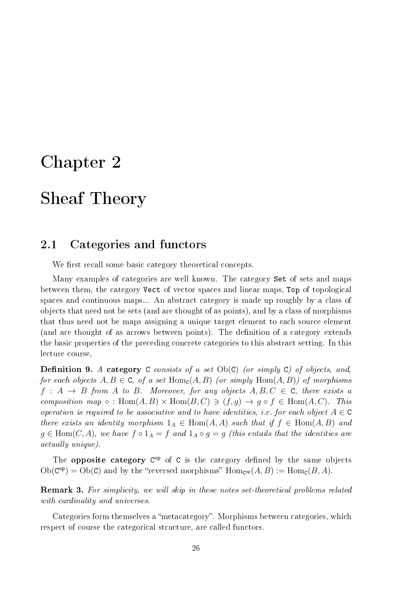# Chapter 2

# Sheaf Theory

# 2.1 Categories and functors

We first recall some basic category theoretical concepts.

Many examples of categories are well known. The category Set of sets and maps between them, the category Vect of vector spaces and linear maps, Top of topological spaces and continuous maps... An abstract category is made up roughly by a class of objects that need not be sets (and are thought of as points), and by a class of morphisms that thus need not be maps assigning a unique target element to each source element (and are thought of as arrows between points). The definition of a category extends the basic properties of the preceding concrete categories to this abstract setting. In this lecture course,

**Definition 9.** A category C consists of a set  $Ob(C)$  (or simply C) of objects, and, for each objects  $A, B \in \mathbb{C}$ , of a set  $\text{Hom}_{\mathbb{C}}(A, B)$  (or simply  $\text{Hom}(A, B)$ ) of morphisms  $f : A \rightarrow B$  from A to B. Moreover, for any objects  $A, B, C \in \mathbb{C}$ , there exists a composition map  $\circ$ : Hom $(A, B) \times$  Hom $(B, C) \ni (f, g) \rightarrow g \circ f \in$  Hom $(A, C)$ . This operation is required to be associative and to have identities, i.e. for each object  $A \in \mathbb{C}$ there exists an identity morphism  $1_A \in \text{Hom}(A, A)$  such that if  $f \in \text{Hom}(A, B)$  and  $g \in \text{Hom}(C, A)$ , we have  $f \circ 1_A = f$  and  $1_A \circ g = g$  (this entails that the identities are actually unique).

The **opposite category** C<sup>op</sup> of C is the category defined by the same objects  $\mathrm{Ob}(\mathsf{C}^{\mathrm{op}}) = \mathrm{Ob}(\mathsf{C})$  and by the "reversed morphisms"  $\mathrm{Hom}_{\mathsf{C}^{\mathrm{op}}}(A, B) := \mathrm{Hom}_{\mathsf{C}}(B, A)$ .

Remark 3. For simplicity, we will skip in these notes set-theoretical problems related with cardinality and universes.

Categories form themselves a "metacategory". Morphisms between categories, which respect of course the categorical structure, are called functors.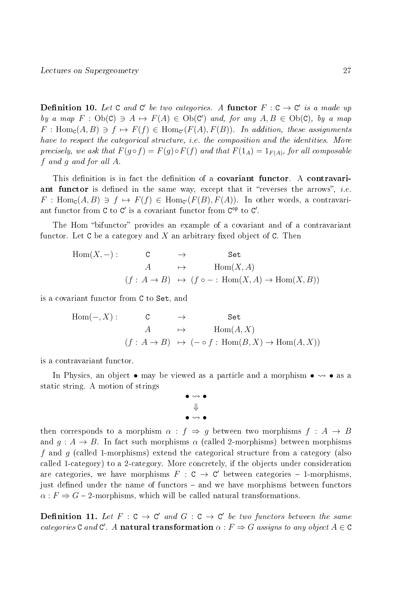**Definition 10.** Let C and C' be two categories. A functor  $F: C \to C'$  is a made up by a map  $F : Ob(C) \ni A \mapsto F(A) \in Ob(C')$  and, for any  $A, B \in Ob(C)$ , by a map  $F: \text{Hom}_{\textsf{C}}(A, B) \ni f \mapsto F(f) \in \text{Hom}_{\textsf{C}'}(F(A), F(B)).$  In addition, these assignments have to respect the categorical structure, i.e. the composition and the identities. More precisely, we ask that  $F(g \circ f) = F(g) \circ F(f)$  and that  $F(1_A) = 1_{F(A)}$ , for all composable f and g and for all A.

This definition is in fact the definition of a **covariant functor**. A **contravari**ant functor is defined in the same way, except that it "reverses the arrows", *i.e.*  $F: \text{Hom}_{\text{C}}(A, B) \ni f \mapsto F(f) \in \text{Hom}_{\text{C}'}(F(B), F(A))$ . In other words, a contravariant functor from  $C$  to  $C'$  is a covariant functor from  $C^{op}$  to  $C'$ .

The Hom "bifunctor" provides an example of a covariant and of a contravariant functor. Let  $C$  be a category and  $X$  an arbitrary fixed object of  $C$ . Then

$$
\begin{array}{cccc}\n\text{Hom}(X, -): & \mathsf{C} & \rightarrow & \mathsf{Set} \\
A & \mapsto & \text{Hom}(X, A) \\
(f: A \rightarrow B) & \mapsto & (f \circ -: \text{Hom}(X, A) \rightarrow \text{Hom}(X, B))\n\end{array}
$$

is a covariant functor from C to Set, and

$$
\text{Hom}(-, X) : \qquad \begin{array}{ccc} \mathbf{C} & \to & \mathbf{Set} \\ A & \mapsto & \text{Hom}(A, X) \\ (f: A \to B) & \mapsto & (- \circ f: \text{Hom}(B, X) \to \text{Hom}(A, X)) \end{array}
$$

is a contravariant functor.

In Physics, an object  $\bullet$  may be viewed as a particle and a morphism  $\bullet \rightsquigarrow \bullet$  as a static string. A motion of strings



then corresponds to a morphism  $\alpha : f \Rightarrow g$  between two morphisms  $f : A \rightarrow B$ and  $g: A \to B$ . In fact such morphisms  $\alpha$  (called 2-morphisms) between morphisms f and g (called 1-morphisms) extend the categorical structure from a category (also called 1-category) to a 2-category. More concretely, if the objects under consideration are categories, we have morphisms  $F : C \to C'$  between categories - 1-morphisms, just defined under the name of functors – and we have morphisms between functors  $\alpha$ :  $F \Rightarrow G$  – 2-morphisms, which will be called natural transformations.

**Definition 11.** Let  $F : C \to C'$  and  $G : C \to C'$  be two functors between the same categories C and C'. A natural transformation  $\alpha : F \Rightarrow G$  assigns to any object  $A \in \mathbb{C}$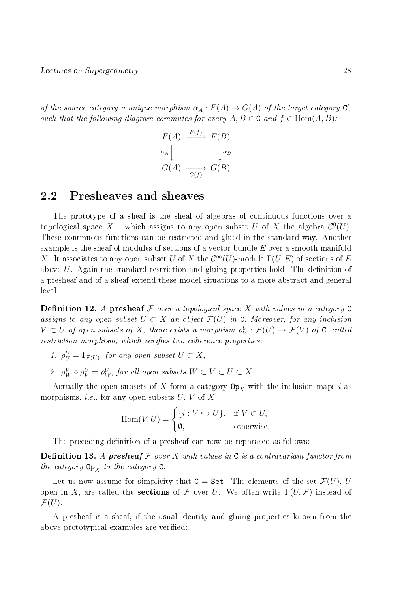of the source category a unique morphism  $\alpha_A : F(A) \to G(A)$  of the target category  $C'$ , such that the following diagram commutes for every  $A, B \in \mathbb{C}$  and  $f \in \text{Hom}(A, B)$ :

$$
F(A) \xrightarrow{F(f)} F(B)
$$
  
\n
$$
\alpha_A \downarrow \qquad \qquad \downarrow \alpha_B
$$
  
\n
$$
G(A) \xrightarrow{G(f)} G(B)
$$

### 2.2 Presheaves and sheaves

The prototype of a sheaf is the sheaf of algebras of continuous functions over a topological space X – which assigns to any open subset U of X the algebra  $\mathcal{C}^0(U)$ . These continuous functions can be restricted and glued in the standard way. Another example is the sheaf of modules of sections of a vector bundle  $E$  over a smooth manifold X. It associates to any open subset U of X the  $\mathcal{C}^{\infty}(U)$ -module  $\Gamma(U, E)$  of sections of E above  $U$ . Again the standard restriction and gluing properties hold. The definition of a presheaf and of a sheaf extend these model situations to a more abstract and general level.

**Definition 12.** A presheaf  $\mathcal F$  over a topological space  $X$  with values in a category  $C$ assigns to any open subset  $U \subset X$  an object  $\mathcal{F}(U)$  in C. Moreover, for any inclusion  $V \subset U$  of open subsets of X, there exists a morphism  $\rho_V^U : \mathcal{F}(U) \to \mathcal{F}(V)$  of C, called restriction morphism, which verifies two coherence properties:

- 1.  $\rho_U^U = 1_{\mathcal{F}(U)}$ , for any open subset  $U \subset X$ ,
- 2.  $\rho^V_W \circ \rho^U_V = \rho^U_W$ , for all open subsets  $W \subset V \subset U \subset X$ .

Actually the open subsets of X form a category  $\mathbb{O}_{X}$  with the inclusion maps i as morphisms, *i.e.*, for any open subsets  $U, V$  of  $X$ ,

Hom
$$
(V, U)
$$
 =  $\begin{cases} \{i : V \hookrightarrow U\}, & \text{if } V \subset U, \\ \emptyset, & \text{otherwise.} \end{cases}$ 

The preceding definition of a presheaf can now be rephrased as follows:

**Definition 13.** A presheaf  $F$  over  $X$  with values in  $C$  is a contravariant functor from the category  $\mathsf{Op}_X$  to the category  $\mathsf{C}.$ 

Let us now assume for simplicity that  $C =$  Set. The elements of the set  $\mathcal{F}(U)$ , U open in X, are called the **sections** of F over U. We often write  $\Gamma(U, \mathcal{F})$  instead of  $\mathcal{F}(U)$ .

A presheaf is a sheaf, if the usual identity and gluing properties known from the above prototypical examples are verified: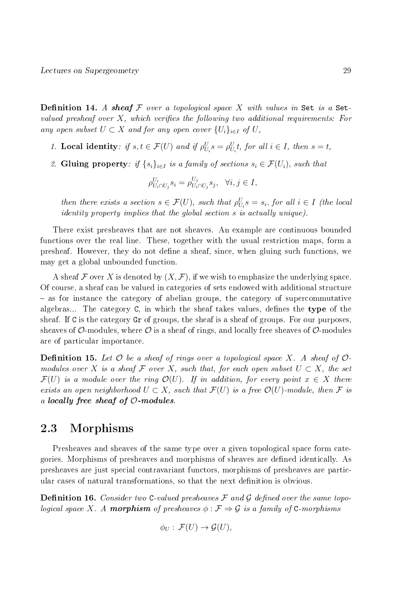**Definition 14.** A sheaf F over a topological space X with values in Set is a Setvalued presheaf over  $X$ , which verifies the following two additional requirements: For any open subset  $U \subset X$  and for any open cover  $\{U_i\}_{i\in I}$  of  $U$ ,

- 1. Local identity: if  $s, t \in \mathcal{F}(U)$  and if  $\rho_{U_i}^U s = \rho_{U_i}^U t$ , for all  $i \in I$ , then  $s = t$ ,
- 2. Gluing property: if  $\{s_i\}_{i\in I}$  is a family of sections  $s_i \in \mathcal{F}(U_i)$ , such that

$$
\rho_{U_i \cap U_j}^{U_i} s_i = \rho_{U_i \cap U_j}^{U_j} s_j, \quad \forall i, j \in I,
$$

then there exists a section  $s \in \mathcal{F}(U)$ , such that  $\rho_{U_i}^U s = s_i$ , for all  $i \in I$  (the local identity property implies that the global section s is actually unique).

There exist presheaves that are not sheaves. An example are continuous bounded functions over the real line. These, together with the usual restriction maps, form a presheaf. However, they do not dene a sheaf, since, when gluing such functions, we may get a global unbounded function.

A sheaf F over X is denoted by  $(X, \mathcal{F})$ , if we wish to emphasize the underlying space. Of course, a sheaf can be valued in categories of sets endowed with additional structure - as for instance the category of abelian groups, the category of supercommutative algebras... The category  $C$ , in which the sheaf takes values, defines the type of the sheaf. If C is the category Gr of groups, the sheaf is a sheaf of groups. For our purposes, sheaves of  $\mathcal{O}\text{-modules}$ , where  $\mathcal O$  is a sheaf of rings, and locally free sheaves of  $\mathcal O\text{-modules}$ are of particular importance.

**Definition 15.** Let  $\mathcal O$  be a sheaf of rings over a topological space X. A sheaf of  $\mathcal O$ modules over X is a sheaf F over X, such that, for each open subset  $U \subset X$ , the set  $\mathcal{F}(U)$  is a module over the ring  $\mathcal{O}(U)$ . If in addition, for every point  $x \in X$  there exists an open neighborhood  $U \subset X$ , such that  $\mathcal{F}(U)$  is a free  $\mathcal{O}(U)$ -module, then  $\mathcal F$  is a locally free sheaf of  $\mathcal{O}\text{-modules.}$ 

# 2.3 Morphisms

Presheaves and sheaves of the same type over a given topological space form categories. Morphisms of presheaves and morphisms of sheaves are defined identically. As presheaves are just special contravariant functors, morphisms of presheaves are particular cases of natural transformations, so that the next definition is obvious.

**Definition 16.** Consider two C-valued presheaves  $\mathcal F$  and  $\mathcal G$  defined over the same topological space X. A **morphism** of presheaves  $\phi : \mathcal{F} \Rightarrow \mathcal{G}$  is a family of C-morphisms

$$
\phi_U : \mathcal{F}(U) \to \mathcal{G}(U),
$$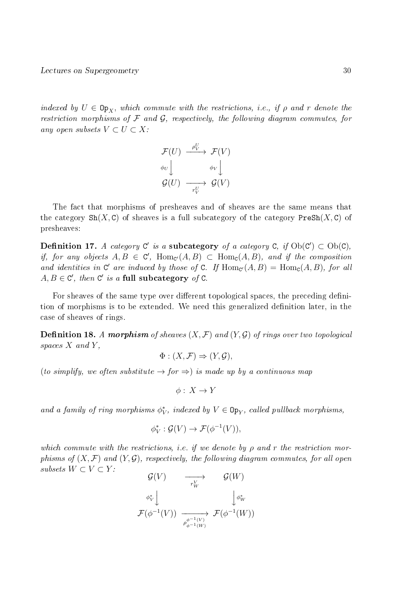indexed by  $U \in \mathbb{Op}_X$ , which commute with the restrictions, i.e., if  $\rho$  and r denote the restriction morphisms of  $\mathcal F$  and  $\mathcal G$ , respectively, the following diagram commutes, for any open subsets  $V \subset U \subset X$ :

$$
\mathcal{F}(U) \xrightarrow{\rho^U_V} \mathcal{F}(V)
$$
\n
$$
\phi_U \downarrow \qquad \phi_V \downarrow
$$
\n
$$
\mathcal{G}(U) \xrightarrow{\rho^U_V} \mathcal{G}(V)
$$

The fact that morphisms of presheaves and of sheaves are the same means that the category  $\text{Sh}(X, \mathcal{C})$  of sheaves is a full subcategory of the category PreSh $(X, \mathcal{C})$  of presheaves:

Definition 17. A category  $C'$  is a subcategory of a category  $C$ , if  $Ob(C') \subset Ob(C)$ , if, for any objects  $A, B \in \mathcal{C}'$ ,  $\text{Hom}_{\mathcal{C}'}(A, B) \subset \text{Hom}_{\mathcal{C}}(A, B)$ , and if the composition and identities in C' are induced by those of C. If  $\text{Hom}_{\mathcal{C}}(A, B) = \text{Hom}_{\mathcal{C}}(A, B)$ , for all  $A, B \in \mathbb{C}'$ , then  $\mathbb{C}'$  is a full subcategory of C.

For sheaves of the same type over different topological spaces, the preceding definition of morphisms is to be extended. We need this generalized definition later, in the case of sheaves of rings.

**Definition 18.** A morphism of sheaves  $(X, \mathcal{F})$  and  $(Y, \mathcal{G})$  of rings over two topological spaces  $X$  and  $Y$ ,

$$
\Phi: (X, \mathcal{F}) \Rightarrow (Y, \mathcal{G}),
$$

(to simplify, we often substitute  $\rightarrow$  for  $\Rightarrow$ ) is made up by a continuous map

$$
\phi: X \to Y
$$

and a family of ring morphisms  $\phi_V^*$ , indexed by  $V \in \mathbb{O}_{PY}$ , called pullback morphisms,

$$
\phi_V^* : \mathcal{G}(V) \to \mathcal{F}(\phi^{-1}(V)),
$$

which commute with the restrictions, i.e. if we denote by  $\rho$  and r the restriction morphisms of  $(X, \mathcal{F})$  and  $(Y, \mathcal{G})$ , respectively, the following diagram commutes, for all open subsets  $W \subset V \subset Y$ :

$$
\begin{array}{ccc}\n\mathcal{G}(V) & \longrightarrow & \mathcal{G}(W) \\
\phi_V^* & & \downarrow \phi_W^* \\
\mathcal{F}(\phi^{-1}(V)) & \longrightarrow & \mathcal{F}(\phi^{-1}(W)) \\
\downarrow^{\phi^{-1}(V)} & \mathcal{F}(\phi^{-1}(W))\n\end{array}
$$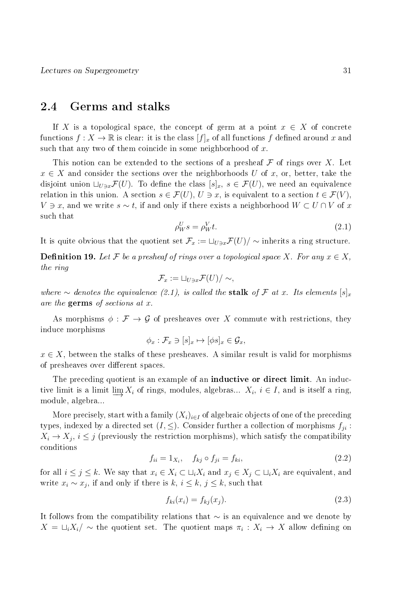## 2.4 Germs and stalks

If X is a topological space, the concept of germ at a point  $x \in X$  of concrete functions  $f: X \to \mathbb{R}$  is clear: it is the class  $[f]_x$  of all functions f defined around x and such that any two of them coincide in some neighborhood of  $x$ .

This notion can be extended to the sections of a presheaf  $\mathcal F$  of rings over X. Let  $x \in X$  and consider the sections over the neighborhoods U of x, or, better, take the disjoint union  $\Box_{U\ni x}\mathcal{F}(U)$ . To define the class  $[s]_x, s \in \mathcal{F}(U)$ , we need an equivalence relation in this union. A section  $s \in \mathcal{F}(U)$ ,  $U \ni x$ , is equivalent to a section  $t \in \mathcal{F}(V)$ ,  $V \ni x$ , and we write  $s \sim t$ , if and only if there exists a neighborhood  $W \subset U \cap V$  of x such that

$$
\rho_W^U s = \rho_W^V t. \tag{2.1}
$$

It is quite obvious that the quotient set  $\mathcal{F}_x := \sqcup_{U \ni x} \mathcal{F}(U)/\sim$  inherits a ring structure.

**Definition 19.** Let F be a presheaf of rings over a topological space X. For any  $x \in X$ , the ring

$$
\mathcal{F}_x := \sqcup_{U \ni x} \mathcal{F}(U) / \sim,
$$

where ∼ denotes the equivalence (2.1), is called the stalk of F at x. Its elements  $[s]_x$ are the germs of sections at x.

As morphisms  $\phi : \mathcal{F} \to \mathcal{G}$  of presheaves over X commute with restrictions, they induce morphisms

$$
\phi_x : \mathcal{F}_x \ni [s]_x \mapsto [\phi s]_x \in \mathcal{G}_x,
$$

 $x \in X$ , between the stalks of these presheaves. A similar result is valid for morphisms of presheaves over different spaces.

The preceding quotient is an example of an **inductive or direct limit**. An inductive limit is a limit  $\underline{\lim} X_i$  of rings, modules, algebras...  $X_i$ ,  $i \in I$ , and is itself a ring, module, algebra...

More precisely, start with a family  $(X_i)_{i\in I}$  of algebraic objects of one of the preceding types, indexed by a directed set  $(I, \leq)$ . Consider further a collection of morphisms  $f_{ji}$ :  $X_i \to X_j$ ,  $i \leq j$  (previously the restriction morphisms), which satisfy the compatibility conditions

$$
f_{ii} = 1_{X_i}, \quad f_{kj} \circ f_{ji} = f_{ki}, \tag{2.2}
$$

for all  $i \leq j \leq k$ . We say that  $x_i \in X_i \subset \sqcup_i X_i$  and  $x_j \in X_j \subset \sqcup_i X_i$  are equivalent, and write  $x_i \sim x_j$ , if and only if there is  $k, i \leq k, j \leq k$ , such that

$$
f_{ki}(x_i) = f_{kj}(x_j). \tag{2.3}
$$

It follows from the compatibility relations that ∼ is an equivalence and we denote by  $X = \sqcup_i X_i / \sim$  the quotient set. The quotient maps  $\pi_i : X_i \to X$  allow defining on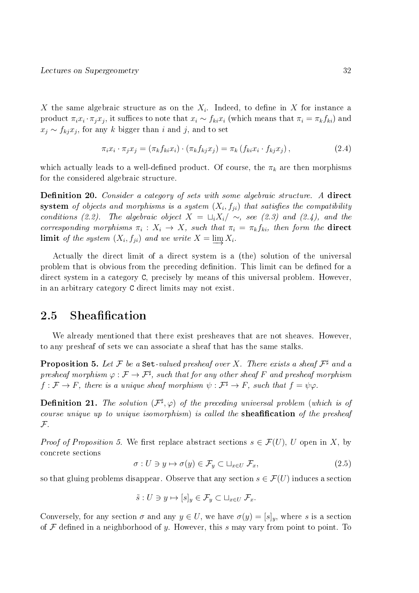X the same algebraic structure as on the  $X_i$ . Indeed, to define in X for instance a product  $\pi_i x_i \cdot \pi_j x_j$ , it suffices to note that  $x_i \sim f_{ki} x_i$  (which means that  $\pi_i = \pi_k f_{ki}$ ) and  $x_j \sim f_{kj} x_j$ , for any k bigger than i and j, and to set

$$
\pi_i x_i \cdot \pi_j x_j = (\pi_k f_{ki} x_i) \cdot (\pi_k f_{kj} x_j) = \pi_k (f_{ki} x_i \cdot f_{kj} x_j), \qquad (2.4)
$$

which actually leads to a well-defined product. Of course, the  $\pi_k$  are then morphisms for the considered algebraic structure.

**Definition 20.** Consider a category of sets with some algebraic structure. A direct  $\textbf{system}$  of objects and morphisms is a system  $(X_i, f_{ji})$  that satisfies the compatibility conditions (2.2). The algebraic object  $X = \sqcup_i X_i / \sim$ , see (2.3) and (2.4), and the corresponding morphisms  $\pi_i: X_i \to X$ , such that  $\pi_i = \pi_k f_{ki}$ , then form the **direct limit** of the system  $(X_i, f_{ji})$  and we write  $X = \varinjlim X_i$ .

Actually the direct limit of a direct system is a (the) solution of the universal problem that is obvious from the preceding definition. This limit can be defined for a direct system in a category C, precisely by means of this universal problem. However, in an arbitrary category C direct limits may not exist.

# 2.5 Sheafification

We already mentioned that there exist presheaves that are not sheaves. However, to any presheaf of sets we can associate a sheaf that has the same stalks.

**Proposition 5.** Let  $\mathcal F$  be a Set-valued presheaf over X. There exists a sheaf  $\mathcal F^{\sharp}$  and a presheaf morphism  $\varphi: \mathcal{F} \to \mathcal{F}^\sharp$ , such that for any other sheaf  $F$  and presheaf morphism  $f: \mathcal{F} \to F$ , there is a unique sheaf morphism  $\psi: \mathcal{F}^{\sharp} \to F$ , such that  $f = \psi \varphi$ .

**Definition 21.** The solution  $(\mathcal{F}^{\sharp}, \varphi)$  of the preceding universal problem (which is of course unique up to unique isomorphism) is called the sheafification of the presheaf  ${\mathcal F}$  .

*Proof of Proposition 5.* We first replace abstract sections  $s \in \mathcal{F}(U)$ , U open in X, by concrete sections

$$
\sigma: U \ni y \mapsto \sigma(y) \in \mathcal{F}_y \subset \sqcup_{x \in U} \mathcal{F}_x,\tag{2.5}
$$

so that gluing problems disappear. Observe that any section  $s \in \mathcal{F}(U)$  induces a section

$$
\tilde{s}: U \ni y \mapsto [s]_y \in \mathcal{F}_y \subset \sqcup_{x \in U} \mathcal{F}_x.
$$

Conversely, for any section  $\sigma$  and any  $y \in U$ , we have  $\sigma(y) = [s]_y$ , where s is a section of  $\mathcal F$  defined in a neighborhood of y. However, this s may vary from point to point. To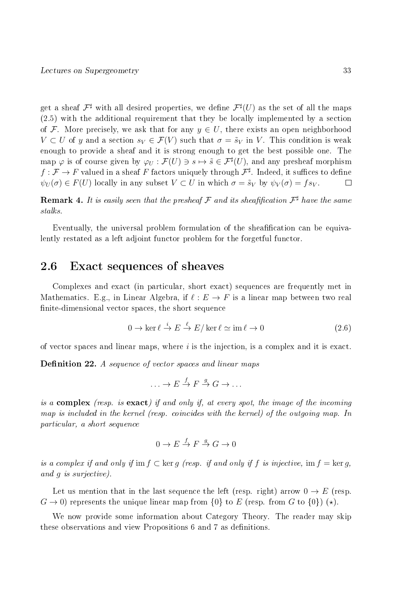get a sheaf  $\mathcal{F}^\sharp$  with all desired properties, we define  $\mathcal{F}^\sharp(U)$  as the set of all the maps (2.5) with the additional requirement that they be locally implemented by a section of F. More precisely, we ask that for any  $y \in U$ , there exists an open neighborhood  $V \subset U$  of y and a section  $s_V \in \mathcal{F}(V)$  such that  $\sigma = \tilde{s}_V$  in V. This condition is weak enough to provide a sheaf and it is strong enough to get the best possible one. The map  $\varphi$  is of course given by  $\varphi_U : \mathcal{F}(U) \ni s \mapsto \tilde{s} \in \mathcal{F}^\sharp(U)$ , and any presheaf morphism  $f: \mathcal{F} \to F$  valued in a sheaf  $F$  factors uniquely through  $\mathcal{F}^\sharp$ . Indeed, it suffices to define  $\psi_U(\sigma) \in F(U)$  locally in any subset  $V \subset U$  in which  $\sigma = \tilde{s}_V$  by  $\psi_V(\sigma) = fs_V$ . П

**Remark 4.** It is easily seen that the presheaf  $\mathcal F$  and its sheafification  $\mathcal F^\sharp$  have the same stalks.

Eventually, the universal problem formulation of the sheafification can be equivalently restated as a left adjoint functor problem for the forgetful functor.

# 2.6 Exact sequences of sheaves

Complexes and exact (in particular, short exact) sequences are frequently met in Mathematics. E.g., in Linear Algebra, if  $\ell : E \to F$  is a linear map between two real finite-dimensional vector spaces, the short sequence

$$
0 \to \ker \ell \stackrel{i}{\to} E \stackrel{\ell}{\to} E/\ker \ell \simeq \mathrm{im}\,\ell \to 0 \tag{2.6}
$$

of vector spaces and linear maps, where  $i$  is the injection, is a complex and it is exact.

**Definition 22.** A sequence of vector spaces and linear maps

$$
\ldots \to E \stackrel{f}{\to} F \stackrel{g}{\to} G \to \ldots
$$

is a complex (resp. is exact) if and only if, at every spot, the image of the incoming map is included in the kernel (resp. coincides with the kernel) of the outgoing map. In particular, a short sequence

$$
0 \to E \xrightarrow{f} F \xrightarrow{g} G \to 0
$$

is a complex if and only if im  $f \subset \text{ker } q$  (resp. if and only if f is injective, im  $f = \text{ker } q$ , and g is surjective).

Let us mention that in the last sequence the left (resp. right) arrow  $0 \to E$  (resp.  $G \to 0$ ) represents the unique linear map from  $\{0\}$  to E (resp. from G to  $\{0\}$ ) (\*).

We now provide some information about Category Theory. The reader may skip these observations and view Propositions 6 and 7 as definitions.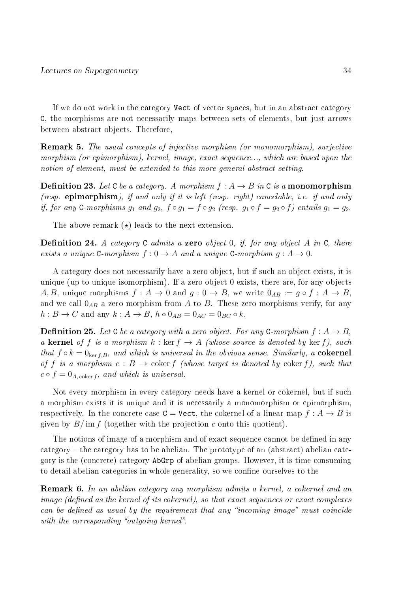If we do not work in the category Vect of vector spaces, but in an abstract category C, the morphisms are not necessarily maps between sets of elements, but just arrows between abstract objects. Therefore,

Remark 5. The usual concepts of injective morphism (or monomorphism), surjective morphism (or epimorphism), kernel, image, exact sequence..., which are based upon the notion of element, must be extended to this more general abstract setting.

**Definition 23.** Let C be a category. A morphism  $f : A \rightarrow B$  in C is a monomorphism (resp. epimorphism), if and only if it is left (resp. right) cancelable, i.e. if and only if, for any C-morphisms  $g_1$  and  $g_2$ ,  $f \circ g_1 = f \circ g_2$  (resp.  $g_1 \circ f = g_2 \circ f$ ) entails  $g_1 = g_2$ .

The above remark  $(\star)$  leads to the next extension.

**Definition 24.** A category  $C$  admits a zero object 0, if, for any object A in  $C$ , there exists a unique C-morphism  $f: 0 \to A$  and a unique C-morphism  $q: A \to 0$ .

A category does not necessarily have a zero object, but if such an object exists, it is unique (up to unique isomorphism). If a zero object 0 exists, there are, for any objects A, B, unique morphisms  $f: A \to 0$  and  $g: 0 \to B$ , we write  $0_{AB} := g \circ f: A \to B$ , and we call  $0_{AB}$  a zero morphism from A to B. These zero morphisms verify, for any  $h: B \to C$  and any  $k: A \to B$ ,  $h \circ 0_{AB} = 0_{AC} = 0_{BC} \circ k$ .

**Definition 25.** Let C be a category with a zero object. For any C-morphism  $f: A \rightarrow B$ , a kernel of f is a morphism  $k : \text{ker } f \to A$  (whose source is denoted by  $\text{ker } f$ ), such that  $f \circ k = 0_{\text{ker }f,B}$ , and which is universal in the obvious sense. Similarly, a cokernel of f is a morphism  $c : B \to \text{coker } f$  (whose target is denoted by coker f), such that  $c \circ f = 0_{A,\text{coker }f}$ , and which is universal.

Not every morphism in every category needs have a kernel or cokernel, but if such a morphism exists it is unique and it is necessarily a monomorphism or epimorphism, respectively. In the concrete case  $C = \text{Vect}$ , the cokernel of a linear map  $f : A \to B$  is given by  $B/\text{im } f$  (together with the projection c onto this quotient).

The notions of image of a morphism and of exact sequence cannot be defined in any  $category$  – the category has to be abelian. The prototype of an (abstract) abelian category is the (concrete) category AbGrp of abelian groups. However, it is time consuming to detail abelian categories in whole generality, so we confine ourselves to the

Remark 6. In an abelian category any morphism admits a kernel, a cokernel and an image (defined as the kernel of its cokernel), so that exact sequences or exact complexes can be defined as usual by the requirement that any "incoming image" must coincide with the corresponding "outgoing kernel".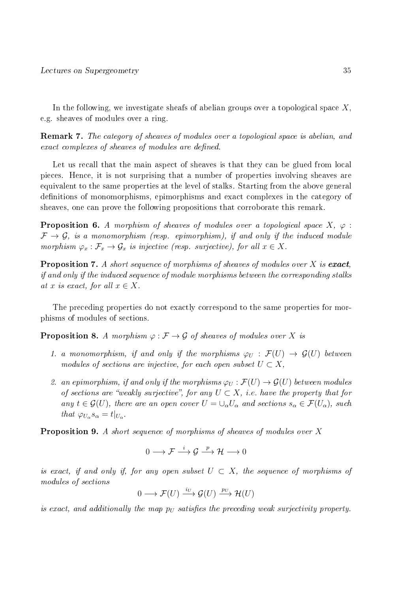In the following, we investigate sheafs of abelian groups over a topological space  $X$ , e.g. sheaves of modules over a ring.

Remark 7. The category of sheaves of modules over a topological space is abelian, and exact complexes of sheaves of modules are defined.

Let us recall that the main aspect of sheaves is that they can be glued from local pieces. Hence, it is not surprising that a number of properties involving sheaves are equivalent to the same properties at the level of stalks. Starting from the above general definitions of monomorphisms, epimorphisms and exact complexes in the category of sheaves, one can prove the following propositions that corroborate this remark.

**Proposition 6.** A morphism of sheaves of modules over a topological space  $X$ ,  $\varphi$ :  $\mathcal{F} \rightarrow \mathcal{G}$ , is a monomorphism (resp. epimorphism), if and only if the induced module morphism  $\varphi_x : \mathcal{F}_x \to \mathcal{G}_x$  is injective (resp. surjective), for all  $x \in X$ .

**Proposition 7.** A short sequence of morphisms of sheaves of modules over X is exact, if and only if the induced sequence of module morphisms between the corresponding stalks at x is exact, for all  $x \in X$ .

The preceding properties do not exactly correspond to the same properties for morphisms of modules of sections.

**Proposition 8.** A morphism  $\varphi : \mathcal{F} \to \mathcal{G}$  of sheaves of modules over X is

- 1. a monomorphism, if and only if the morphisms  $\varphi_U : \mathcal{F}(U) \to \mathcal{G}(U)$  between modules of sections are injective, for each open subset  $U \subset X$ ,
- 2. an epimorphism, if and only if the morphisms  $\varphi_U : \mathcal{F}(U) \to \mathcal{G}(U)$  between modules of sections are "weakly surjective", for any  $U \subset X$ , i.e. have the property that for any  $t \in \mathcal{G}(U)$ , there are an open cover  $U = \bigcup_{\alpha} U_{\alpha}$  and sections  $s_{\alpha} \in \mathcal{F}(U_{\alpha})$ , such that  $\varphi_{U_{\alpha}} s_{\alpha} = t|_{U_{\alpha}}$ .

Proposition 9. A short sequence of morphisms of sheaves of modules over X

$$
0\longrightarrow \mathcal{F}\stackrel{i}{\longrightarrow} \mathcal{G}\stackrel{p}{\longrightarrow} \mathcal{H}\longrightarrow 0
$$

is exact, if and only if, for any open subset  $U \subset X$ , the sequence of morphisms of modules of sections

$$
0 \longrightarrow \mathcal{F}(U) \xrightarrow{i_U} \mathcal{G}(U) \xrightarrow{p_U} \mathcal{H}(U)
$$

is exact, and additionally the map  $p_U$  satisfies the preceding weak surjectivity property.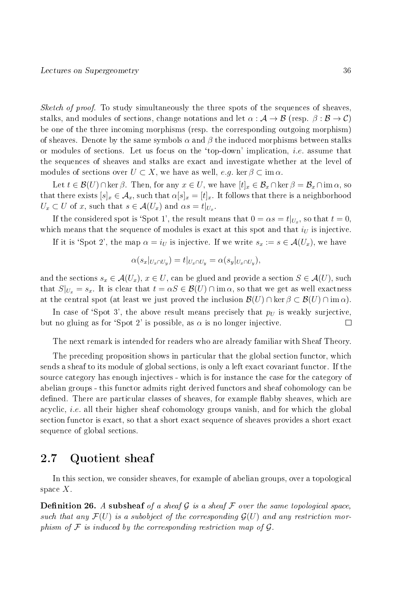*Sketch of proof.* To study simultaneously the three spots of the sequences of sheaves stalks, and modules of sections, change notations and let  $\alpha : A \to B$  (resp.  $\beta : B \to C$ ) be one of the three incoming morphisms (resp. the corresponding outgoing morphism) of sheaves. Denote by the same symbols  $\alpha$  and  $\beta$  the induced morphisms between stalks or modules of sections. Let us focus on the 'top-down' implication, *i.e.* assume that the sequences of sheaves and stalks are exact and investigate whether at the level of modules of sections over  $U \subset X$ , we have as well,  $e.g. \ker \beta \subset \operatorname{im} \alpha$ .

Let  $t \in \mathcal{B}(U) \cap \ker \beta$ . Then, for any  $x \in U$ , we have  $[t]_x \in \mathcal{B}_x \cap \ker \beta = \mathcal{B}_x \cap \text{im } \alpha$ , so that there exists  $[s]_x \in \mathcal{A}_x$ , such that  $\alpha[s]_x = [t]_x$ . It follows that there is a neighborhood  $U_x \subset U$  of x, such that  $s \in \mathcal{A}(U_x)$  and  $\alpha s = t|_{U_x}$ .

If the considered spot is 'Spot 1', the result means that  $0 = \alpha s = t|_{U_x}$ , so that  $t = 0$ , which means that the sequence of modules is exact at this spot and that  $i_U$  is injective.

If it is 'Spot 2', the map  $\alpha = i_U$  is injective. If we write  $s_x := s \in \mathcal{A}(U_x)$ , we have

$$
\alpha(s_x|_{U_x \cap U_y}) = t|_{U_x \cap U_y} = \alpha(s_y|_{U_x \cap U_y}),
$$

and the sections  $s_x \in \mathcal{A}(U_x)$ ,  $x \in U$ , can be glued and provide a section  $S \in \mathcal{A}(U)$ , such that  $S|_{U_x} = s_x$ . It is clear that  $t = \alpha S \in \mathcal{B}(U) \cap \text{im }\alpha$ , so that we get as well exactness at the central spot (at least we just proved the inclusion  $\mathcal{B}(U) \cap \ker \beta \subset \mathcal{B}(U) \cap \operatorname{im} \alpha$ ).

In case of 'Spot 3', the above result means precisely that  $p_U$  is weakly surjective, but no gluing as for 'Spot 2' is possible, as  $\alpha$  is no longer injective.  $\Box$ 

The next remark is intended for readers who are already familiar with Sheaf Theory.

The preceding proposition shows in particular that the global section functor, which sends a sheaf to its module of global sections, is only a left exact covariant functor. If the source category has enough injectives - which is for instance the case for the category of abelian groups - this functor admits right derived functors and sheaf cohomology can be defined. There are particular classes of sheaves, for example flabby sheaves, which are acyclic, i.e. all their higher sheaf cohomology groups vanish, and for which the global section functor is exact, so that a short exact sequence of sheaves provides a short exact sequence of global sections.

## 2.7 Quotient sheaf

In this section, we consider sheaves, for example of abelian groups, over a topological space  $X$ .

**Definition 26.** A subsheaf of a sheaf G is a sheaf F over the same topological space, such that any  $\mathcal{F}(U)$  is a subobject of the corresponding  $\mathcal{G}(U)$  and any restriction morphism of  $\mathcal F$  is induced by the corresponding restriction map of  $\mathcal G$ .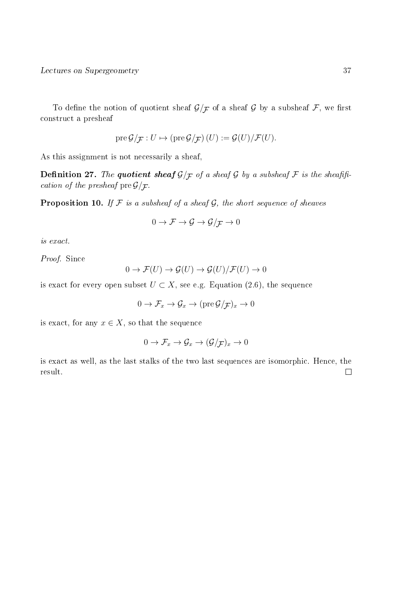To define the notion of quotient sheaf  $\mathcal{G}/\mathcal{F}$  of a sheaf  $\mathcal G$  by a subsheaf  $\mathcal F$ , we first construct a presheaf

$$
\operatorname{pre} \mathcal{G}/\mathcal{F}: U \mapsto (\operatorname{pre} \mathcal{G}/\mathcal{F})(U) := \mathcal{G}(U)/\mathcal{F}(U).
$$

As this assignment is not necessarily a sheaf,

**Definition 27.** The quotient sheaf  $\mathcal{G}/\mathcal{F}$  of a sheaf  $\mathcal{G}$  by a subsheaf  $\mathcal{F}$  is the sheafification of the presheaf  $\text{pre}\,\mathcal{G}/\mathcal{F}.$ 

**Proposition 10.** If  $F$  is a subsheaf of a sheaf  $G$ , the short sequence of sheaves

$$
0\to \mathcal{F}\to \mathcal{G}\to \mathcal{G}/\mathcal{F}\to 0
$$

is exact.

Proof. Since

$$
0 \to \mathcal{F}(U) \to \mathcal{G}(U) \to \mathcal{G}(U)/\mathcal{F}(U) \to 0
$$

is exact for every open subset  $U \subset X$ , see e.g. Equation (2.6), the sequence

$$
0 \to \mathcal{F}_x \to \mathcal{G}_x \to (\text{pre } \mathcal{G}/\mathcal{F})_x \to 0
$$

is exact, for any  $x \in X$ , so that the sequence

$$
0 \to \mathcal{F}_x \to \mathcal{G}_x \to (\mathcal{G}/\mathcal{F})_x \to 0
$$

is exact as well, as the last stalks of the two last sequences are isomorphic. Hence, the result. $\Box$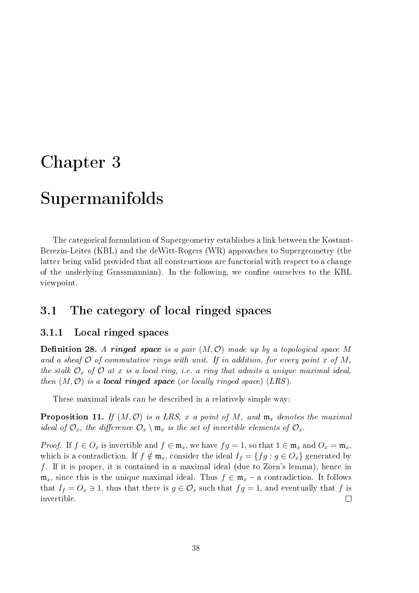# Chapter 3

# Supermanifolds

The categorical formulation of Supergeometry establishes a link between the Kostant-Berezin-Leites (KBL) and the deWitt-Rogers (WR) approaches to Supergeometry (the latter being valid provided that all constructions are functorial with respect to a change of the underlying Grassmannian). In the following, we confine ourselves to the KBL viewpoint.

## 3.1 The category of local ringed spaces

#### 3.1.1 Local ringed spaces

**Definition 28.** A ringed space is a pair  $(M, \mathcal{O})$  made up by a topological space M and a sheaf  $\mathcal O$  of commutative rings with unit. If in addition, for every point x of M, the stalk  $\mathcal{O}_x$  of  $\mathcal O$  at x is a local ring, i.e. a ring that admits a unique maximal ideal, then  $(M, \mathcal{O})$  is a **local ringed space** (or locally ringed space) (LRS).

These maximal ideals can be described in a relatively simple way:

**Proposition 11.** If  $(M, \mathcal{O})$  is a LRS, x a point of M, and  $\mathfrak{m}_x$  denotes the maximal ideal of  $\mathcal{O}_x$ , the difference  $\mathcal{O}_x \setminus \mathfrak{m}_x$  is the set of invertible elements of  $\mathcal{O}_x$ .

*Proof.* If  $f \in O_x$  is invertible and  $f \in \mathfrak{m}_x$ , we have  $fg = 1$ , so that  $1 \in \mathfrak{m}_x$  and  $O_x = \mathfrak{m}_x$ , which is a contradiction. If  $f \notin \mathfrak{m}_x$ , consider the ideal  $I_f = \{fg : g \in O_x\}$  generated by f. If it is proper, it is contained in a maximal ideal (due to Zorn's lemma), hence in  $\mathfrak{m}_x$ , since this is the unique maximal ideal. Thus  $f \in \mathfrak{m}_x$  – a contradiction. It follows that  $I_f = O_x \ni 1$ , thus that there is  $g \in O_x$  such that  $fg = 1$ , and eventually that f is invertible.  $\Box$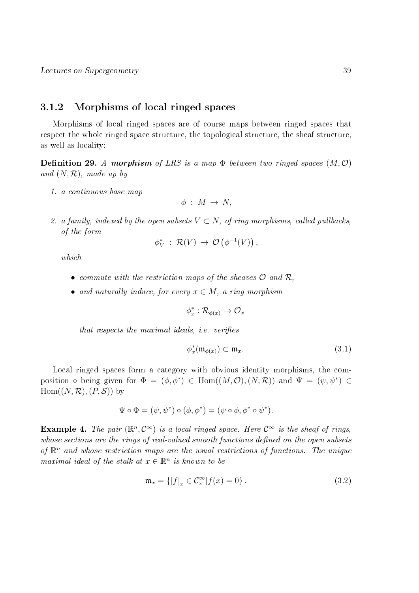#### 3.1.2 Morphisms of local ringed spaces

Morphisms of local ringed spaces are of course maps between ringed spaces that respect the whole ringed space structure, the topological structure, the sheaf structure, as well as locality:

**Definition 29.** A morphism of LRS is a map  $\Phi$  between two ringed spaces  $(M, \mathcal{O})$ and  $(N, \mathcal{R})$ , made up by

1. a continuous base map

$$
\phi \; : \; M \, \rightarrow \, N,
$$

2. a family, indexed by the open subsets  $V \subset N$ , of ring morphisms, called pullbacks, of the form

$$
\phi_V^* \; : \; \mathcal{R}(V) \, \rightarrow \, \mathcal{O}\left(\phi^{-1}(V)\right),
$$

which

- commute with the restriction maps of the sheaves  $\mathcal O$  and  $\mathcal R$ ,
- and naturally induce, for every  $x \in M$ , a ring morphism

$$
\phi_x^*:\mathcal{R}_{\phi(x)}\to\mathcal{O}_x
$$

that respects the maximal ideals, *i.e.* verifies

$$
\phi_x^*(\mathfrak{m}_{\phi(x)}) \subset \mathfrak{m}_x. \tag{3.1}
$$

Local ringed spaces form a category with obvious identity morphisms, the composition  $\circ$  being given for  $\Phi = (\phi, \phi^*) \in \text{Hom}((M, \mathcal{O}), (N, \mathcal{R}))$  and  $\Psi = (\psi, \psi^*) \in$  $Hom((N, \mathcal{R}), (P, \mathcal{S}))$  by

$$
\Psi \circ \Phi = (\psi, \psi^*) \circ (\phi, \phi^*) = (\psi \circ \phi, \phi^* \circ \psi^*).
$$

**Example 4.** The pair  $(\mathbb{R}^n, \mathcal{C}^{\infty})$  is a local ringed space. Here  $\mathcal{C}^{\infty}$  is the sheaf of rings, whose sections are the rings of real-valued smooth functions defined on the open subsets of  $\mathbb{R}^n$  and whose restriction maps are the usual restrictions of functions. The unique maximal ideal of the stalk at  $x \in \mathbb{R}^n$  is known to be

$$
\mathfrak{m}_x = \{ [f]_x \in \mathcal{C}_x^{\infty} | f(x) = 0 \}.
$$
 (3.2)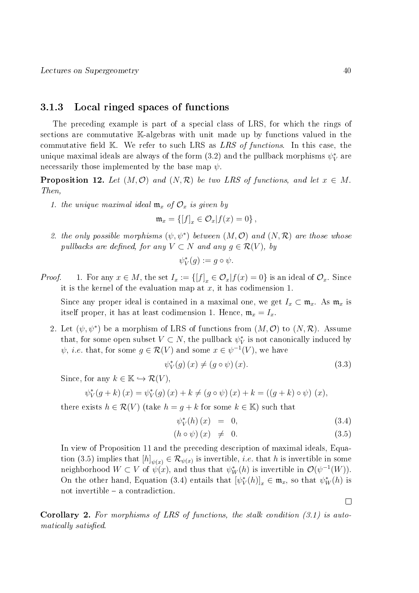#### 3.1.3 Local ringed spaces of functions

The preceding example is part of a special class of LRS, for which the rings of sections are commutative K-algebras with unit made up by functions valued in the commutative field  $K$ . We refer to such LRS as LRS of functions. In this case, the unique maximal ideals are always of the form  $(3.2)$  and the pullback morphisms  $\psi_V^*$  are necessarily those implemented by the base map  $\psi$ .

**Proposition 12.** Let  $(M, \mathcal{O})$  and  $(N, \mathcal{R})$  be two LRS of functions, and let  $x \in M$ . Then,

1. the unique maximal ideal  $\mathfrak{m}_x$  of  $\mathcal{O}_x$  is given by

$$
\mathfrak{m}_x = \{ [f]_x \in \mathcal{O}_x | f(x) = 0 \},
$$

2. the only possible morphisms  $(\psi, \psi^*)$  between  $(M, \mathcal{O})$  and  $(N, \mathcal{R})$  are those whose pullbacks are defined, for any  $V \subset N$  and any  $g \in \mathcal{R}(V)$ , by

$$
\psi_V^*(g) := g \circ \psi.
$$

*Proof.* 1. For any  $x \in M$ , the set  $I_x := \{ [f]_x \in \mathcal{O}_x | f(x) = 0 \}$  is an ideal of  $\mathcal{O}_x$ . Since it is the kernel of the evaluation map at  $x$ , it has codimension 1.

Since any proper ideal is contained in a maximal one, we get  $I_x \subset \mathfrak{m}_x$ . As  $\mathfrak{m}_x$  is itself proper, it has at least codimension 1. Hence,  $\mathfrak{m}_x = I_x$ .

2. Let  $(\psi, \psi^*)$  be a morphism of LRS of functions from  $(M, \mathcal{O})$  to  $(N, \mathcal{R})$ . Assume that, for some open subset  $V \subset N$ , the pullback  $\psi_V^*$  is not canonically induced by  $\psi$ , *i.e.* that, for some  $g \in \mathcal{R}(V)$  and some  $x \in \psi^{-1}(V)$ , we have

$$
\psi_V^*(g)(x) \neq (g \circ \psi)(x). \tag{3.3}
$$

Since, for any  $k \in \mathbb{K} \hookrightarrow \mathcal{R}(V)$ .

$$
\psi_V^*(g + k)(x) = \psi_V^*(g)(x) + k \neq (g \circ \psi)(x) + k = ((g + k) \circ \psi)(x),
$$

there exists  $h \in \mathcal{R}(V)$  (take  $h = g + k$  for some  $k \in \mathbb{K}$ ) such that

$$
\psi_V^*(h)(x) = 0, \tag{3.4}
$$

$$
(h \circ \psi)(x) \neq 0. \tag{3.5}
$$

In view of Proposition 11 and the preceding description of maximal ideals, Equation (3.5) implies that  $[h]_{\psi(x)} \in \mathcal{R}_{\psi(x)}$  is invertible, *i.e.* that h is invertible in some neighborhood  $W \subset V$  of  $\psi(x)$ , and thus that  $\psi_W^*(h)$  is invertible in  $\mathcal{O}(\psi^{-1}(W))$ . On the other hand, Equation (3.4) entails that  $[\psi^*_{V}(h)]_x \in \mathfrak{m}_x$ , so that  $\psi^*_{W}(h)$  is not invertible  $-$  a contradiction.

**Corollary 2.** For morphisms of LRS of functions, the stalk condition  $(3.1)$  is automatically satisfied.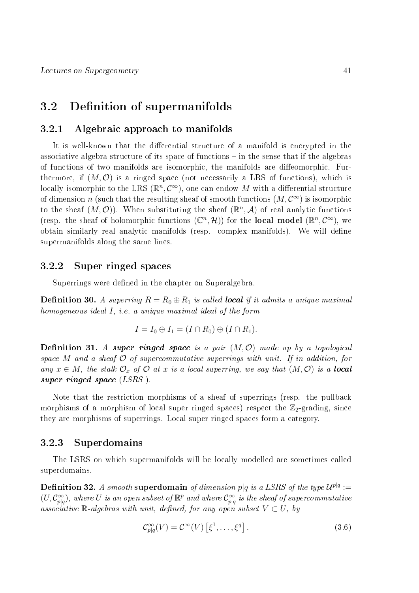## 3.2 Definition of supermanifolds

#### 3.2.1 Algebraic approach to manifolds

It is well-known that the differential structure of a manifold is encrypted in the associative algebra structure of its space of functions  $-$  in the sense that if the algebras of functions of two manifolds are isomorphic, the manifolds are diffeomorphic. Furthermore, if  $(M, \mathcal{O})$  is a ringed space (not necessarily a LRS of functions), which is locally isomorphic to the LRS  $(\mathbb{R}^n, \mathcal{C}^\infty)$ , one can endow  $M$  with a differential structure of dimension n (such that the resulting sheaf of smooth functions  $(M, \mathcal{C}^{\infty})$  is isomorphic to the sheaf  $(M, \mathcal{O})$ ). When substituting the sheaf  $(\mathbb{R}^n, \mathcal{A})$  of real analytic functions (resp. the sheaf of holomorphic functions  $(\mathbb{C}^n, \mathcal{H})$ ) for the **local model**  $(\mathbb{R}^n, \mathcal{C}^{\infty})$ , we obtain similarly real analytic manifolds (resp. complex manifolds). We will define supermanifolds along the same lines.

#### 3.2.2 Super ringed spaces

Superrings were defined in the chapter on Superalgebra.

**Definition 30.** A superring  $R = R_0 \oplus R_1$  is called **local** if it admits a unique maximal homogeneous ideal I, i.e. a unique maximal ideal of the form

$$
I = I_0 \oplus I_1 = (I \cap R_0) \oplus (I \cap R_1).
$$

**Definition 31.** A super ringed space is a pair  $(M, \mathcal{O})$  made up by a topological space M and a sheaf  $\mathcal O$  of supercommutative superrings with unit. If in addition, for any  $x \in M$ , the stalk  $\mathcal{O}_x$  of  $\mathcal O$  at x is a local superring, we say that  $(M, \mathcal O)$  is a **local** super ringed space (LSRS).

Note that the restriction morphisms of a sheaf of superrings (resp. the pullback morphisms of a morphism of local super ringed spaces) respect the  $\mathbb{Z}_2$ -grading, since they are morphisms of superrings. Local super ringed spaces form a category.

#### 3.2.3 Superdomains

The LSRS on which supermanifolds will be locally modelled are sometimes called superdomains.

 ${\bf Definition ~32.} ~A ~ smooth ~{\bf superdomain} ~of ~ dimension ~p|q ~is ~a ~LSRS ~of ~the~ type ~{\cal U}^{p|q}:=$  $(U, \mathcal{C}^{\infty}_{p|q})$ , where U is an open subset of  $\mathbb{R}^p$  and where  $\mathcal{C}^{\infty}_{p|q}$  is the sheaf of supercommutative associative R-algebras with unit, defined, for any open subset  $V \subset U$ , by

$$
\mathcal{C}^{\infty}_{p|q}(V) = \mathcal{C}^{\infty}(V) \left[ \xi^1, \dots, \xi^q \right]. \tag{3.6}
$$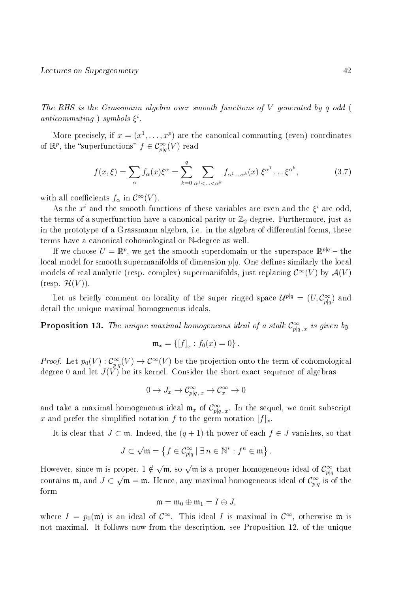The RHS is the Grassmann algebra over smooth functions of V generated by q odd ( anticommuting ) symbols  $\xi^i$ .

More precisely, if  $x = (x^1, \ldots, x^p)$  are the canonical commuting (even) coordinates of  $\mathbb{R}^p$ , the "superfunctions"  $f \in \mathcal{C}^{\infty}_{p|q}(V)$  read

$$
f(x,\xi) = \sum_{\alpha} f_{\alpha}(x)\xi^{\alpha} = \sum_{k=0}^{q} \sum_{\alpha^{1} < \dots < \alpha^{k}} f_{\alpha^{1} \dots \alpha^{k}}(x) \xi^{\alpha^{1}} \dots \xi^{\alpha^{k}},
$$
(3.7)

with all coefficients  $f_{\alpha}$  in  $\mathcal{C}^{\infty}(V)$ .

As the  $x^i$  and the smooth functions of these variables are even and the  $\xi^i$  are odd, the terms of a superfunction have a canonical parity or  $\mathbb{Z}_2$ -degree. Furthermore, just as in the prototype of a Grassmann algebra, i.e. in the algebra of differential forms, these terms have a canonical cohomological or N-degree as well.

If we choose  $U = \mathbb{R}^p$ , we get the smooth superdomain or the superspace  $\mathbb{R}^{p|q}$  – the local model for smooth supermanifolds of dimension  $p|q$ . One defines similarly the local models of real analytic (resp. complex) supermanifolds, just replacing  $\mathcal{C}^{\infty}(V)$  by  $\mathcal{A}(V)$  $(\text{resp. } \mathcal{H}(V)).$ 

Let us briefly comment on locality of the super ringed space  $\mathcal{U}^{p|q} = (U, \mathcal{C}^{\infty}_{p|q})$  and detail the unique maximal homogeneous ideals.

**Proposition 13.** The unique maximal homogeneous ideal of a stalk  $\mathcal{C}^{\infty}_{p|q,x}$  is given by

$$
\mathfrak{m}_x = \{ [f]_x : f_0(x) = 0 \}.
$$

*Proof.* Let  $p_0(V) : C^{\infty}_{p|q}(V) \to C^{\infty}(V)$  be the projection onto the term of cohomological degree 0 and let  $J(V)$  be its kernel. Consider the short exact sequence of algebras

$$
0 \to J_x \to \mathcal{C}^{\infty}_{p|q\,,x} \to \mathcal{C}^{\infty}_x \to 0
$$

and take a maximal homogeneous ideal  $\mathfrak{m}_x$  of  $\mathcal{C}^{\infty}_{p|q\,,x}$ . In the sequel, we omit subscript x and prefer the simplified notation f to the germ notation  $[f]_x$ .

It is clear that  $J \subset \mathfrak{m}$ . Indeed, the  $(q + 1)$ -th power of each  $f \in J$  vanishes, so that

$$
J \subset \sqrt{\mathfrak{m}} = \left\{ f \in \mathcal{C}^{\infty}_{p|q} \mid \exists n \in \mathbb{N}^* : f^n \in \mathfrak{m} \right\}.
$$

However, since  ${\mathfrak m}$  is proper,  $1\notin$ proper,  $1 \notin \sqrt{\mathfrak{m}}$ , so  $\sqrt{\mathfrak{m}}$  is a proper homogeneous ideal of  $\mathcal{C}^{\infty}_{pq}$  that contains  $\mathfrak{m}$ , and  $J \subset \sqrt{\mathfrak{m}} = \mathfrak{m}$ . Hence, any maximal homogeneous ideal of  $\mathcal{C}^{\infty}_{p|q}$  is of the form

$$
\mathfrak{m}=\mathfrak{m}_0\oplus \mathfrak{m}_1=I\oplus J,
$$

where  $I = p_0(\mathfrak{m})$  is an ideal of  $\mathcal{C}^{\infty}$ . This ideal I is maximal in  $\mathcal{C}^{\infty}$ , otherwise  $\mathfrak{m}$  is not maximal. It follows now from the description, see Proposition 12, of the unique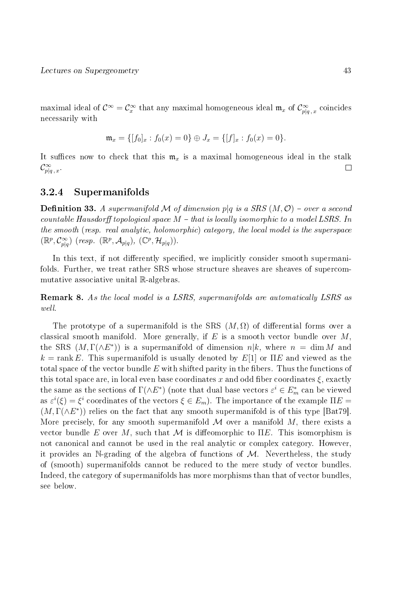maximal ideal of  $\mathcal{C}^\infty = \mathcal{C}^\infty_x$  that any maximal homogeneous ideal  $\mathfrak{m}_x$  of  $\mathcal{C}^\infty_{p|q,x}$  coincides necessarily with

$$
\mathfrak{m}_x = \{ [f_0]_x : f_0(x) = 0 \} \oplus J_x = \{ [f]_x : f_0(x) = 0 \}.
$$

It suffices now to check that this  $\mathfrak{m}_x$  is a maximal homogeneous ideal in the stalk  $\mathcal{C}^{\infty}_{p|q\,,\,x}.$  $\Box$ 

#### 3.2.4 Supermanifolds

**Definition 33.** A supermanifold M of dimension p|q is a SRS  $(M, \mathcal{O})$  – over a second countable Hausdorff topological space  $M$  – that is locally isomorphic to a model LSRS. In the smooth (resp. real analytic, holomorphic) category, the local model is the superspace  $(\mathbb{R}^p, \mathcal{C}^\infty_{p|q})$  (resp.  $(\mathbb{R}^p, \mathcal{A}_{p|q})$ ,  $(\mathbb{C}^p, \mathcal{H}_{p|q})$ ).

In this text, if not differently specified, we implicitly consider smooth supermanifolds. Further, we treat rather SRS whose structure sheaves are sheaves of supercommutative associative unital R-algebras.

**Remark 8.** As the local model is a LSRS, supermanifolds are automatically LSRS as well.

The prototype of a supermanifold is the SRS  $(M, \Omega)$  of differential forms over a classical smooth manifold. More generally, if  $E$  is a smooth vector bundle over M. the SRS  $(M, \Gamma(\wedge E^*))$  is a supermanifold of dimension  $n|k$ , where  $n = \dim M$  and  $k = \text{rank } E$ . This supermanifold is usually denoted by  $E[1]$  or  $\Pi E$  and viewed as the total space of the vector bundle  $E$  with shifted parity in the fibers. Thus the functions of this total space are, in local even base coordinates x and odd fiber coordinates  $\xi$ , exactly the same as the sections of  $\Gamma(\wedge E^*)$  (note that dual base vectors  $\varepsilon^i \in E^*_m$  can be viewed as  $\varepsilon^i(\xi) = \xi^i$  coordinates of the vectors  $\xi \in E_m$ ). The importance of the example  $\Pi E =$  $(M, \Gamma(\wedge E^*))$  relies on the fact that any smooth supermanifold is of this type [Bat79]. More precisely, for any smooth supermanifold  $\mathcal M$  over a manifold  $M$ , there exists a vector bundle E over M, such that M is diffeomorphic to  $\Pi E$ . This isomorphism is not canonical and cannot be used in the real analytic or complex category. However, it provides an N-grading of the algebra of functions of  $M$ . Nevertheless, the study of (smooth) supermanifolds cannot be reduced to the mere study of vector bundles. Indeed, the category of supermanifolds has more morphisms than that of vector bundles, see below.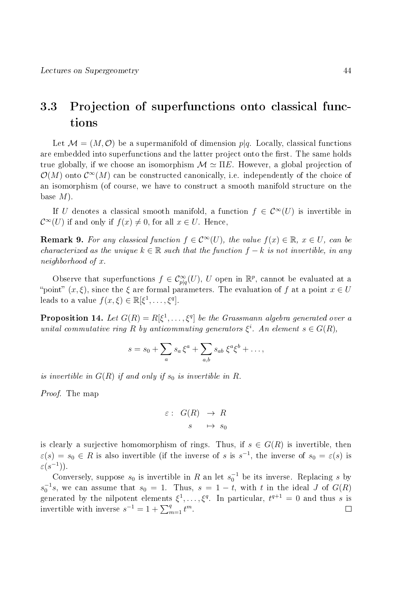# 3.3 Projection of superfunctions onto classical functions

Let  $\mathcal{M} = (M, \mathcal{O})$  be a supermanifold of dimension  $p|q$ . Locally, classical functions are embedded into superfunctions and the latter project onto the first. The same holds true globally, if we choose an isomorphism  $\mathcal{M} \simeq \Pi E$ . However, a global projection of  $\mathcal{O}(M)$  onto  $\mathcal{C}^{\infty}(M)$  can be constructed canonically, i.e. independently of the choice of an isomorphism (of course, we have to construct a smooth manifold structure on the base  $M$ ).

If U denotes a classical smooth manifold, a function  $f \in \mathcal{C}^{\infty}(U)$  is invertible in  $\mathcal{C}^{\infty}(U)$  if and only if  $f(x) \neq 0$ , for all  $x \in U$ . Hence,

**Remark 9.** For any classical function  $f \in C^{\infty}(U)$ , the value  $f(x) \in \mathbb{R}$ ,  $x \in U$ , can be characterized as the unique  $k \in \mathbb{R}$  such that the function  $f - k$  is not invertible, in any neighborhood of x.

Observe that superfunctions  $f \in \mathcal{C}^{\infty}_{p|q}(U)$ , U open in  $\mathbb{R}^p$ , cannot be evaluated at a "point"  $(x, \xi)$ , since the  $\xi$  are formal parameters. The evaluation of f at a point  $x \in U$ leads to a value  $f(x,\xi) \in \mathbb{R}[\xi^1,\ldots,\xi^q]$ .

**Proposition 14.** Let  $G(R) = R[\xi^1, \ldots, \xi^q]$  be the Grassmann algebra generated over a unital commutative ring R by anticommuting generators  $\xi^i$ . An element  $s \in G(R)$ ,

$$
s = s_0 + \sum_a s_a \xi^a + \sum_{a,b} s_{ab} \xi^a \xi^b + \dots,
$$

is invertible in  $G(R)$  if and only if  $s_0$  is invertible in R.

Proof. The map

$$
\varepsilon: G(R) \to R
$$

$$
s \mapsto s_0
$$

is clearly a surjective homomorphism of rings. Thus, if  $s \in G(R)$  is invertible, then  $\varepsilon(s) = s_0 \in R$  is also invertible (if the inverse of s is s<sup>-1</sup>, the inverse of  $s_0 = \varepsilon(s)$  is  $\varepsilon(s^{-1})$ ).

Conversely, suppose  $s_0$  is invertible in R an let  $s_0^{-1}$  be its inverse. Replacing s by  $s_0^{-1}s$ , we can assume that  $s_0 = 1$ . Thus,  $s = 1 - t$ , with t in the ideal J of  $G(R)$ generated by the nilpotent elements  $\xi^1,\ldots,\xi^q$ . In particular,  $t^{q+1}=0$  and thus s is invertible with inverse  $s^{-1} = 1 + \sum_{m=1}^{q} t^m$ .  $\Box$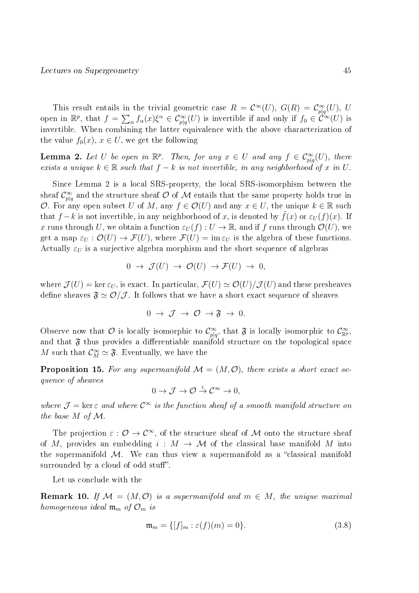This result entails in the trivial geometric case  $R = \mathcal{C}^{\infty}(U)$ ,  $G(R) = \mathcal{C}^{\infty}_{p|q}(U)$ , U open in  $\mathbb{R}^p$ , that  $f = \sum_{\alpha} f_{\alpha}(x) \xi^{\alpha} \in C^{\infty}_{p|q}(U)$  is invertible if and only if  $f_0 \in C^{\infty}(U)$  is invertible. When combining the latter equivalence with the above characterization of the value  $f_0(x)$ ,  $x \in U$ , we get the following

**Lemma 2.** Let U be open in  $\mathbb{R}^p$ . Then, for any  $x \in U$  and any  $f \in C_{p|q}^{\infty}(U)$ , there exists a unique  $k \in \mathbb{R}$  such that  $f - k$  is not invertible, in any neighborhood of x in U.

Since Lemma 2 is a local SRS-property, the local SRS-isomorphism between the sheaf  $\mathcal{C}^\infty_{p|q}$  and the structure sheaf  $\mathcal O$  of  $\mathcal M$  entails that the same property holds true in O. For any open subset U of M, any  $f \in \mathcal{O}(U)$  and any  $x \in U$ , the unique  $k \in \mathbb{R}$  such that f – k is not invertible, in any neighborhood of x, is denoted by  $f(x)$  or  $\varepsilon_U(f)(x)$ . If x runs through U, we obtain a function  $\varepsilon_U(f) : U \to \mathbb{R}$ , and if f runs through  $\mathcal{O}(U)$ , we get a map  $\varepsilon_U : \mathcal{O}(U) \to \mathcal{F}(U)$ , where  $\mathcal{F}(U) = \text{im } \varepsilon_U$  is the algebra of these functions. Actually  $\varepsilon_U$  is a surjective algebra morphism and the short sequence of algebras

$$
0 \to \mathcal{J}(U) \to \mathcal{O}(U) \to \mathcal{F}(U) \to 0,
$$

where  $\mathcal{J}(U) = \ker \varepsilon_U$ , is exact. In particular,  $\mathcal{F}(U) \simeq \mathcal{O}(U)/\mathcal{J}(U)$  and these presheaves define sheaves  $\mathfrak{F} \simeq \mathcal{O}/\mathcal{J}$ . It follows that we have a short exact sequence of sheaves

$$
0 \to \mathcal{J} \to \mathcal{O} \to \mathfrak{F} \to 0.
$$

Observe now that  $\mathcal O$  is locally isomorphic to  $\mathcal C^\infty_{p|q}$ , that  $\mathfrak F$  is locally isomorphic to  $\mathcal C^\infty_{\mathbb R^p}$ , and that  $\mathfrak F$  thus provides a differentiable manifold structure on the topological space M such that  $\mathcal{C}_M^{\infty} \simeq \mathfrak{F}$ . Eventually, we have the

**Proposition 15.** For any supermanifold  $\mathcal{M} = (M, \mathcal{O})$ , there exists a short exact sequence of sheaves

$$
0 \to \mathcal{J} \to \mathcal{O} \stackrel{\varepsilon}{\to} \mathcal{C}^\infty \to 0,
$$

where  $\mathcal{J} = \ker \varepsilon$  and where  $\mathcal{C}^{\infty}$  is the function sheaf of a smooth manifold structure on the base M of M.

The projection  $\varepsilon : \mathcal{O} \to \mathcal{C}^\infty$ , of the structure sheaf of M onto the structure sheaf of M, provides an embedding  $i : M \to M$  of the classical base manifold M into the supermanifold  $M$ . We can thus view a supermanifold as a "classical manifold surrounded by a cloud of odd stuff".

Let us conclude with the

**Remark 10.** If  $\mathcal{M} = (M, \mathcal{O})$  is a supermanifold and  $m \in M$ , the unique maximal homogeneous ideal  $\mathfrak{m}_m$  of  $\mathcal{O}_m$  is

$$
\mathfrak{m}_m = \{ [f]_m : \varepsilon(f)(m) = 0 \}. \tag{3.8}
$$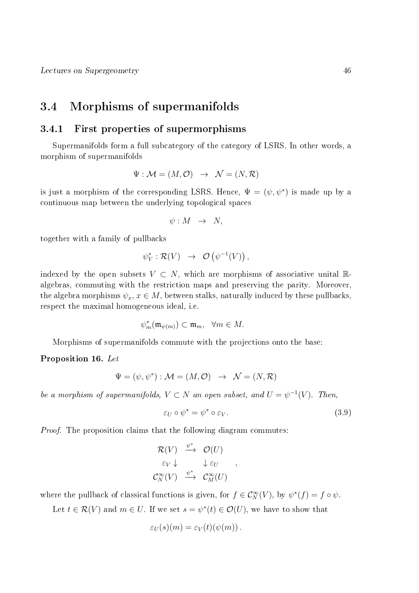## 3.4 Morphisms of supermanifolds

#### 3.4.1 First properties of supermorphisms

Supermanifolds form a full subcategory of the category of LSRS. In other words, a morphism of supermanifolds

$$
\Psi : \mathcal{M} = (M, \mathcal{O}) \rightarrow \mathcal{N} = (N, \mathcal{R})
$$

is just a morphism of the corresponding LSRS. Hence,  $\Psi = (\psi, \psi^*)$  is made up by a continuous map between the underlying topological spaces

$$
\psi: M \rightarrow N,
$$

together with a family of pullbacks

$$
\psi_V^*: \mathcal{R}(V) \rightarrow \mathcal{O}(\psi^{-1}(V)),
$$

indexed by the open subsets  $V \subset N$ , which are morphisms of associative unital  $\mathbb{R}$ algebras, commuting with the restriction maps and preserving the parity. Moreover, the algebra morphisms  $\psi_x, x \in M$ , between stalks, naturally induced by these pullbacks, respect the maximal homogeneous ideal, i.e.

$$
\psi_m^*(\mathfrak{m}_{\psi(m)}) \subset \mathfrak{m}_m, \quad \forall m \in M.
$$

Morphisms of supermanifolds commute with the projections onto the base:

#### Proposition 16. Let

$$
\Psi = (\psi, \psi^*) : \mathcal{M} = (M, \mathcal{O}) \rightarrow \mathcal{N} = (N, \mathcal{R})
$$

be a morphism of supermanifolds,  $V \subset N$  an open subset, and  $U = \psi^{-1}(V)$ . Then,

$$
\varepsilon_U \circ \psi^* = \psi^* \circ \varepsilon_V. \tag{3.9}
$$

Proof. The proposition claims that the following diagram commutes:

$$
\mathcal{R}(V) \stackrel{\psi^*}{\longrightarrow} \mathcal{O}(U) \n\varepsilon_V \downarrow \qquad \downarrow \varepsilon_U \n\mathcal{C}_N^{\infty}(V) \stackrel{\psi^*}{\longrightarrow} \mathcal{C}_M^{\infty}(U)
$$

where the pullback of classical functions is given, for  $f \in \mathcal{C}_N^{\infty}(V)$ , by  $\psi^*(f) = f \circ \psi$ .

Let  $t \in \mathcal{R}(V)$  and  $m \in U$ . If we set  $s = \psi^*(t) \in \mathcal{O}(U)$ , we have to show that

$$
\varepsilon_U(s)(m) = \varepsilon_V(t)(\psi(m)).
$$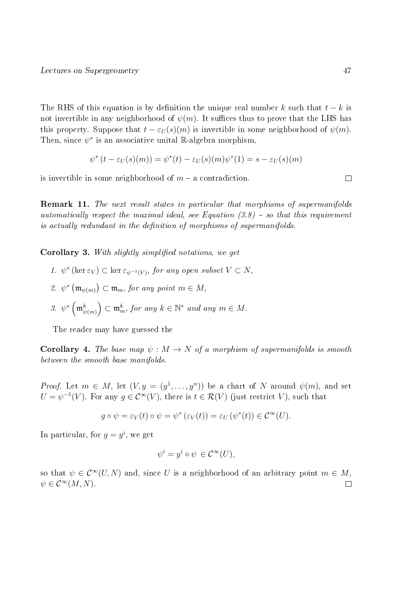The RHS of this equation is by definition the unique real number k such that  $t - k$  is not invertible in any neighborhood of  $\psi(m)$ . It suffices thus to prove that the LHS has this property. Suppose that  $t - \varepsilon_U(s)(m)$  is invertible in some neighborhood of  $\psi(m)$ . Then, since  $\psi^*$  is an associative unital  $\mathbb R$ -algebra morphism,

$$
\psi^*(t - \varepsilon_U(s)(m)) = \psi^*(t) - \varepsilon_U(s)(m)\psi^*(1) = s - \varepsilon_U(s)(m)
$$

is invertible in some neighborhood of  $m - a$  contradiction.

Remark 11. The next result states in particular that morphisms of supermanifolds automatically respect the maximal ideal, see Equation  $(3.8)$  – so that this requirement is actually redundant in the definition of morphisms of supermanifolds.

Corollary 3. With slightly simplified notations, we get

- 1.  $\psi^*$  (ker  $\varepsilon_V$ )  $\subset$  ker  $\varepsilon_{\psi^{-1}(V)}$ , for any open subset  $V \subset N$ ,
- 2.  $\psi^* \left( \mathfrak{m}_{\psi(m)} \right) \subset \mathfrak{m}_m$ , for any point  $m \in M$ ,
- 3.  $\psi^* \left( \mathfrak{m}_{\psi(m)}^k \right) \subset \mathfrak{m}_m^k$ , for any  $k \in \mathbb{N}^*$  and any  $m \in M$ .

The reader may have guessed the

**Corollary 4.** The base map  $\psi : M \to N$  of a morphism of supermanifolds is smooth between the smooth base manifolds.

*Proof.* Let  $m \in M$ , let  $(V, y = (y^1, \ldots, y^n))$  be a chart of N around  $\psi(m)$ , and set  $U = \psi^{-1}(V)$ . For any  $g \in C^{\infty}(V)$ , there is  $t \in \mathcal{R}(V)$  (just restrict V), such that

$$
g \circ \psi = \varepsilon_V(t) \circ \psi = \psi^* \left( \varepsilon_V(t) \right) = \varepsilon_U \left( \psi^*(t) \right) \in \mathcal{C}^\infty(U).
$$

In particular, for  $g = y^i$ , we get

$$
\psi^i = y^i \circ \psi \in \mathcal{C}^{\infty}(U),
$$

so that  $\psi \in C^{\infty}(U, N)$  and, since U is a neighborhood of an arbitrary point  $m \in M$ ,  $\psi \in \mathcal{C}^{\infty}(M,N).$  $\Box$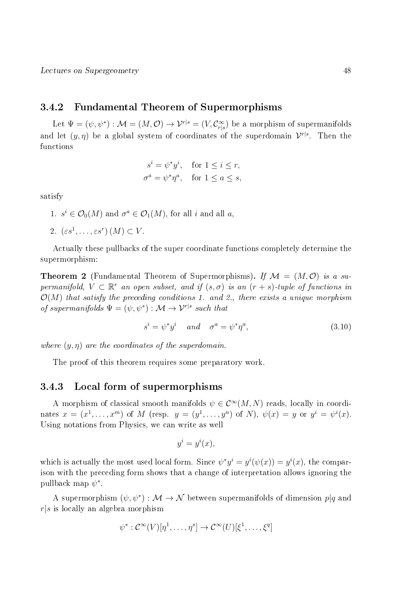#### 3.4.2 Fundamental Theorem of Supermorphisms

Let  $\Psi=(\psi,\psi^*):\mathcal{M}=(M,\mathcal{O})\to\mathcal{V}^{r|s}=(V,\mathcal{C}^\infty_{r|s})$  be a morphism of supermanifolds and let  $(y, \eta)$  be a global system of coordinates of the superdomain  $\mathcal{V}^{r | s}$ . Then the functions

$$
si = \psi^* yi, \text{ for } 1 \le i \le r,
$$
  

$$
\sigma^a = \psi^* \eta^a, \text{ for } 1 \le a \le s,
$$

satisfy

1.  $s^i \in \mathcal{O}_0(M)$  and  $\sigma^a \in \mathcal{O}_1(M)$ , for all i and all a,

2. 
$$
(\varepsilon s^1, \ldots, \varepsilon s^r) (M) \subset V
$$
.

Actually these pullbacks of the super coordinate functions completely determine the supermorphism:

**Theorem 2** (Fundamental Theorem of Supermorphisms). If  $\mathcal{M} = (M, \mathcal{O})$  is a supermanifold,  $V \subset \mathbb{R}^r$  an open subset, and if  $(s, \sigma)$  is an  $(r + s)$ -tuple of functions in  $\mathcal{O}(M)$  that satisfy the preceding conditions 1. and 2., there exists a unique morphism of supermanifolds  $\Psi = (\psi, \psi^*) : \mathcal{M} \to \mathcal{V}^{r|s}$  such that

$$
s^i = \psi^* y^i \quad and \quad \sigma^a = \psi^* \eta^a,\tag{3.10}
$$

where  $(y, \eta)$  are the coordinates of the superdomain.

The proof of this theorem requires some preparatory work.

#### 3.4.3 Local form of supermorphisms

A morphism of classical smooth manifolds  $\psi \in C^{\infty}(M, N)$  reads, locally in coordinates  $x = (x^1, \ldots, x^m)$  of M (resp.  $y = (y^1, \ldots, y^n)$  of N),  $\psi(x) = y$  or  $y^i = \psi^i(x)$ . Using notations from Physics, we can write as well

$$
y^i = y^i(x),
$$

which is actually the most used local form. Since  $\psi^* y^i = y^i(\psi(x)) = y^i(x)$ , the comparison with the preceding form shows that a change of interpretation allows ignoring the pullback map  $\psi^*$ .

A supermorphism  $(\psi, \psi^*) : \mathcal{M} \to \mathcal{N}$  between supermanifolds of dimension  $p|q$  and  $r|s$  is locally an algebra morphism

$$
\psi^* : \mathcal{C}^{\infty}(V)[\eta^1, \dots, \eta^s] \to \mathcal{C}^{\infty}(U)[\xi^1, \dots, \xi^q]
$$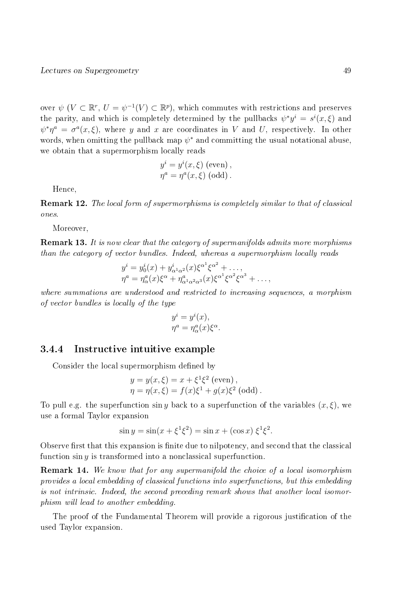over  $\psi$  ( $V \subset \mathbb{R}^r$ ,  $U = \psi^{-1}(V) \subset \mathbb{R}^p$ ), which commutes with restrictions and preserves the parity, and which is completely determined by the pullbacks  $\psi^* y^i = s^i(x, \xi)$  and  $\psi^*\eta^a = \sigma^a(x,\xi)$ , where y and x are coordinates in V and U, respectively. In other words, when omitting the pullback map  $\psi^*$  and committing the usual notational abuse, we obtain that a supermorphism locally reads

$$
y^{i} = y^{i}(x, \xi) \text{ (even)},
$$
  

$$
\eta^{a} = \eta^{a}(x, \xi) \text{ (odd)}.
$$

Hence,

Remark 12. The local form of supermorphisms is completely similar to that of classical ones.

Moreover,

**Remark 13.** It is now clear that the category of supermanifolds admits more morphisms than the category of vector bundles. Indeed, whereas a supermorphism locally reads

$$
y^{i} = y_0^{i}(x) + y_{\alpha^1 \alpha^2}^{i}(x) \xi^{\alpha^1} \xi^{\alpha^2} + ..., \n\eta^a = \eta_\alpha^a(x) \xi^\alpha + \eta_{\alpha^1 \alpha^2 \alpha^3}^a(x) \xi^{\alpha^1} \xi^{\alpha^2} \xi^{\alpha^3} + ...,
$$

where summations are understood and restricted to increasing sequences, a morphism of vector bundles is locally of the type

$$
y^{i} = y^{i}(x),
$$
  

$$
\eta^{a} = \eta_{\alpha}^{a}(x)\xi^{\alpha}.
$$

#### 3.4.4 Instructive intuitive example

Consider the local supermorphism defined by

$$
y = y(x, \xi) = x + \xi^{1}\xi^{2}
$$
 (even),  
\n $\eta = \eta(x, \xi) = f(x)\xi^{1} + g(x)\xi^{2}$  (odd).

To pull e.g. the superfunction  $\sin y$  back to a superfunction of the variables  $(x, \xi)$ , we use a formal Taylor expansion

$$
\sin y = \sin(x + \xi^1 \xi^2) = \sin x + (\cos x) \xi^1 \xi^2.
$$

Observe first that this expansion is finite due to nilpotency, and second that the classical function  $\sin y$  is transformed into a nonclassical superfunction.

Remark 14. We know that for any supermanifold the choice of a local isomorphism provides a local embedding of classical functions into superfunctions, but this embedding is not intrinsic. Indeed, the second preceding remark shows that another local isomorphism will lead to another embedding.

The proof of the Fundamental Theorem will provide a rigorous justification of the used Taylor expansion.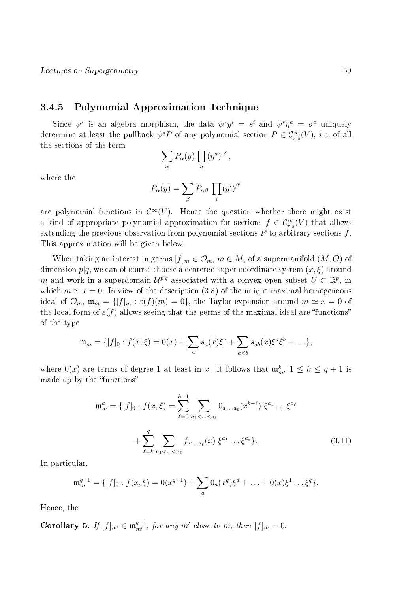#### 3.4.5 Polynomial Approximation Technique

Since  $\psi^*$  is an algebra morphism, the data  $\psi^* y^i = s^i$  and  $\psi^* \eta^a = \sigma^a$  uniquely determine at least the pullback  $\psi^* P$  of any polynomial section  $P \in C_{r|s}^{\infty}(V)$ , *i.e.* of all the sections of the form

$$
\sum_{\alpha} P_{\alpha}(y) \prod_{a} (\eta^{a})^{\alpha^{a}},
$$

where the

$$
P_{\alpha}(y) = \sum_{\beta} P_{\alpha\beta} \prod_{i} (y^{i})^{\beta^{i}}
$$

are polynomial functions in  $\mathcal{C}^{\infty}(V)$ . Hence the question whether there might exist a kind of appropriate polynomial approximation for sections  $f \in \mathcal{C}^{\infty}_{r|s}(V)$  that allows extending the previous observation from polynomial sections  $P$  to arbitrary sections  $f$ . This approximation will be given below.

When taking an interest in germs  $[f]_m \in \mathcal{O}_m$ ,  $m \in M$ , of a supermanifold  $(M, \mathcal{O})$  of dimension  $p|q$ , we can of course choose a centered super coordinate system  $(x, \xi)$  around m and work in a superdomain  $\mathcal{U}^{p|q}$  associated with a convex open subset  $U \subset \mathbb{R}^p$ , in which  $m \simeq x = 0$ . In view of the description (3.8) of the unique maximal homogeneous ideal of  $\mathcal{O}_m$ ,  $\mathfrak{m}_m = \{ [f]_m : \varepsilon(f)(m) = 0 \}$ , the Taylor expansion around  $m \simeq x = 0$  of the local form of  $\varepsilon(f)$  allows seeing that the germs of the maximal ideal are "functions" of the type

$$
\mathfrak{m}_m = \{ [f]_0 : f(x,\xi) = 0(x) + \sum_a s_a(x)\xi^a + \sum_{a
$$

where  $0(x)$  are terms of degree 1 at least in x. It follows that  $\mathfrak{m}_m^k$ ,  $1 \leq k \leq q+1$  is made up by the "functions"

$$
\mathfrak{m}_m^k = \{ [f]_0 : f(x,\xi) = \sum_{\ell=0}^{k-1} \sum_{a_1 < \dots < a_\ell} 0_{a_1 \dots a_\ell} (x^{k-\ell}) \xi^{a_1} \dots \xi^{a_\ell}
$$

$$
+ \sum_{\ell=k}^q \sum_{a_1 < \dots < a_\ell} f_{a_1 \dots a_\ell}(x) \xi^{a_1} \dots \xi^{a_\ell} \}.
$$
(3.11)

In particular,

$$
\mathfrak{m}_m^{q+1} = \{ [f]_0 : f(x,\xi) = 0(x^{q+1}) + \sum_a 0_a(x^q) \xi^a + \ldots + 0(x) \xi^1 \ldots \xi^q \}.
$$

Hence, the

**Corollary 5.** If  $[f]_{m'} \in \mathfrak{m}_{m'}^{q+1}$ , for any m' close to m, then  $[f]_{m} = 0$ .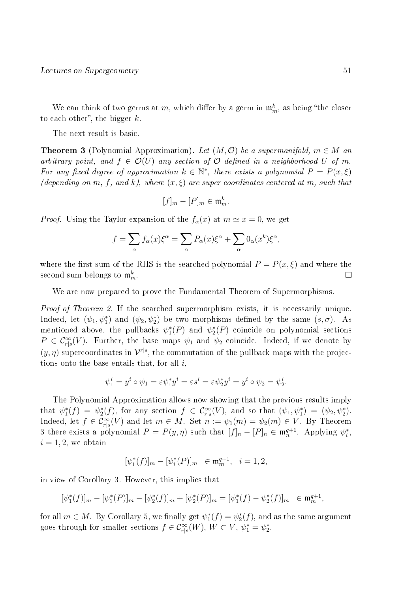We can think of two germs at m, which differ by a germ in  $\mathfrak{m}_m^k$ , as being "the closer to each other", the bigger  $k$ .

The next result is basic.

**Theorem 3** (Polynomial Approximation). Let  $(M, \mathcal{O})$  be a supermanifold,  $m \in M$  and arbitrary point, and  $f \in \mathcal{O}(U)$  any section of  $\mathcal O$  defined in a neighborhood U of m. For any fixed degree of approximation  $k \in \mathbb{N}^*$ , there exists a polynomial  $P = P(x, \xi)$ (depending on m, f, and k), where  $(x, \xi)$  are super coordinates centered at m, such that

$$
[f]_m - [P]_m \in \mathfrak{m}_m^k.
$$

*Proof.* Using the Taylor expansion of the  $f_{\alpha}(x)$  at  $m \simeq x = 0$ , we get

$$
f = \sum_{\alpha} f_{\alpha}(x)\xi^{\alpha} = \sum_{\alpha} P_{\alpha}(x)\xi^{\alpha} + \sum_{\alpha} 0_{\alpha}(x^{k})\xi^{\alpha},
$$

where the first sum of the RHS is the searched polynomial  $P = P(x, \xi)$  and where the second sum belongs to  $\mathfrak{m}_m^k$ .  $\Box$ 

We are now prepared to prove the Fundamental Theorem of Supermorphisms.

Proof of Theorem 2. If the searched supermorphism exists, it is necessarily unique. Indeed, let  $(\psi_1, \psi_1^*)$  and  $(\psi_2, \psi_2^*)$  be two morphisms defined by the same  $(s, \sigma)$ . As mentioned above, the pullbacks  $\psi_1^*(P)$  and  $\psi_2^*(P)$  coincide on polynomial sections  $P \in \mathcal{C}^{\infty}_{r|s}(V)$ . Further, the base maps  $\psi_1$  and  $\psi_2$  coincide. Indeed, if we denote by  $(y, \eta)$  supercoordinates in  $\mathcal{V}^{r|s}$ , the commutation of the pullback maps with the projections onto the base entails that, for all  $i$ ,

$$
\psi_1^i = y^i \circ \psi_1 = \varepsilon \psi_1^* y^i = \varepsilon s^i = \varepsilon \psi_2^* y^i = y^i \circ \psi_2 = \psi_2^i.
$$

The Polynomial Approximation allows now showing that the previous results imply that  $\psi_1^*(f) = \psi_2^*(f)$ , for any section  $f \in C_{r|s}^{\infty}(V)$ , and so that  $(\psi_1, \psi_1^*) = (\psi_2, \psi_2^*)$ . Indeed, let  $f \in \mathcal{C}^{\infty}_{r|s}(V)$  and let  $m \in M$ . Set  $n := \psi_1(m) = \psi_2(m) \in V$ . By Theorem 3 there exists a polynomial  $P = P(y, \eta)$  such that  $[f]_n - [P]_n \in \mathfrak{m}_n^{q+1}$ . Applying  $\psi_i^*$ ,  $i = 1, 2$ , we obtain

$$
[\psi_i^*(f)]_m-[\psi_i^*(P)]_m\ \in {\frak m}_m^{q+1},\ \ i=1,2,
$$

in view of Corollary 3. However, this implies that

$$
[\psi_1^*(f)]_m - [\psi_1^*(P)]_m - [\psi_2^*(f)]_m + [\psi_2^*(P)]_m = [\psi_1^*(f) - \psi_2^*(f)]_m \in \mathfrak{m}_m^{q+1},
$$

for all  $m \in M$ . By Corollary 5, we finally get  $\psi_1^*(f) = \psi_2^*(f)$ , and as the same argument goes through for smaller sections  $f \in \mathcal{C}^{\infty}_{r|s}(W)$ ,  $W \subset V$ ,  $\psi_1^* = \psi_2^*$ .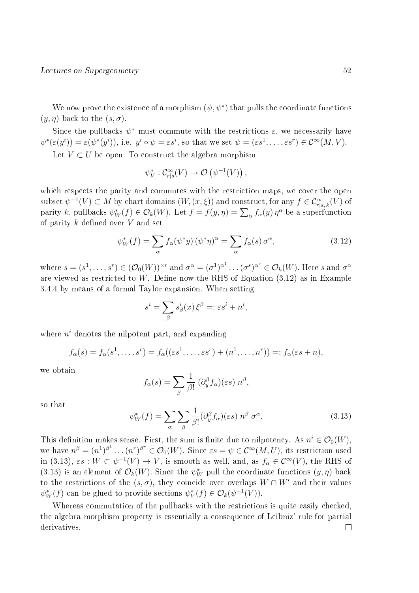We now prove the existence of a morphism  $(\psi, \psi^*)$  that pulls the coordinate functions  $(y, \eta)$  back to the  $(s, \sigma)$ .

Since the pullbacks  $\psi^*$  must commute with the restrictions  $\varepsilon$ , we necessarily have  $\psi^*(\varepsilon(y^i)) = \varepsilon(\psi^*(y^i)),$  i.e.  $y^i \circ \psi = \varepsilon s^i$ , so that we set  $\psi = (\varepsilon s^1, \dots, \varepsilon s^r) \in C^\infty(M, V)$ .

Let  $V \subset U$  be open. To construct the algebra morphism

$$
\psi_V^*: \mathcal{C}_{r|s}^{\infty}(V) \to \mathcal{O}(\psi^{-1}(V)),
$$

which respects the parity and commutes with the restriction maps, we cover the open  $\text{subset } \psi^{-1}(V) \subset M$  by chart domains  $(W,(x,\xi))$  and construct, for any  $f \in \mathcal{C}^{\infty}_{r|s,\,k}(V)$  of parity k, pullbacks  $\psi_W^*(f) \in \mathcal{O}_k(W)$ . Let  $f = f(y, \eta) = \sum_{\alpha} f_{\alpha}(y) \eta^{\alpha}$  be a superfunction of parity  $k$  defined over  $V$  and set

$$
\psi_W^*(f) = \sum_{\alpha} f_{\alpha}(\psi^* y) (\psi^* \eta)^{\alpha} = \sum_{\alpha} f_{\alpha}(s) \sigma^{\alpha}, \qquad (3.12)
$$

where  $s=(s^1,\ldots,s^r)\in (\mathcal{O}_0(W))^{\times r}$  and  $\sigma^\alpha=(\sigma^1)^{\alpha^1}\ldots(\sigma^s)^{\alpha^s}\in \mathcal{O}_k(W).$  Here  $s$  and  $\sigma^\alpha$ are viewed as restricted to  $W$ . Define now the RHS of Equation  $(3.12)$  as in Example 3.4.4 by means of a formal Taylor expansion. When setting

$$
s^i = \sum_{\beta} s^i_{\beta}(x) \, \xi^{\beta} =: \varepsilon s^i + n^i,
$$

where  $n^i$  denotes the nilpotent part, and expanding

$$
f_{\alpha}(s) = f_{\alpha}(s^1, \ldots, s^r) = f_{\alpha}((\varepsilon s^1, \ldots, \varepsilon s^r) + (n^1, \ldots, n^r)) =: f_{\alpha}(\varepsilon s + n),
$$

we obtain

$$
f_{\alpha}(s) = \sum_{\beta} \frac{1}{\beta!} (\partial_y^{\beta} f_{\alpha})(\varepsilon s) n^{\beta},
$$

so that

$$
\psi_W^*(f) = \sum_{\alpha} \sum_{\beta} \frac{1}{\beta!} (\partial_y^{\beta} f_{\alpha})(\varepsilon s) n^{\beta} \sigma^{\alpha}.
$$
 (3.13)

This definition makes sense. First, the sum is finite due to nilpotency. As  $n^i \in \mathcal{O}_0(W)$ , we have  $n^{\beta}=(n^{1})^{\beta^{1}}\ldots(n^{r})^{\beta^{r}}\in\mathcal{O}_{0}(W).$  Since  $\varepsilon s=\psi\in\mathcal{C}^{\infty}(M,U),$  its restriction used in (3.13),  $\varepsilon s : W \subset \psi^{-1}(V) \to V$ , is smooth as well, and, as  $f_\alpha \in C^\infty(V)$ , the RHS of (3.13) is an element of  $\mathcal{O}_k(W)$ . Since the  $\psi_W^*$  pull the coordinate functions  $(y, \eta)$  back to the restrictions of the  $(s, \sigma)$ , they coincide over overlaps  $W \cap W'$  and their values  $\psi_W^*(f)$  can be glued to provide sections  $\psi_V^*(f) \in \mathcal{O}_k(\psi^{-1}(V)).$ 

Whereas commutation of the pullbacks with the restrictions is quite easily checked, the algebra morphism property is essentially a consequence of Leibniz' rule for partial derivatives. $\Box$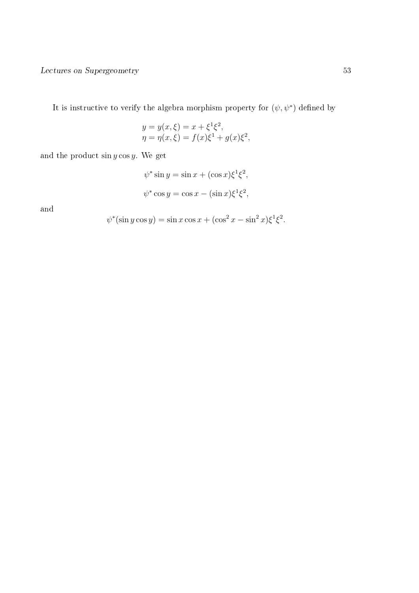It is instructive to verify the algebra morphism property for  $(\psi, \psi^*)$  defined by

$$
y = y(x, \xi) = x + \xi^{1} \xi^{2},
$$
  

$$
\eta = \eta(x, \xi) = f(x)\xi^{1} + g(x)\xi^{2},
$$

and the product  $\sin y \cos y$ . We get

$$
\psi^* \sin y = \sin x + (\cos x) \xi^1 \xi^2,
$$
  

$$
\psi^* \cos y = \cos x - (\sin x) \xi^1 \xi^2,
$$

and

$$
\psi^*(\sin y \cos y) = \sin x \cos x + (\cos^2 x - \sin^2 x)\xi^1 \xi^2.
$$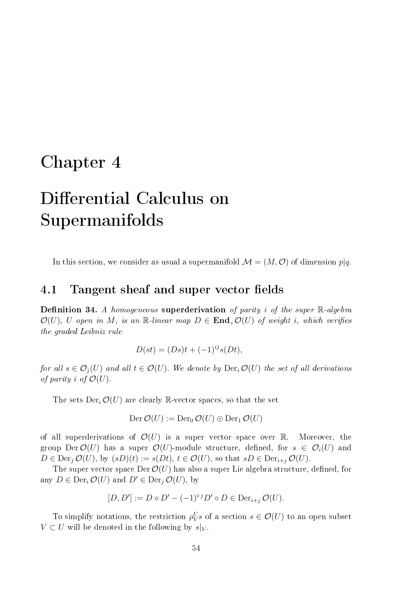# Chapter 4

# Differential Calculus on Supermanifolds

In this section, we consider as usual a supermanifold  $\mathcal{M} = (M, \mathcal{O})$  of dimension  $p|q$ .

## 4.1 Tangent sheaf and super vector fields

**Definition 34.** A homogeneous superderivation of parity i of the super  $\mathbb{R}$ -algebra  $\mathcal{O}(U)$ , U open in M, is an R-linear map  $D \in \text{End}_{i} \mathcal{O}(U)$  of weight i, which verifies the graded Leibniz rule

$$
D(st) = (Ds)t + (-1)^{ij} s(Dt),
$$

for all  $s \in \mathcal{O}_i(U)$  and all  $t \in \mathcal{O}(U)$ . We denote by  $\text{Der}_i \mathcal{O}(U)$  the set of all derivations of parity i of  $\mathcal{O}(U)$ .

The sets  $Der_i \mathcal{O}(U)$  are clearly R-vector spaces, so that the set

$$
\mathrm{Der}\,\mathcal{O}(U):=\mathrm{Der}_0\,\mathcal{O}(U)\oplus \mathrm{Der}_1\,\mathcal{O}(U)
$$

of all superderivations of  $\mathcal{O}(U)$  is a super vector space over R. Moreover, the group Der  $\mathcal{O}(U)$  has a super  $\mathcal{O}(U)$ -module structure, defined, for  $s \in \mathcal{O}_i(U)$  and  $D \in \text{Der}_i \mathcal{O}(U)$ , by  $(sD)(t) := s(Dt)$ ,  $t \in \mathcal{O}(U)$ , so that  $sD \in \text{Der}_{i+j} \mathcal{O}(U)$ .

The super vector space  $Der \mathcal{O}(U)$  has also a super Lie algebra structure, defined, for any  $D \in \text{Der}_i \mathcal{O}(U)$  and  $D' \in \text{Der}_i \mathcal{O}(U)$ , by

$$
[D, D'] := D \circ D' - (-1)^{i \cdot j} D' \circ D \in \text{Der}_{i+j} \mathcal{O}(U).
$$

To simplify notations, the restriction  $\rho_V^U s$  of a section  $s \in \mathcal{O}(U)$  to an open subset  $V \subset U$  will be denoted in the following by  $s|_V$ .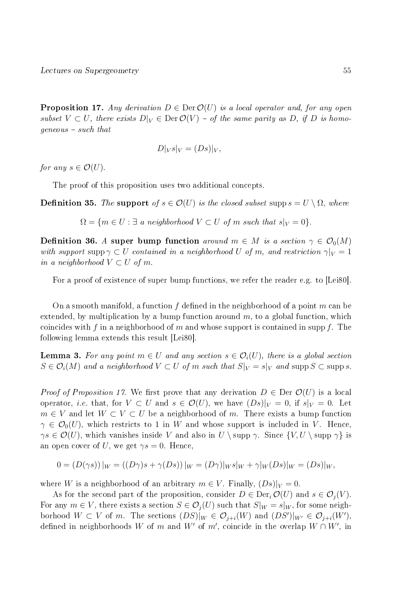**Proposition 17.** Any derivation  $D \in \text{Der } \mathcal{O}(U)$  is a local operator and, for any open subset  $V \subset U$ , there exists  $D|_V \in \text{Der } \mathcal{O}(V) - \text{of the same parity as } D$ , if D is homo $geneous - such that$ 

$$
D|_V s|_V = (Ds)|_V,
$$

for any  $s \in \mathcal{O}(U)$ .

The proof of this proposition uses two additional concepts.

**Definition 35.** The support of  $s \in \mathcal{O}(U)$  is the closed subset supp  $s = U \setminus \Omega$ , where

 $\Omega = \{m \in U : \exists a \text{ neighborhood } V \subset U \text{ of } m \text{ such that } s|_V = 0\}.$ 

**Definition 36.** A super bump function around  $m \in M$  is a section  $\gamma \in \mathcal{O}_0(M)$ with support supp  $\gamma \subset U$  contained in a neighborhood U of m, and restriction  $\gamma|_V = 1$ in a neighborhood  $V \subset U$  of m.

For a proof of existence of super bump functions, we refer the reader e.g. to [Lei80].

On a smooth manifold, a function f defined in the neighborhood of a point m can be extended, by multiplication by a bump function around  $m$ , to a global function, which coincides with f in a neighborhood of m and whose support is contained in supp f. The following lemma extends this result [Lei80].

**Lemma 3.** For any point  $m \in U$  and any section  $s \in \mathcal{O}_i(U)$ , there is a global section  $S \in \mathcal{O}_i(M)$  and a neighborhood  $V \subset U$  of m such that  $S|_V = s|_V$  and supp  $S \subset \text{supp } s$ .

*Proof of Proposition 17.* We first prove that any derivation  $D \in \text{Der } \mathcal{O}(U)$  is a local operator, *i.e.* that, for  $V \subset U$  and  $s \in \mathcal{O}(U)$ , we have  $(Ds)|_V = 0$ , if  $s|_V = 0$ . Let  $m \in V$  and let  $W \subset V \subset U$  be a neighborhood of m. There exists a bump function  $\gamma \in \mathcal{O}_0(U)$ , which restricts to 1 in W and whose support is included in V. Hence,  $\gamma s \in \mathcal{O}(U)$ , which vanishes inside V and also in  $U \setminus \text{supp } \gamma$ . Since  $\{V, U \setminus \text{supp } \gamma\}$  is an open cover of U, we get  $\gamma s = 0$ . Hence,

$$
0 = (D(\gamma s))|_{W} = ((D\gamma)s + \gamma(Ds))|_{W} = (D\gamma)|_{W}s|_{W} + \gamma|_{W}(Ds)|_{W} = (Ds)|_{W},
$$

where W is a neighborhood of an arbitrary  $m \in V$ . Finally,  $(Ds)|_V = 0$ .

As for the second part of the proposition, consider  $D \in \text{Der}_{i} \mathcal{O}(U)$  and  $s \in \mathcal{O}_{i}(V)$ . For any  $m \in V$ , there exists a section  $S \in \mathcal{O}_i(U)$  such that  $S|_W = s|_W$ , for some neighborhood  $W \subset V$  of m. The sections  $(DS)|_W \in \mathcal{O}_{j+i}(W)$  and  $(DS')|_{W'} \in \mathcal{O}_{j+i}(W')$ , defined in neighborhoods W of m and W' of m', coincide in the overlap  $W \cap W'$ , in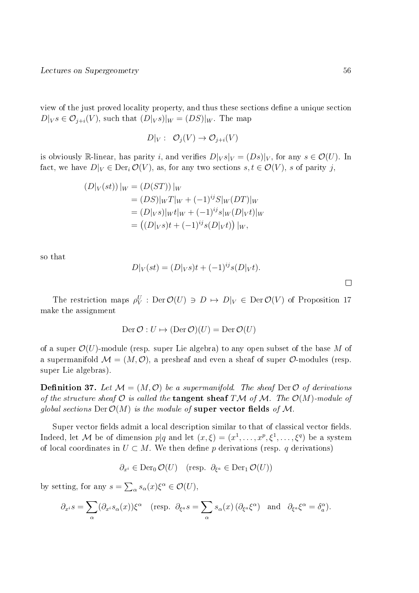view of the just proved locality property, and thus these sections define a unique section  $D|_{V} s \in \mathcal{O}_{i+i}(V)$ , such that  $(D|_{V} s)|_{W} = (DS)|_{W}$ . The map

$$
D|_V: \mathcal{O}_j(V) \to \mathcal{O}_{j+i}(V)
$$

is obviously R-linear, has parity i, and verifies  $D|_V s|_V = (Ds)|_V$ , for any  $s \in \mathcal{O}(U)$ . In fact, we have  $D|_V \in \text{Der}_i \mathcal{O}(V)$ , as, for any two sections  $s, t \in \mathcal{O}(V)$ , s of parity j,

$$
(D|_V(st))|_W = (D(ST))|_W
$$
  
=  $(DS)|_W T|_W + (-1)^{ij} S|_W (DT)|_W$   
=  $(D|_V s)|_W t|_W + (-1)^{ij} s|_W (D|_V t)|_W$   
=  $((D|_V s) t + (-1)^{ij} s (D|_V t))|_W$ ,

so that

$$
D|_V(st) = (D|_V s)t + (-1)^{ij} s(D|_V t).
$$

 $\Box$ 

The restriction maps  $\rho_V^U$ : Der  $\mathcal{O}(U) \ni D \mapsto D|_V \in \text{Der } \mathcal{O}(V)$  of Proposition 17 make the assignment

$$
\operatorname{Der}\mathcal{O}:U\mapsto(\operatorname{Der}\mathcal{O})(U)=\operatorname{Der}\mathcal{O}(U)
$$

of a super  $\mathcal{O}(U)$ -module (resp. super Lie algebra) to any open subset of the base M of a supermanifold  $\mathcal{M} = (M, \mathcal{O})$ , a presheaf and even a sheaf of super  $\mathcal{O}$ -modules (resp. super Lie algebras).

**Definition 37.** Let  $\mathcal{M} = (M, \mathcal{O})$  be a supermanifold. The sheaf Der  $\mathcal{O}$  of derivations of the structure sheaf  $\mathcal O$  is called the **tangent sheaf** TM of M. The  $\mathcal O(M)$ -module of global sections  $Der \mathcal{O}(M)$  is the module of **super vector fields** of M.

Super vector fields admit a local description similar to that of classical vector fields. Indeed, let M be of dimension  $p|q$  and let  $(x,\xi) = (x^1,\ldots,x^p,\xi^1,\ldots,\xi^q)$  be a system of local coordinates in  $U \subset M$ . We then define p derivations (resp. q derivations)

$$
\partial_{x^i} \in \text{Der}_{0} \mathcal{O}(U) \quad (\text{resp. } \partial_{\xi^a} \in \text{Der}_{1} \mathcal{O}(U))
$$

by setting, for any  $s = \sum_{\alpha} s_{\alpha}(x) \xi^{\alpha} \in \mathcal{O}(U)$ ,

$$
\partial_{x^i} s = \sum_{\alpha} (\partial_{x^i} s_{\alpha}(x)) \xi^{\alpha} \quad (\text{resp. } \partial_{\xi^a} s = \sum_{\alpha} s_{\alpha}(x) \left( \partial_{\xi^a} \xi^{\alpha} \right) \text{ and } \partial_{\xi^a} \xi^{\alpha} = \delta_a^{\alpha}.
$$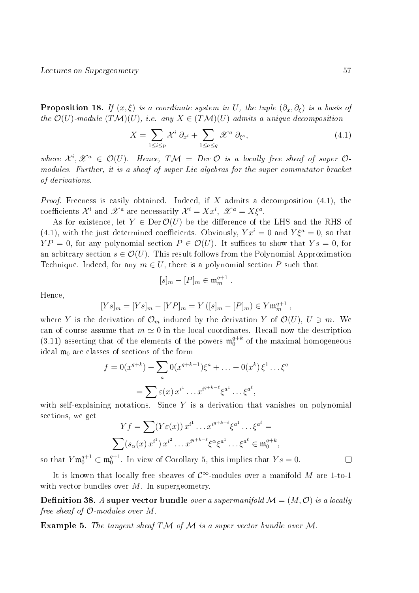**Proposition 18.** If  $(x, \xi)$  is a coordinate system in U, the tuple  $(\partial_x, \partial_{\xi})$  is a basis of the  $\mathcal{O}(U)$ -module  $(TM)(U)$ , i.e. any  $X \in (T\mathcal{M})(U)$  admits a unique decomposition

$$
X = \sum_{1 \le i \le p} \mathcal{X}^i \; \partial_{x^i} + \sum_{1 \le a \le q} \mathcal{X}^a \; \partial_{\xi^a}, \tag{4.1}
$$

where  $\mathcal{X}^i, \mathcal{X}^a \in \mathcal{O}(U)$ . Hence,  $T\mathcal{M} = Der \mathcal{O}$  is a locally free sheaf of super  $\mathcal{O}$ modules. Further, it is a sheaf of super Lie algebras for the super commutator bracket of derivations.

*Proof.* Freeness is easily obtained. Indeed, if X admits a decomposition  $(4.1)$ , the coefficients  $\mathcal{X}^i$  and  $\mathcal{X}^a$  are necessarily  $\mathcal{X}^i = X x^i$ ,  $\mathcal{X}^a = X \xi^a$ .

As for existence, let  $Y \in \text{Der}\mathcal{O}(U)$  be the difference of the LHS and the RHS of (4.1), with the just determined coefficients. Obviously,  $Yx^i = 0$  and  $Y\xi^a = 0$ , so that  $YP = 0$ , for any polynomial section  $P \in \mathcal{O}(U)$ . It suffices to show that  $Y_s = 0$ , for an arbitrary section  $s \in \mathcal{O}(U)$ . This result follows from the Polynomial Approximation Technique. Indeed, for any  $m \in U$ , there is a polynomial section P such that

$$
[s]_m - [P]_m \in \mathfrak{m}_m^{q+1} .
$$

Hence,

$$
[Ys]_m = [Ys]_m - [YP]_m = Y([s]_m - [P]_m) \in Y \mathfrak{m}_m^{q+1} ,
$$

where Y is the derivation of  $\mathcal{O}_m$  induced by the derivation Y of  $\mathcal{O}(U)$ ,  $U \ni m$ . We can of course assume that  $m \approx 0$  in the local coordinates. Recall now the description  $(3.11)$  asserting that of the elements of the powers  $\mathfrak{m}_0^{q+k}$  $_0^{q+\kappa}$  of the maximal homogeneous ideal  $\mathfrak{m}_0$  are classes of sections of the form

$$
f = 0(x^{q+k}) + \sum_{a} 0(x^{q+k-1})\xi^{a} + \ldots + 0(x^{k})\xi^{1} \ldots \xi^{q}
$$

$$
= \sum \varepsilon(x) x^{i^{1}} \ldots x^{i^{q+k-\ell}} \xi^{a^{1}} \ldots \xi^{a^{\ell}},
$$

with self-explaining notations. Since  $Y$  is a derivation that vanishes on polynomial sections, we get

$$
Yf = \sum (Y\varepsilon(x)) x^{i^1} \dots x^{i^{q+k-\ell}} \xi^{a^1} \dots \xi^{a^\ell} =
$$

$$
\sum (s_\alpha(x) x^{i^1}) x^{i^2} \dots x^{i^{q+k-\ell}} \xi^\alpha \xi^{a^1} \dots \xi^{a^\ell} \in \mathfrak{m}_0^{q+k},
$$

so that  $Y \mathfrak{m}_0^{q+1} \subset \mathfrak{m}_0^{q+1}$  $_0^{q+1}$ . In view of Corollary 5, this implies that  $Y_s = 0$ .

It is known that locally free sheaves of  $\mathcal{C}^{\infty}$ -modules over a manifold M are 1-to-1 with vector bundles over  $M$ . In supergeometry,

**Definition 38.** A super vector bundle over a supermanifold  $\mathcal{M} = (M, \mathcal{O})$  is a locally free sheaf of  $\mathcal{O}\text{-modules over }M$ .

**Example 5.** The tangent sheaf TM of M is a super vector bundle over M.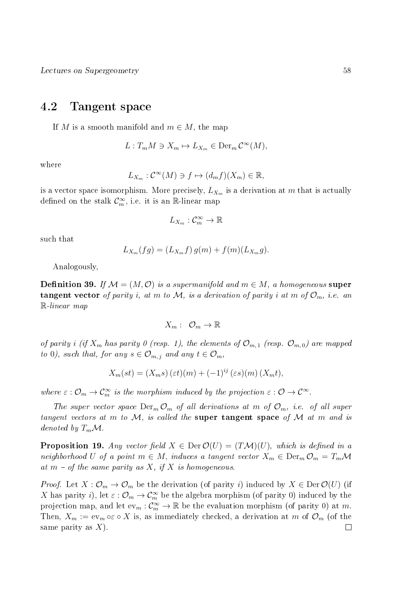## 4.2 Tangent space

If M is a smooth manifold and  $m \in M$ , the map

$$
L: T_m M \ni X_m \mapsto L_{X_m} \in \text{Der}_m \mathcal{C}^\infty(M),
$$

where

$$
L_{X_m}: \mathcal{C}^{\infty}(M) \ni f \mapsto (d_m f)(X_m) \in \mathbb{R},
$$

is a vector space isomorphism. More precisely,  $L_{X_m}$  is a derivation at m that is actually defined on the stalk  $\mathcal{C}_m^{\infty}$ , i.e. it is an  $\mathbb R$ -linear map

$$
L_{X_m}: \mathcal{C}_m^{\infty} \to \mathbb{R}
$$

such that

$$
L_{X_m}(fg) = (L_{X_m}f) g(m) + f(m)(L_{X_m}g).
$$

Analogously,

**Definition 39.** If  $\mathcal{M} = (M, \mathcal{O})$  is a supermanifold and  $m \in M$ , a homogeneous super **tangent vector** of parity i, at m to M, is a derivation of parity i at m of  $\mathcal{O}_m$ , i.e. an R-linear map

$$
X_m: \ \mathcal{O}_m \to \mathbb{R}
$$

of parity i (if  $X_m$  has parity 0 (resp. 1), the elements of  $\mathcal{O}_{m,1}$  (resp.  $\mathcal{O}_{m,0}$ ) are mapped to 0), such that, for any  $s \in \mathcal{O}_{m,j}$  and any  $t \in \mathcal{O}_m$ ,

$$
X_m(st) = (X_m s) (\varepsilon t) (m) + (-1)^{ij} (\varepsilon s) (m) (X_m t),
$$

where  $\varepsilon : \mathcal{O}_m \to \mathcal{C}_m^{\infty}$  is the morphism induced by the projection  $\varepsilon : \mathcal{O} \to \mathcal{C}^{\infty}$ .

The super vector space  $\text{Der}_m \mathcal{O}_m$  of all derivations at m of  $\mathcal{O}_m$ , i.e. of all super tangent vectors at  $m$  to  $M$ , is called the super tangent space of  $M$  at  $m$  and is denoted by  $T_m\mathcal{M}$ .

**Proposition 19.** Any vector field  $X \in \text{Der } \mathcal{O}(U) = (T\mathcal{M})(U)$ , which is defined in a neighborhood U of a point  $m \in M$ , induces a tangent vector  $X_m \in \text{Der}_m \mathcal{O}_m = T_m \mathcal{M}$ at  $m - of$  the same parity as X, if X is homogeneous.

*Proof.* Let  $X: \mathcal{O}_m \to \mathcal{O}_m$  be the derivation (of parity i) induced by  $X \in \text{Der}\,\mathcal{O}(U)$  (if X has parity *i*), let  $\varepsilon$  :  $\mathcal{O}_m \to \mathcal{C}_m^{\infty}$  be the algebra morphism (of parity 0) induced by the projection map, and let  $ev_m: \mathcal{C}_m^{\infty} \to \mathbb{R}$  be the evaluation morphism (of parity 0) at m. Then,  $X_m := \text{ev}_m \circ \varepsilon \circ X$  is, as immediately checked, a derivation at m of  $\mathcal{O}_m$  (of the same parity as  $X$ ).  $\Box$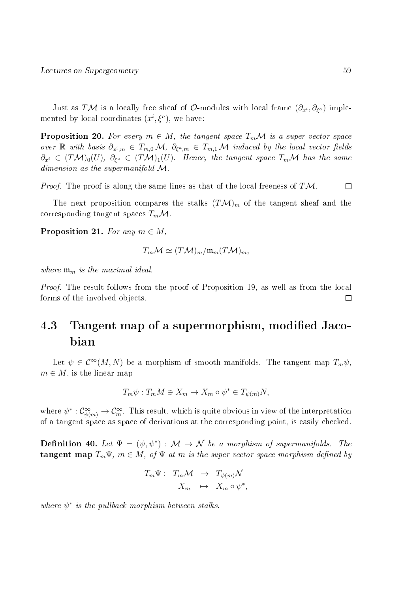Just as  $T\mathcal{M}$  is a locally free sheaf of  $\mathcal{O}\text{-modules}$  with local frame  $(\partial_{x^i}, \partial_{\xi^a})$  implemented by local coordinates  $(x^{i}, \xi^{a})$ , we have:

**Proposition 20.** For every  $m \in M$ , the tangent space  $T_m \mathcal{M}$  is a super vector space over R with basis  $\partial_{x^i,m} \in T_{m,0} \mathcal{M}, \ \partial_{\xi^a,m} \in T_{m,1} \mathcal{M}$  induced by the local vector fields  $\partial_{x^i}\, \in\, (T{\cal M})_0(U),\; \partial_{\xi^a}\, \in\, (T{\cal M})_1(U).$  Hence, the tangent space  $T_m{\cal M}$  has the same dimension as the supermanifold M.

*Proof.* The proof is along the same lines as that of the local freeness of  $T\mathcal{M}$ .  $\Box$ 

The next proposition compares the stalks  $(T\mathcal{M})_m$  of the tangent sheaf and the corresponding tangent spaces  $T_m \mathcal{M}$ .

**Proposition 21.** For any  $m \in M$ ,

$$
T_m \mathcal{M} \simeq (T\mathcal{M})_m / \mathfrak{m}_m (T\mathcal{M})_m,
$$

where  $\mathfrak{m}_m$  is the maximal ideal.

Proof. The result follows from the proof of Proposition 19, as well as from the local forms of the involved objects.  $\Box$ 

# 4.3 Tangent map of a supermorphism, modified Jacobian

Let  $\psi \in C^{\infty}(M, N)$  be a morphism of smooth manifolds. The tangent map  $T_m \psi$ ,  $m \in M$ , is the linear map

$$
T_m \psi : T_m M \ni X_m \to X_m \circ \psi^* \in T_{\psi(m)} N,
$$

where  $\psi^*: \mathcal{C}^\infty_{\psi(m)} \to \mathcal{C}^\infty_m$ . This result, which is quite obvious in view of the interpretation of a tangent space as space of derivations at the corresponding point, is easily checked.

**Definition 40.** Let  $\Psi = (\psi, \psi^*) : \mathcal{M} \to \mathcal{N}$  be a morphism of supermanifolds. The **tangent map**  $T_m\Psi$ ,  $m \in M$ , of  $\Psi$  at m is the super vector space morphism defined by

$$
T_m \Psi: T_m \mathcal{M} \rightarrow T_{\psi(m)} \mathcal{N}
$$

$$
X_m \rightarrow X_m \circ \psi^*,
$$

where  $\psi^*$  is the pullback morphism between stalks.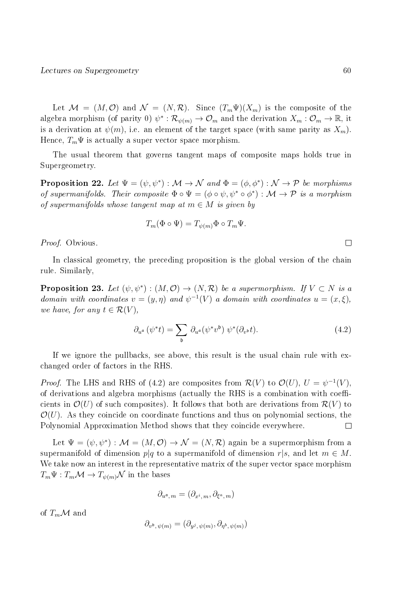Let  $\mathcal{M} = (M, \mathcal{O})$  and  $\mathcal{N} = (N, \mathcal{R})$ . Since  $(T_m \Psi)(X_m)$  is the composite of the algebra morphism (of parity 0)  $\psi^*:\mathcal{R}_{\psi(m)}\to\mathcal{O}_m$  and the derivation  $X_m:\mathcal{O}_m\to\mathbb{R}$ , it is a derivation at  $\psi(m)$ , i.e. an element of the target space (with same parity as  $X_m$ ). Hence,  $T_m\Psi$  is actually a super vector space morphism.

The usual theorem that governs tangent maps of composite maps holds true in Supergeometry.

**Proposition 22.** Let  $\Psi = (\psi, \psi^*) : \mathcal{M} \to \mathcal{N}$  and  $\Phi = (\phi, \phi^*) : \mathcal{N} \to \mathcal{P}$  be morphisms of supermanifolds. Their composite  $\Phi \circ \Psi = (\phi \circ \psi, \psi^* \circ \phi^*) : \mathcal{M} \to \mathcal{P}$  is a morphism of supermanifolds whose tangent map at  $m \in M$  is given by

$$
T_m(\Phi \circ \Psi) = T_{\psi(m)}\Phi \circ T_m\Psi.
$$

Proof. Obvious.

In classical geometry, the preceding proposition is the global version of the chain rule. Similarly,

**Proposition 23.** Let  $(\psi, \psi^*) : (M, \mathcal{O}) \to (N, \mathcal{R})$  be a supermorphism. If  $V \subset N$  is a domain with coordinates  $v = (y, \eta)$  and  $\psi^{-1}(V)$  a domain with coordinates  $u = (x, \xi)$ , we have, for any  $t \in \mathcal{R}(V)$ ,

$$
\partial_{u^{\mathfrak{a}}} \left( \psi^* t \right) = \sum_{\mathfrak{b}} \partial_{u^{\mathfrak{a}}} (\psi^* v^{\mathfrak{b}}) \ \psi^* (\partial_{v^{\mathfrak{b}}} t). \tag{4.2}
$$

If we ignore the pullbacks, see above, this result is the usual chain rule with exchanged order of factors in the RHS.

*Proof.* The LHS and RHS of (4.2) are composites from  $\mathcal{R}(V)$  to  $\mathcal{O}(U)$ ,  $U = \psi^{-1}(V)$ , of derivations and algebra morphisms (actually the RHS is a combination with coefficients in  $\mathcal{O}(U)$  of such composites). It follows that both are derivations from  $\mathcal{R}(V)$  to  $\mathcal{O}(U)$ . As they coincide on coordinate functions and thus on polynomial sections, the Polynomial Approximation Method shows that they coincide everywhere.  $\Box$ 

Let  $\Psi = (\psi, \psi^*) : \mathcal{M} = (M, \mathcal{O}) \to \mathcal{N} = (N, \mathcal{R})$  again be a supermorphism from a supermanifold of dimension  $p|q$  to a supermanifold of dimension  $r|s$ , and let  $m \in M$ . We take now an interest in the representative matrix of the super vector space morphism  $T_m \Psi : T_m \mathcal{M} \to T_{\psi(m)} \mathcal{N}$  in the bases

$$
\partial_{u^{\mathfrak{a}},m}=(\partial_{x^i,m},\partial_{\xi^a,m})
$$

of  $T_m\mathcal{M}$  and

$$
\partial_{v^{\mathfrak{b}},\psi(m)}=(\partial_{y^j,\psi(m)},\partial_{\eta^b,\psi(m)})
$$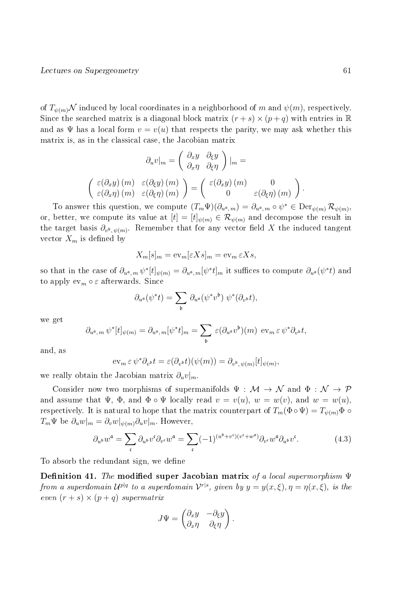of  $T_{\psi(m)}\mathcal{N}$  induced by local coordinates in a neighborhood of m and  $\psi(m)$ , respectively. Since the searched matrix is a diagonal block matrix  $(r + s) \times (p + q)$  with entries in R and as  $\Psi$  has a local form  $v = v(u)$  that respects the parity, we may ask whether this matrix is, as in the classical case, the Jacobian matrix

$$
\partial_u v|_m = \begin{pmatrix} \partial_x y & \partial_\xi y \\ \partial_x \eta & \partial_\xi \eta \end{pmatrix} |_m =
$$
  

$$
\begin{pmatrix} \varepsilon(\partial_x y) (m) & \varepsilon(\partial_\xi y) (m) \\ \varepsilon(\partial_x \eta) (m) & \varepsilon(\partial_\xi \eta) (m) \end{pmatrix} = \begin{pmatrix} \varepsilon(\partial_x y) (m) & 0 \\ 0 & \varepsilon(\partial_\xi \eta) (m) \end{pmatrix}.
$$

To answer this question, we compute  $(T_m\Psi)(\partial_{u^{\mathfrak{a}},m}) = \partial_{u^{\mathfrak{a}},m} \circ \psi^* \in \text{Der}_{\psi(m)}\mathcal{R}_{\psi(m)},$ or, better, we compute its value at  $[t] = [t]_{\psi(m)} \in \mathcal{R}_{\psi(m)}$  and decompose the result in the target basis  $\partial_{v^{\mathfrak{b}}, \psi(m)}$ . Remember that for any vector field X the induced tangent vector  $X_m$  is defined by

$$
X_m[s]_m = \mathrm{ev}_m[\varepsilon X s]_m = \mathrm{ev}_m \,\varepsilon X s,
$$

so that in the case of  $\partial_{u^{\mathfrak{a}},m}\psi^*[t]_{\psi(m)}=\partial_{u^{\mathfrak{a}},m}[\psi^*t]_m$  it suffices to compute  $\partial_{u^{\mathfrak{a}}}(\psi^*t)$  and to apply  $ev_m \circ \varepsilon$  afterwards. Since

$$
\partial_{u^{\mathfrak{a}}}(\psi^*t) = \sum_{\mathfrak{b}} \partial_{u^{\mathfrak{a}}}(\psi^*v^{\mathfrak{b}}) \ \psi^*(\partial_{v^{\mathfrak{b}}}t),
$$

we get

$$
\partial_{u^{\mathfrak{a}},m} \,\psi^*[t]_{\psi(m)} = \partial_{u^{\mathfrak{a}},m}[\psi^*t]_m = \sum_{\mathfrak{b}} \,\varepsilon(\partial_{u^{\mathfrak{a}}}v^{\mathfrak{b}})(m) \, \operatorname{ev}_m\varepsilon \,\psi^*\partial_{v^{\mathfrak{b}}}t,
$$

and, as

$$
\operatorname{ev}_m \varepsilon \, \psi^* \partial_{v^{\mathfrak{b}}} t = \varepsilon(\partial_{v^{\mathfrak{b}}} t)(\psi(m)) = \partial_{v^{\mathfrak{b}}, \psi(m)}[t]_{\psi(m)},
$$

we really obtain the Jacobian matrix  $\partial_u v|_{m}$ .

Consider now two morphisms of supermanifolds  $\Psi : \mathcal{M} \to \mathcal{N}$  and  $\Phi : \mathcal{N} \to \mathcal{P}$ and assume that  $\Psi$ ,  $\Phi$ , and  $\Phi \circ \Psi$  locally read  $v = v(u)$ ,  $w = w(v)$ , and  $w = w(u)$ , respectively. It is natural to hope that the matrix counterpart of  $T_m(\Phi \circ \Psi) = T_{\psi(m)}\Phi \circ$  $T_m \Psi$  be  $\partial_u w|_m = \partial_v w|_{\psi(m)} \partial_u v|_m$ . However,

$$
\partial_{u^b} w^{\mathfrak{a}} = \sum_{\mathfrak{c}} \partial_{u^b} v^{\mathfrak{c}} \partial_{v^{\mathfrak{c}}} w^{\mathfrak{a}} = \sum_{\mathfrak{c}} (-1)^{(u^b + v^{\mathfrak{c}})(v^{\mathfrak{c}} + w^{\mathfrak{a}})} \partial_{v^{\mathfrak{c}}} w^{\mathfrak{a}} \partial_{u^b} v^{\mathfrak{c}}.
$$
 (4.3)

To absorb the redundant sign, we define

Definition 41. The modified super Jacobian matrix of a local supermorphism  $\Psi$ from a superdomain  $\mathcal{U}^{p|q}$  to a superdomain  $\mathcal{V}^{r|s}$ , given by  $y=y(x,\xi),\eta=\eta(x,\xi),$  is the even  $(r + s) \times (p + q)$  supermatrix

$$
J\Psi = \begin{pmatrix} \partial_x y & -\partial_{\xi} y \\ \partial_x \eta & \partial_{\xi} \eta \end{pmatrix}.
$$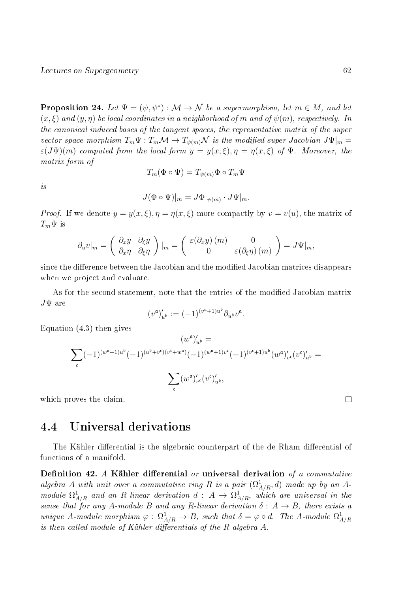**Proposition 24.** Let  $\Psi = (\psi, \psi^*) : \mathcal{M} \to \mathcal{N}$  be a supermorphism, let  $m \in M$ , and let  $(x, \xi)$  and  $(y, \eta)$  be local coordinates in a neighborhood of m and of  $\psi(m)$ , respectively. In the canonical induced bases of the tangent spaces, the representative matrix of the super vector space morphism  $T_m\Psi : T_m \mathcal{M} \to T_{\psi(m)}\mathcal{N}$  is the modified super Jacobian  $J\Psi|_m =$  $\varepsilon(J\Psi)(m)$  computed from the local form  $y = y(x,\xi), \eta = \eta(x,\xi)$  of  $\Psi$ . Moreover, the matrix form of

$$
T_m(\Phi \circ \Psi) = T_{\psi(m)}\Phi \circ T_m\Psi
$$

is

$$
J(\Phi \circ \Psi)|_m = J\Phi|_{\psi(m)} \cdot J\Psi|_m.
$$

*Proof.* If we denote  $y = y(x, \xi), \eta = \eta(x, \xi)$  more compactly by  $v = v(u)$ , the matrix of  $T_m\Psi$  is

$$
\partial_u v|_m = \begin{pmatrix} \partial_x y & \partial_\xi y \\ \partial_x \eta & \partial_\xi \eta \end{pmatrix} |_m = \begin{pmatrix} \varepsilon(\partial_x y)(m) & 0 \\ 0 & \varepsilon(\partial_\xi \eta)(m) \end{pmatrix} = J\Psi|_m,
$$

since the difference between the Jacobian and the modified Jacobian matrices disappears when we project and evaluate.

As for the second statement, note that the entries of the modified Jacobian matrix  $J\Psi$  are

$$
(v^{\mathfrak a})'_{u^{\mathfrak b}}:=(-1)^{(v^{\mathfrak a}+1)u^{\mathfrak b}}\partial_{u^{\mathfrak b}}v^{\mathfrak a}.
$$

Equation (4.3) then gives

$$
(w^{\mathfrak{a}})'_{u^{\mathfrak{b}}} =
$$
  

$$
\sum_{\mathfrak{c}} (-1)^{(w^{\mathfrak{a}}+1)u^{\mathfrak{b}}} (-1)^{(u^{\mathfrak{b}}+v^{\mathfrak{c}})(v^{\mathfrak{c}}+w^{\mathfrak{a}})} (-1)^{(w^{\mathfrak{a}}+1)v^{\mathfrak{c}}} (-1)^{(v^{\mathfrak{c}}+1)u^{\mathfrak{b}}} (w^{\mathfrak{a}})'_{v^{\mathfrak{c}}} (v^{\mathfrak{c}})'_{u^{\mathfrak{b}}} =
$$
  

$$
\sum_{\mathfrak{c}} (w^{\mathfrak{a}})'_{v^{\mathfrak{c}}} (v^{\mathfrak{c}})'_{u^{\mathfrak{b}}},
$$

which proves the claim.

## 4.4 Universal derivations

The Kähler differential is the algebraic counterpart of the de Rham differential of functions of a manifold.

Definition 42. A Kähler differential or universal derivation of a commutative algebra A with unit over a commutative ring R is a pair  $(\Omega^1_{A/R}, d)$  made up by an Amodule  $\Omega^1_{A/R}$  and an R-linear derivation  $d: A \to \Omega^1_{A/R}$ , which are universal in the sense that for any A-module B and any R-linear derivation  $\delta: A \rightarrow B$ , there exists a unique A-module morphism  $\varphi : \Omega^1_{A/R} \to B$ , such that  $\delta = \varphi \circ d$ . The A-module  $\Omega^1_{A/R}$ is then called module of Kähler differentials of the  $R$ -algebra  $A$ .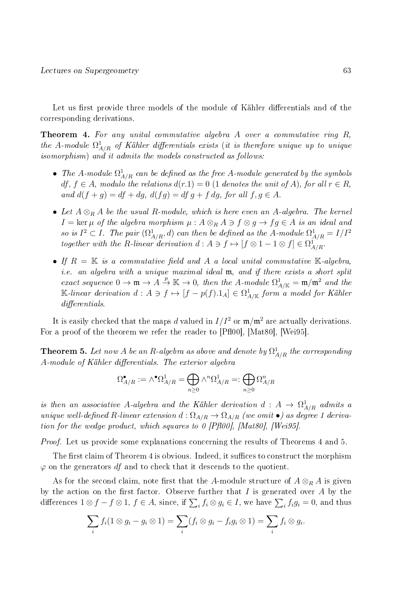Let us first provide three models of the module of Kähler differentials and of the corresponding derivations.

**Theorem 4.** For any unital commutative algebra  $A$  over a commutative ring  $R$ , the A-module  $\Omega^1_{A/R}$  of Kähler differentials exists (it is therefore unique up to unique isomorphism) and it admits the models constructed as follows:

- The A-module  $\Omega^1_{A/R}$  can be defined as the free A-module generated by the symbols  $df, f ∈ A$ , modulo the relations  $d(r,1) = 0$  (1 denotes the unit of A), for all  $r ∈ R$ , and  $d(f+g) = df + dg$ ,  $d(fg) = df g + fg$ , for all  $f, g \in A$ .
- Let  $A \otimes_R A$  be the usual R-module, which is here even an A-algebra. The kernel  $I = \ker \mu$  of the algebra morphism  $\mu : A \otimes_R A \ni f \otimes g \to fg \in A$  is an ideal and so is  $I^2 \subset I$ . The pair  $(\Omega^1_{A/R}, d)$  can then be defined as the A-module  $\Omega^1_{A/R} = I/I^2$ together with the R-linear derivation  $d : A \ni f \mapsto [f \otimes 1 - 1 \otimes f] \in \Omega^1_{A/R}$ .
- If  $R = K$  is a commutative field and A a local unital commutative K-algebra, i.e. an algebra with a unique maximal ideal m, and if there exists a short split exact sequence  $0 \to \mathfrak{m} \to A \stackrel{p}{\to} \mathbb{K} \to 0$ , then the A-module  $\Omega^1_{A/\mathbb{K}} = \mathfrak{m}/\mathfrak{m}^2$  and the K-linear derivation  $d: A \ni f \mapsto [f - p(f).1_A] \in \Omega^1_{A/\mathbb{K}}$  form a model for Kähler  $differentials$

It is easily checked that the maps d valued in  $I/I^2$  or  $\mathfrak{m}/\mathfrak{m}^2$  are actually derivations. For a proof of the theorem we refer the reader to [Pfl00], [Mat80], [Wei95].

**Theorem 5.** Let now A be an R-algebra as above and denote by  $\Omega^1_{A/R}$  the corresponding A-module of Kähler differentials. The exterior algebra

$$
\Omega^{\bullet}_{A/R}:=\wedge^{\bullet}\Omega^1_{A/R}=\bigoplus_{n\geq 0}\wedge^n\Omega^1_{A/R}=:\bigoplus_{n\geq 0}\Omega^n_{A/R}
$$

is then an associative A-algebra and the Kähler derivation  $d: A \rightarrow \Omega^1_{A/R}$  admits a unique well-defined R-linear extension  $d : \Omega_{A/R} \to \Omega_{A/R}$  (we omit  $\bullet$ ) as degree 1 derivation for the wedge product, which squares to 0 [Pfl00], [Mat80], [Wei95].

*Proof.* Let us provide some explanations concerning the results of Theorems 4 and 5.

The first claim of Theorem 4 is obvious. Indeed, it suffices to construct the morphism  $\varphi$  on the generators df and to check that it descends to the quotient.

As for the second claim, note first that the A-module structure of  $A \otimes_R A$  is given by the action on the first factor. Observe further that  $I$  is generated over  $A$  by the differences  $1 \otimes f - f \otimes 1$ ,  $f \in A$ , since, if  $\sum_i f_i \otimes g_i \in I$ , we have  $\sum_i f_ig_i = 0$ , and thus

$$
\sum_i f_i (1 \otimes g_i - g_i \otimes 1) = \sum_i (f_i \otimes g_i - f_i g_i \otimes 1) = \sum_i f_i \otimes g_i.
$$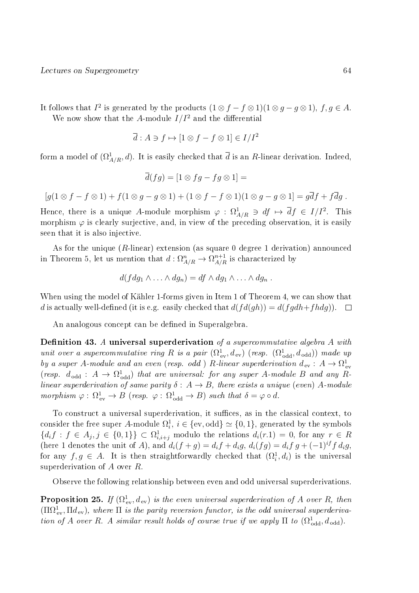It follows that  $I^2$  is generated by the products  $(1 \otimes f - f \otimes 1)(1 \otimes g - g \otimes 1)$ ,  $f, g \in A$ . We now show that the A-module  $I/I^2$  and the differential

$$
\overline{d}: A \ni f \mapsto [1 \otimes f - f \otimes 1] \in I/I^2
$$

form a model of  $(\Omega^1_{A/R}, d)$ . It is easily checked that  $\overline{d}$  is an R-linear derivation. Indeed,

$$
\overline{d}(fg) = [1 \otimes fg - fg \otimes 1] =
$$

 $[g(1 \otimes f - f \otimes 1) + f(1 \otimes g - g \otimes 1) + (1 \otimes f - f \otimes 1)(1 \otimes g - g \otimes 1] = g\overline{d}f + f\overline{d}g$ .

Hence, there is a unique A-module morphism  $\varphi$  :  $\Omega^1_{A/R} \ni df \mapsto \overline{d}f \in I/I^2$ . This morphism  $\varphi$  is clearly surjective, and, in view of the preceding observation, it is easily seen that it is also injective.

As for the unique (R-linear) extension (as square 0 degree 1 derivation) announced in Theorem 5, let us mention that  $d: \Omega^n_{A/R} \to \Omega^{n+1}_{A/R}$  is characterized by

$$
d(fdg_1 \wedge \ldots \wedge dg_n) = df \wedge dg_1 \wedge \ldots \wedge dg_n .
$$

When using the model of Kähler 1-forms given in Item 1 of Theorem 4, we can show that d is actually well-defined (it is e.g. easily checked that  $d(f d(gh)) = d(f g dh + f h dg)$ ).  $\Box$ 

An analogous concept can be defined in Superalgebra.

Definition 43. A universal superderivation of a supercommutative algebra A with unit over a supercommutative ring R is a pair  $(\Omega_{ev}^1, d_{ev})$  (resp.  $(\Omega_{odd}^1, d_{odd})$ ) made up by a super A-module and an even (resp. odd) R-linear superderivation  $d_{ev}: A \rightarrow \Omega_{ev}^1$ (resp.  $d_{\text{odd}}$  :  $A \rightarrow \Omega_{\text{odd}}^1$ ) that are universal: for any super A-module B and any Rlinear superderivation of same parity  $\delta: A \rightarrow B$ , there exists a unique (even) A-module morphism  $\varphi : \Omega^1_{ev} \to B$  (resp.  $\varphi : \Omega^1_{odd} \to B$ ) such that  $\delta = \varphi \circ d$ .

To construct a universal superderivation, it suffices, as in the classical context, to consider the free super A-module  $\Omega^1_i, \, i \in \{\mathrm{ev}, \mathrm{odd}\} \simeq \{0,1\},$  generated by the symbols  ${d_i f : f \in A_j, j \in \{0,1\}\}\subset \Omega^1_{i,i+j}$  modulo the relations  $d_i(r,1) = 0$ , for any  $r \in R$ (here 1 denotes the unit of A), and  $d_i(f+g) = d_i f + d_i g$ ,  $d_i(fg) = d_i f g + (-1)^{if} f d_i g$ , for any  $f, g \in A$ . It is then straightforwardly checked that  $(\Omega_i^1, d_i)$  is the universal superderivation of A over R.

Observe the following relationship between even and odd universal superderivations.

**Proposition 25.** If  $(\Omega_{\text{ev}}^1, d_{\text{ev}})$  is the even universal superderivation of A over R, then  $(\Pi\Omega_{\rm ev}^1,\Pi d_{\rm ev}),$  where  $\Pi$  is the parity reversion functor, is the odd universal superderivation of A over R. A similar result holds of course true if we apply  $\Pi$  to  $(\Omega_{\text{odd}}^1, d_{\text{odd}})$ .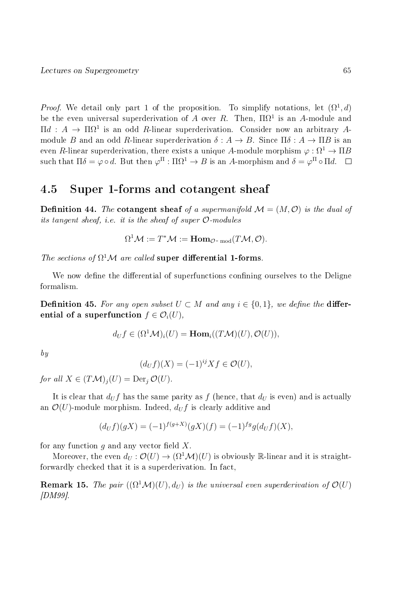*Proof.* We detail only part 1 of the proposition. To simplify notations, let  $(\Omega^1, d)$ be the even universal superderivation of A over R. Then,  $\Pi \Omega^1$  is an A-module and  $\Pi d$  :  $A \to \Pi \Omega^1$  is an odd R-linear superderivation. Consider now an arbitrary Amodule B and an odd R-linear superderivation  $\delta: A \to B$ . Since  $\Pi \delta: A \to \Pi B$  is an even R-linear superderivation, there exists a unique A-module morphism  $\varphi : \Omega^1 \to \Pi B$ such that  $\Pi\delta=\varphi\circ d.$  But then  $\varphi^\Pi:\Pi\Omega^1\to B$  is an  $A$ -morphism and  $\delta=\varphi^\Pi\circ\Pi d.$ 

## 4.5 Super 1-forms and cotangent sheaf

**Definition 44.** The cotangent sheaf of a supermanifold  $\mathcal{M} = (M, \mathcal{O})$  is the dual of its tangent sheaf, i.e. it is the sheaf of super  $\mathcal{O}\text{-modules}$ 

$$
\Omega^1 \mathcal{M} := T^* \mathcal{M} := \text{Hom}_{\mathcal{O}\text{-}\operatorname{mod}}(T\mathcal{M}, \mathcal{O}).
$$

The sections of  $\Omega^1 \mathcal{M}$  are called super differential 1-forms.

We now define the differential of superfunctions confining ourselves to the Deligne formalism.

**Definition 45.** For any open subset  $U \subset M$  and any  $i \in \{0, 1\}$ , we define the **differ**ential of a superfunction  $f \in \mathcal{O}_i(U)$ ,

$$
d_U f \in (\Omega^1 \mathcal{M})_i(U) = \text{Hom}_i((T \mathcal{M})(U), \mathcal{O}(U)),
$$

by

$$
(d_U f)(X) = (-1)^{ij} X f \in \mathcal{O}(U),
$$

for all  $X \in (T\mathcal{M})_i(U) = \text{Der}_i \mathcal{O}(U)$ .

It is clear that  $d_U f$  has the same parity as f (hence, that  $d_U$  is even) and is actually an  $\mathcal{O}(U)$ -module morphism. Indeed,  $d_U f$  is clearly additive and

$$
(d_U f)(gX) = (-1)^{f(g+X)}(gX)(f) = (-1)^{fg}g(d_U f)(X),
$$

for any function  $g$  and any vector field  $X$ .

Moreover, the even  $d_U : \mathcal{O}(U) \to (\Omega^1 \mathcal{M})(U)$  is obviously R-linear and it is straightforwardly checked that it is a superderivation. In fact,

**Remark 15.** The pair  $((\Omega^1 \mathcal{M})(U), d_U)$  is the universal even superderivation of  $\mathcal{O}(U)$ [DM99].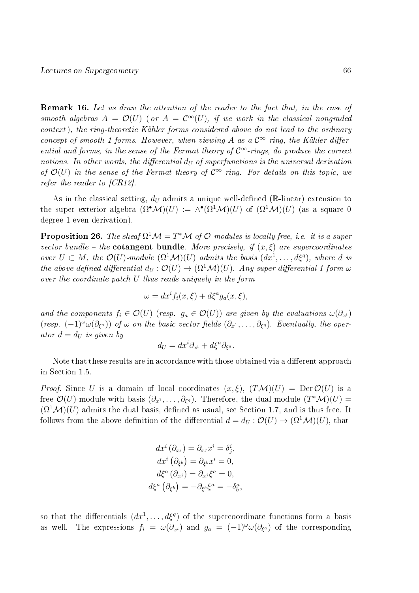Remark 16. Let us draw the attention of the reader to the fact that, in the case of smooth algebras  $A = \mathcal{O}(U)$  (or  $A = \mathcal{C}^{\infty}(U)$ , if we work in the classical nongraded context), the ring-theoretic Kähler forms considered above do not lead to the ordinary concept of smooth 1-forms. However, when viewing A as a  $\mathcal{C}^{\infty}$ -ring, the Kähler differential and forms, in the sense of the Fermat theory of  $\mathcal{C}^{\infty}$ -rings, do produce the correct notions. In other words, the differential  $d_U$  of superfunctions is the universal derivation of  $\mathcal{O}(U)$  in the sense of the Fermat theory of  $\mathcal{C}^{\infty}$ -ring. For details on this topic, we refer the reader to [CR12].

As in the classical setting,  $d_U$  admits a unique well-defined (R-linear) extension to the super exterior algebra  $(\Omega^{\bullet} \mathcal{M})(U) := \wedge^{\bullet} (\Omega^1 \mathcal{M})(U)$  of  $(\Omega^1 \mathcal{M})(U)$  (as a square 0 degree 1 even derivation).

**Proposition 26.** The sheaf  $\Omega^1 \mathcal{M} = T^* \mathcal{M}$  of  $\mathcal{O}\text{-modules}$  is locally free, i.e. it is a super vector bundle – the **cotangent bundle**. More precisely, if  $(x, \xi)$  are supercoordinates over  $U \subset M$ , the  $\mathcal{O}(U)$ -module  $(\Omega^1 \mathcal{M})(U)$  admits the basis  $(dx^1, \ldots, d\xi^q)$ , where d is the above defined differential  $d_U : \mathcal{O}(U) \to (\Omega^1 \mathcal{M})(U)$ . Any super differential 1-form  $\omega$ over the coordinate patch U thus reads uniquely in the form

$$
\omega = dx^{i} f_{i}(x,\xi) + d\xi^{a} g_{a}(x,\xi),
$$

and the components  $f_i \in \mathcal{O}(U)$  (resp.  $g_a \in \mathcal{O}(U)$ ) are given by the evaluations  $\omega(\partial_{x_i})$ (resp.  $(-1)^{\omega} \omega(\partial_{\xi^a})$ ) of  $\omega$  on the basic vector fields  $(\partial_{x^1}, \ldots, \partial_{\xi^q})$ . Eventually, the operator  $d = d_U$  is given by

$$
d_U = dx^i \partial_{x^i} + d\xi^a \partial_{\xi^a}.
$$

Note that these results are in accordance with those obtained via a different approach in Section 1.5.

*Proof.* Since U is a domain of local coordinates  $(x, \xi)$ ,  $(TM)(U) = Der \mathcal{O}(U)$  is a free  $\mathcal{O}(U)$ -module with basis  $(\partial_{x^1},\ldots,\partial_{\xi^q})$ . Therefore, the dual module  $(T^*\mathcal{M})(U) =$  $(\Omega^1 \mathcal{M})(U)$  admits the dual basis, defined as usual, see Section 1.7, and is thus free. It follows from the above definition of the differential  $d = d_U : \mathcal{O}(U) \to (\Omega^1 \mathcal{M})(U)$ , that

$$
dx^{i} (\partial_{x^{j}}) = \partial_{x^{j}} x^{i} = \delta_{j}^{i},
$$
  
\n
$$
dx^{i} (\partial_{\xi^{b}}) = \partial_{\xi^{b}} x^{i} = 0,
$$
  
\n
$$
d\xi^{a} (\partial_{x^{j}}) = \partial_{x^{j}} \xi^{a} = 0,
$$
  
\n
$$
d\xi^{a} (\partial_{\xi^{b}}) = -\partial_{\xi^{b}} \xi^{a} = -\delta_{b}^{a},
$$

so that the differentials  $(dx^1, \ldots, d\xi^q)$  of the supercoordinate functions form a basis as well. The expressions  $f_i = \omega(\partial_{x^i})$  and  $g_a = (-1)^\omega \omega(\partial_{\xi^a})$  of the corresponding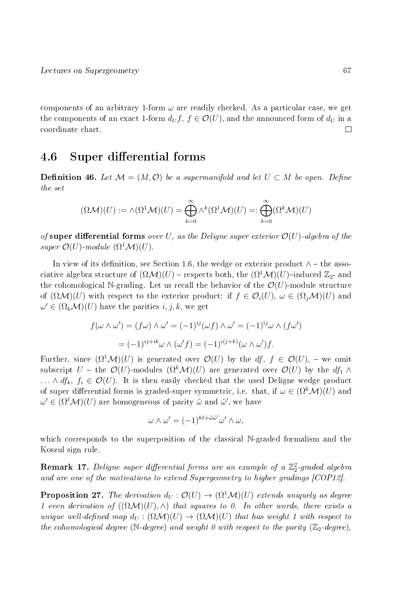components of an arbitrary 1-form  $\omega$  are readily checked. As a particular case, we get the components of an exact 1-form  $d_U f$ ,  $f \in \mathcal{O}(U)$ , and the announced form of  $d_U$  in a coordinate chart. П

## 4.6 Super differential forms

**Definition 46.** Let  $\mathcal{M} = (M, \mathcal{O})$  be a supermanifold and let  $U \subset M$  be open. Define the set

$$
(\Omega{\mathcal M})(U):=\wedge (\Omega^1{\mathcal M})(U)=\bigoplus_{k=0}^\infty \wedge^k (\Omega^1{\mathcal M})(U)=:\bigoplus_{k=0}^\infty (\Omega^k{\mathcal M})(U)
$$

of super differential forms over U, as the Deligne super exterior  $\mathcal{O}(U)$ -algebra of the super  $\mathcal{O}(U)$ -module  $(\Omega^1 \mathcal{M})(U)$ .

In view of its definition, see Section 1.6, the wedge or exterior product  $\wedge$  – the associative algebra structure of  $(\Omega \mathcal{M})(U)$  – respects both, the  $(\Omega^1 \mathcal{M})(U)$ -induced  $\mathbb{Z}_2$ - and the cohomological N-grading. Let us recall the behavior of the  $\mathcal{O}(U)$ -module structure of  $(\Omega \mathcal{M})(U)$  with respect to the exterior product: if  $f \in \mathcal{O}_i(U)$ ,  $\omega \in (\Omega_i \mathcal{M})(U)$  and  $\omega' \in (\Omega_k \mathcal{M})(U)$  have the parities  $i, j, k$ , we get

$$
f(\omega \wedge \omega') = (f\omega) \wedge \omega' = (-1)^{ij}(\omega f) \wedge \omega' = (-1)^{ij}\omega \wedge (f\omega')
$$

$$
= (-1)^{ij+ik}\omega \wedge (\omega'f) = (-1)^{i(j+k)}(\omega \wedge \omega')f.
$$

Further, since  $(\Omega^1 \mathcal{M})(U)$  is generated over  $\mathcal{O}(U)$  by the df,  $f \in \mathcal{O}(U)$ , – we omit subscript U – the  $\mathcal{O}(U)$ -modules  $(\Omega^k \mathcal{M})(U)$  are generated over  $\mathcal{O}(U)$  by the  $df_1 \wedge$  $\ldots \wedge df_k$ ,  $f_i \in \mathcal{O}(U)$ . It is then easily checked that the used Deligne wedge product of super differential forms is graded-super symmetric, i.e. that, if  $\omega \in (\Omega^k \mathcal{M})(U)$  and  $\omega' \in (\Omega^{\ell} \mathcal{M})(U)$  are homogeneous of parity  $\tilde{\omega}$  and  $\tilde{\omega}'$ , we have

$$
\omega \wedge \omega' = (-1)^{k\ell + \tilde{\omega}\tilde{\omega}'} \omega' \wedge \omega,
$$

which corresponds to the superposition of the classical N-graded formalism and the Koszul sign rule.

**Remark 17.** Deligne super differential forms are an example of a  $\mathbb{Z}_2^2$ -graded algebra and are one of the motivations to extend Supergeometry to higher gradings [COP12].

**Proposition 27.** The derivation  $d_U : \mathcal{O}(U) \to (\Omega^1 \mathcal{M})(U)$  extends uniquely as degree 1 even derivation of  $((\Omega \mathcal{M})(U), \wedge)$  that squares to 0. In other words, there exists a unique well-defined map  $d_U : (\Omega \mathcal{M})(U) \to (\Omega \mathcal{M})(U)$  that has weight 1 with respect to the cohomological degree (N-degree) and weight 0 with respect to the parity ( $\mathbb{Z}_2$ -degree),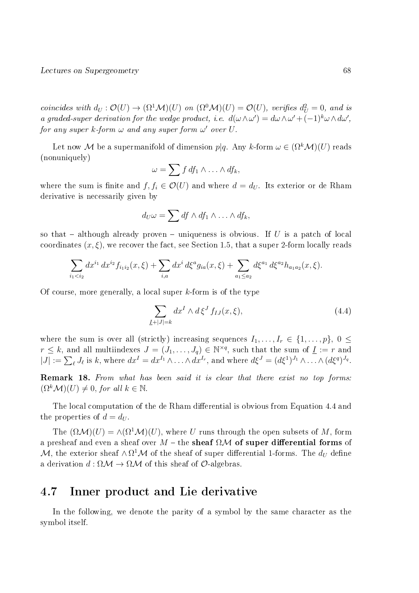coincides with  $d_U : \mathcal{O}(U) \to (\Omega^1 \mathcal{M})(U)$  on  $(\Omega^0 \mathcal{M})(U) = \mathcal{O}(U)$ , verifies  $d_U^2 = 0$ , and is a graded-super derivation for the wedge product, i.e.  $d(\omega \wedge \omega') = d\omega \wedge \omega' + (-1)^k \omega \wedge d\omega'$ , for any super  $k$ -form  $\omega$  and any super form  $\omega'$  over  $U.$ 

Let now M be a supermanifold of dimension  $p|q$ . Any k-form  $\omega \in (\Omega^k \mathcal{M})(U)$  reads (nonuniquely)

$$
\omega = \sum f df_1 \wedge \ldots \wedge df_k,
$$

where the sum is finite and  $f, f_i \in \mathcal{O}(U)$  and where  $d = d_U$ . Its exterior or de Rham derivative is necessarily given by

$$
d_U\omega=\sum df\wedge df_1\wedge\ldots\wedge df_k,
$$

so that  $-$  although already proven  $-$  uniqueness is obvious. If U is a patch of local coordinates  $(x, \xi)$ , we recover the fact, see Section 1.5, that a super 2-form locally reads

$$
\sum_{i_1
$$

Of course, more generally, a local super k-form is of the type

$$
\sum_{\underline{I}+|J|=k} dx^I \wedge d\xi^J f_{IJ}(x,\xi),\tag{4.4}
$$

where the sum is over all (strictly) increasing sequences  $I_1, \ldots, I_r \in \{1, \ldots, p\}, 0 \leq$  $r \leq k$ , and all multiindexes  $J = (J_1, \ldots, J_q) \in \mathbb{N}^{\times q}$ , such that the sum of  $\underline{I} := r$  and  $|J| := \sum_{\ell} J_{\ell}$  is k, where  $dx^I = dx^{I_1} \wedge \ldots \wedge dx^{I_r}$ , and where  $d\xi^J = (d\xi^1)^{J_1} \wedge \ldots \wedge (d\xi^q)^{J_q}$ .

Remark 18. From what has been said it is clear that there exist no top forms:  $(\Omega^k \mathcal{M})(U) \neq 0$ , for all  $k \in \mathbb{N}$ .

The local computation of the de Rham differential is obvious from Equation 4.4 and the properties of  $d = d_U$ .

The  $(\Omega \mathcal{M})(U) = \wedge (\Omega^1 \mathcal{M})(U)$ , where U runs through the open subsets of M, form a presheaf and even a sheaf over  $M$  – the sheaf  $\Omega \mathcal{M}$  of super differential forms of  $\mathcal M,$  the exterior sheaf  $\wedge\,\Omega^1\mathcal M$  of the sheaf of super differential 1-forms. The  $d_U$  define a derivation  $d : \Omega \mathcal{M} \to \Omega \mathcal{M}$  of this sheaf of  $\mathcal{O}$ -algebras.

## 4.7 Inner product and Lie derivative

In the following, we denote the parity of a symbol by the same character as the symbol itself.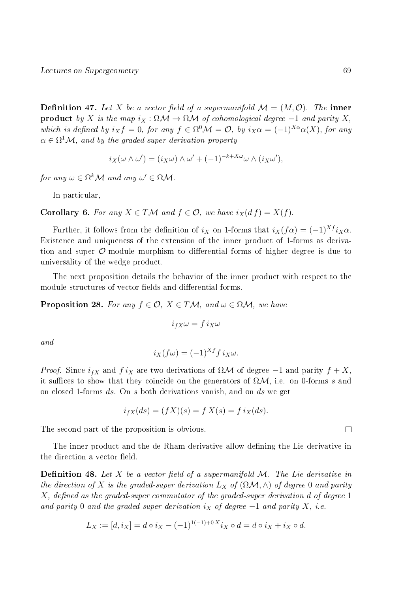**Definition 47.** Let X be a vector field of a supermanifold  $\mathcal{M} = (M, \mathcal{O})$ . The inner **product** by X is the map  $i_X : \Omega \mathcal{M} \to \Omega \mathcal{M}$  of cohomological degree  $-1$  and parity X, which is defined by  $i_X f = 0$ , for any  $f \in \Omega^0 \mathcal{M} = \mathcal{O}$ , by  $i_X \alpha = (-1)^{X\alpha} \alpha(X)$ , for any  $\alpha \in \Omega^1 \mathcal{M}$ , and by the graded-super derivation property

$$
i_X(\omega \wedge \omega') = (i_X \omega) \wedge \omega' + (-1)^{-k + X\omega} \omega \wedge (i_X \omega'),
$$

for any  $\omega \in \Omega^k \mathcal{M}$  and any  $\omega' \in \Omega \mathcal{M}$ .

In particular,

Corollary 6. For any  $X \in T\mathcal{M}$  and  $f \in \mathcal{O}$ , we have  $i_X(df) = X(f)$ .

Further, it follows from the definition of  $i_X$  on 1-forms that  $i_X(f\alpha) = (-1)^{X}i_X\alpha$ . Existence and uniqueness of the extension of the inner product of 1-forms as derivation and super  $\mathcal{O}$ -module morphism to differential forms of higher degree is due to universality of the wedge product.

The next proposition details the behavior of the inner product with respect to the module structures of vector fields and differential forms.

**Proposition 28.** For any  $f \in \mathcal{O}$ ,  $X \in T\mathcal{M}$ , and  $\omega \in \Omega\mathcal{M}$ , we have

$$
i_{fX}\omega = f i_X \omega
$$

and

$$
i_X(f\omega) = (-1)^{Xf} i_X\omega.
$$

*Proof.* Since  $i_{fX}$  and  $f i_X$  are two derivations of  $\Omega \mathcal{M}$  of degree  $-1$  and parity  $f + X$ , it suffices to show that they coincide on the generators of  $\Omega \mathcal{M}$ , i.e. on 0-forms s and on closed 1-forms ds. On s both derivations vanish, and on ds we get

$$
i_{fX}(ds) = (fX)(s) = f X(s) = f i_X(ds).
$$

The second part of the proposition is obvious.

The inner product and the de Rham derivative allow defining the Lie derivative in the direction a vector field.

**Definition 48.** Let X be a vector field of a supermanifold  $M$ . The Lie derivative in the direction of X is the graded-super derivation  $L_X$  of  $(\Omega \mathcal{M}, \wedge)$  of degree 0 and parity  $X$ , defined as the graded-super commutator of the graded-super derivation d of degree 1 and parity 0 and the graded-super derivation  $i_X$  of degree  $-1$  and parity X, i.e.

$$
L_X := [d, i_X] = d \circ i_X - (-1)^{1(-1)+0X} i_X \circ d = d \circ i_X + i_X \circ d.
$$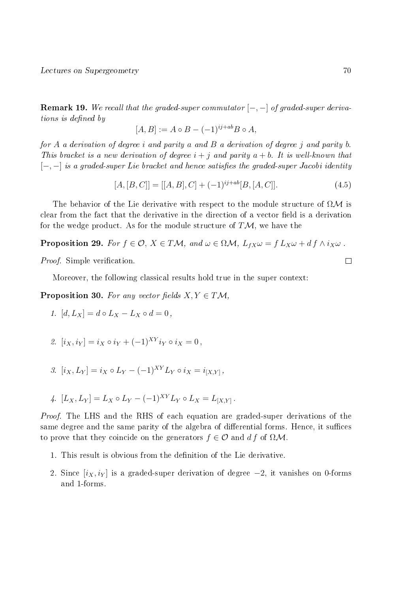**Remark 19.** We recall that the graded-super commutator  $[-,-]$  of graded-super deriva $tions$  is defined by

$$
[A, B] := A \circ B - (-1)^{ij + ab} B \circ A,
$$

for A a derivation of degree i and parity a and B a derivation of degree j and parity b. This bracket is a new derivation of degree  $i + j$  and parity  $a + b$ . It is well-known that  $[-,-]$  is a graded-super Lie bracket and hence satisfies the graded-super Jacobi identity

$$
[A, [B, C]] = [[A, B], C] + (-1)^{ij + ab} [B, [A, C]]. \tag{4.5}
$$

The behavior of the Lie derivative with respect to the module structure of  $\Omega \mathcal{M}$  is clear from the fact that the derivative in the direction of a vector field is a derivation for the wedge product. As for the module structure of  $T\mathcal{M}$ , we have the

**Proposition 29.** For  $f \in \mathcal{O}, X \in TM$ , and  $\omega \in \Omega \mathcal{M}$ ,  $L_{fX}\omega = f L_X \omega + df \wedge i_X \omega$ .

*Proof.* Simple verification.

Moreover, the following classical results hold true in the super context:

**Proposition 30.** For any vector fields  $X, Y \in T\mathcal{M}$ ,

- 1.  $[d, L_X] = d \circ L_X L_X \circ d = 0$ ,
- 2.  $[i_X, i_Y] = i_X \circ i_Y + (-1)^{XY} i_Y \circ i_X = 0$ ,

3. 
$$
[i_X, L_Y] = i_X \circ L_Y - (-1)^{XY} L_Y \circ i_X = i_{[X,Y]},
$$

4. 
$$
[L_X, L_Y] = L_X \circ L_Y - (-1)^{XY} L_Y \circ L_X = L_{[X,Y]}.
$$

Proof. The LHS and the RHS of each equation are graded-super derivations of the same degree and the same parity of the algebra of differential forms. Hence, it suffices to prove that they coincide on the generators  $f \in \mathcal{O}$  and d f of  $\Omega \mathcal{M}$ .

- 1. This result is obvious from the definition of the Lie derivative.
- 2. Since  $[i_X, i_Y]$  is a graded-super derivation of degree  $-2$ , it vanishes on 0-forms and 1-forms.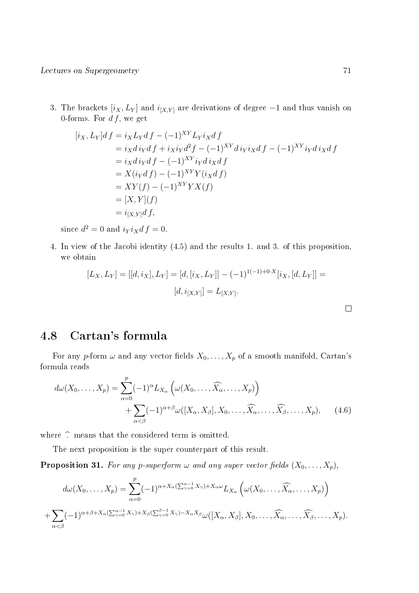3. The brackets  $[i_X, L_Y]$  and  $i_{[X,Y]}$  are derivations of degree  $-1$  and thus vanish on 0-forms. For  $df$ , we get

$$
[i_X, L_Y]df = i_XL_Ydf - (-1)^{XY}L_Yi_Xdf
$$
  
\n
$$
= i_Xd i_Ydf + i_Xi_Yd^2f - (-1)^{XY}d i_Yi_Xdf - (-1)^{XY}i_Yd i_Xdf
$$
  
\n
$$
= i_Xd i_Ydf - (-1)^{XY}i_Yd i_Xdf
$$
  
\n
$$
= X(i_Ydf) - (-1)^{XY}Y(i_Xdf)
$$
  
\n
$$
= XY(f) - (-1)^{XY}YX(f)
$$
  
\n
$$
= [X, Y](f)
$$
  
\n
$$
= i_{[X,Y]}df,
$$

since  $d^2 = 0$  and  $i_Y i_X d f = 0$ .

4. In view of the Jacobi identity (4.5) and the results 1. and 3. of this proposition, we obtain

$$
[L_X, L_Y] = [[d, i_X], L_Y] = [d, [i_X, L_Y]] - (-1)^{1(-1) + 0 \cdot X} [i_X, [d, L_Y]] = [d, i_{[X,Y]}] = L_{[X,Y]}.
$$

## 4.8 Cartan's formula

For any p-form  $\omega$  and any vector fields  $X_0, \ldots, X_p$  of a smooth manifold, Cartan's formula reads

$$
d\omega(X_0, \ldots, X_p) = \sum_{\alpha=0}^p (-1)^{\alpha} L_{X_{\alpha}} \left( \omega(X_0, \ldots, \widehat{X}_{\alpha}, \ldots, X_p) \right)
$$
  
+ 
$$
\sum_{\alpha < \beta} (-1)^{\alpha + \beta} \omega([X_{\alpha}, X_{\beta}], X_0, \ldots, \widehat{X}_{\alpha}, \ldots, \widehat{X}_{\beta}, \ldots, X_p), \qquad (4.6)
$$

where  $\hat{ }$  means that the considered term is omitted.

The next proposition is the super counterpart of this result.

**Proposition 31.** For any p-superform  $\omega$  and any super vector fields  $(X_0, \ldots, X_p)$ ,

$$
d\omega(X_0,\ldots,X_p) = \sum_{\alpha=0}^p (-1)^{\alpha+X_{\alpha}(\sum_{\gamma=0}^{\alpha-1}X_{\gamma})+X_{\alpha}\omega} L_{X_{\alpha}}\left(\omega(X_0,\ldots,\widehat{X}_{\alpha},\ldots,X_p)\right)
$$

$$
+\sum_{\alpha<\beta}(-1)^{\alpha+\beta+X_{\alpha}(\sum_{\gamma=0}^{\alpha-1}X_{\gamma})+X_{\beta}(\sum_{\gamma=0}^{\beta-1}X_{\gamma})-X_{\alpha}X_{\beta}}\omega([X_{\alpha},X_{\beta}],X_0,\ldots,\widehat{X_{\alpha}},\ldots,\widehat{X_{\beta}},\ldots,X_p).
$$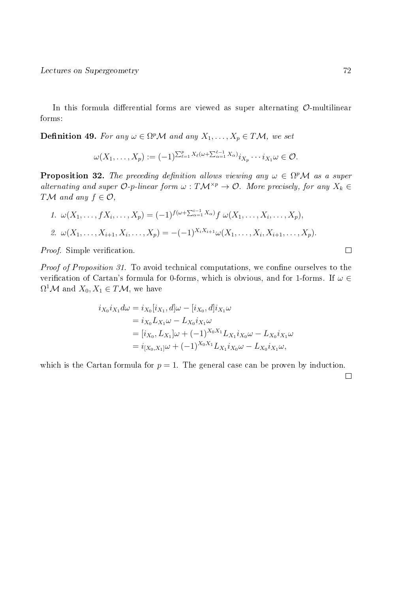In this formula differential forms are viewed as super alternating  $\mathcal{O}$ -multilinear forms:

**Definition 49.** For any  $\omega \in \Omega^p \mathcal{M}$  and any  $X_1, \ldots, X_p \in T \mathcal{M}$ , we set

$$
\omega(X_1,\ldots,X_p):=(-1)^{\sum_{\ell=1}^p X_\ell(\omega+\sum_{\alpha=1}^{\ell-1}X_\alpha)}i_{X_p}\cdots i_{X_1}\omega\in\mathcal{O}.
$$

**Proposition 32.** The preceding definition allows viewing any  $\omega \in \Omega^p \mathcal{M}$  as a super alternating and super  $\mathcal{O}\text{-}p$ -linear form  $\omega : T\mathcal{M}^{\times p} \to \mathcal{O}$ . More precisely, for any  $X_k \in$ TM and any  $f \in \mathcal{O}$ ,

1. 
$$
\omega(X_1, ..., fX_i, ..., X_p) = (-1)^{f(\omega + \sum_{\alpha=1}^{i-1} X_{\alpha})} f \omega(X_1, ..., X_i, ..., X_p),
$$
  
\n2.  $\omega(X_1, ..., X_{i+1}, X_i, ..., X_p) = -(-1)^{X_i X_{i+1}} \omega(X_1, ..., X_i, X_{i+1}, ..., X_p).$ 

Proof. Simple verification.

*Proof of Proposition 31.* To avoid technical computations, we confine ourselves to the verification of Cartan's formula for 0-forms, which is obvious, and for 1-forms. If  $\omega \in$  $\Omega^1 \mathcal{M}$  and  $X_0, X_1 \in T \mathcal{M}$ , we have

$$
i_{X_0} i_{X_1} d\omega = i_{X_0} [i_{X_1}, d] \omega - [i_{X_0}, d] i_{X_1} \omega
$$
  
=  $i_{X_0} L_{X_1} \omega - L_{X_0} i_{X_1} \omega$   
=  $[i_{X_0}, L_{X_1}] \omega + (-1)^{X_0 X_1} L_{X_1} i_{X_0} \omega - L_{X_0} i_{X_1} \omega$   
=  $i_{[X_0, X_1]} \omega + (-1)^{X_0 X_1} L_{X_1} i_{X_0} \omega - L_{X_0} i_{X_1} \omega$ ,

which is the Cartan formula for  $p = 1$ . The general case can be proven by induction.

 $\Box$ 

 $\Box$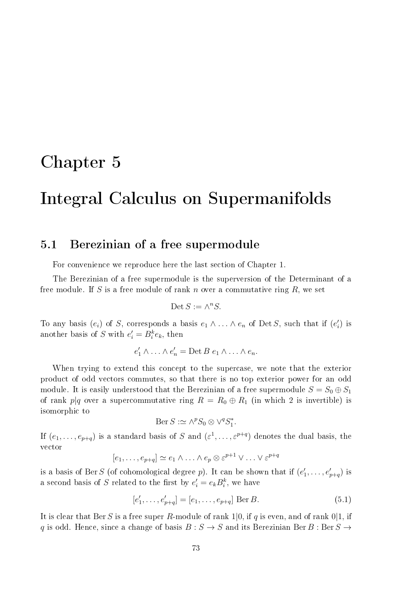# Chapter 5

# Integral Calculus on Supermanifolds

## 5.1 Berezinian of a free supermodule

For convenience we reproduce here the last section of Chapter 1.

The Berezinian of a free supermodule is the superversion of the Determinant of a free module. If S is a free module of rank n over a commutative ring  $R$ , we set

$$
\text{Det } S := \wedge^n S.
$$

To any basis  $(e_i)$  of S, corresponds a basis  $e_1 \wedge \ldots \wedge e_n$  of Det S, such that if  $(e'_i)$  is another basis of S with  $e_i' = B_i^k e_k$ , then

$$
e'_1 \wedge \ldots \wedge e'_n = \text{Det } B \ e_1 \wedge \ldots \wedge e_n.
$$

When trying to extend this concept to the supercase, we note that the exterior product of odd vectors commutes, so that there is no top exterior power for an odd module. It is easily understood that the Berezinian of a free supermodule  $S = S_0 \oplus S_1$ of rank p|q over a supercommutative ring  $R = R_0 \oplus R_1$  (in which 2 is invertible) is isomorphic to

$$
Ber S := \wedge^p S_0 \otimes \vee^q S_1^*.
$$

If  $(e_1,\ldots,e_{p+q})$  is a standard basis of S and  $(\varepsilon^1,\ldots,\varepsilon^{p+q})$  denotes the dual basis, the vector

$$
[e_1, \ldots, e_{p+q}] \simeq e_1 \wedge \ldots \wedge e_p \otimes \varepsilon^{p+1} \vee \ldots \vee \varepsilon^{p+q}
$$

is a basis of Ber S (of cohomological degree p). It can be shown that if  $(e'_1, \ldots, e'_{p+q})$  is a second basis of S related to the first by  $e_i' = e_k B_i^k$ , we have

$$
[e'_1, \dots, e'_{p+q}] = [e_1, \dots, e_{p+q}] \text{ Ber } B.
$$
 (5.1)

It is clear that Ber S is a free super R-module of rank 1|0, if q is even, and of rank 0|1, if q is odd. Hence, since a change of basis  $B : S \to S$  and its Berezinian Ber B : Ber  $S \to$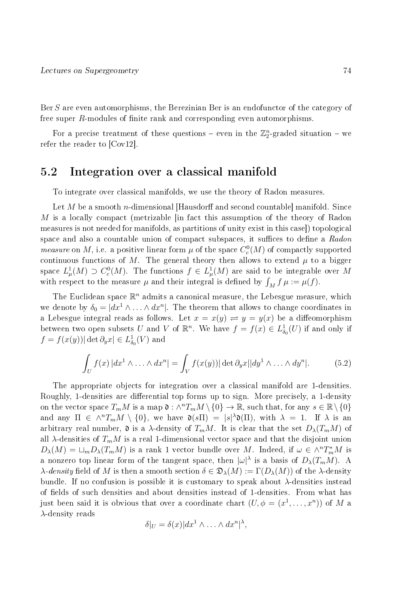Ber S are even automorphisms, the Berezinian Ber is an endofunctor of the category of free super  $R$ -modules of finite rank and corresponding even automorphisms.

For a precise treatment of these questions – even in the  $\mathbb{Z}_2^n$ -graded situation – we refer the reader to [Cov12].

### 5.2 Integration over a classical manifold

To integrate over classical manifolds, we use the theory of Radon measures.

Let M be a smooth n-dimensional [Hausdorff and second countable] manifold. Since M is a locally compact (metrizable [in fact this assumption of the theory of Radon measures is not needed for manifolds, as partitions of unity exist in this case]) topological space and also a countable union of compact subspaces, it suffices to define a Radon *measure* on M, i.e. a positive linear form  $\mu$  of the space  $C_c^0(M)$  of compactly supported continuous functions of M. The general theory then allows to extend  $\mu$  to a bigger space  $L^1_\mu(M) \supset C^0_c(M)$ . The functions  $f \in L^1_\mu(M)$  are said to be integrable over M with respect to the measure  $\mu$  and their integral is defined by  $\int_M f \mu := \mu(f)$ .

The Euclidean space  $\mathbb{R}^n$  admits a canonical measure, the Lebesgue measure, which we denote by  $\delta_0 = |dx^1 \wedge \ldots \wedge dx^n|$ . The theorem that allows to change coordinates in a Lebesgue integral reads as follows. Let  $x = x(y) \rightleftharpoons y = y(x)$  be a diffeomorphism between two open subsets U and V of  $\mathbb{R}^n$ . We have  $f = f(x) \in L^1_{\delta_0}(U)$  if and only if  $f = f(x(y)) |\det \partial_y x| \in L^1_{\delta_0}(V)$  and

$$
\int_{U} f(x) \, |dx^1 \wedge \ldots \wedge dx^n| = \int_{V} f(x(y)) \, |\det \partial_y x| \, |dy^1 \wedge \ldots \wedge dy^n|.
$$
 (5.2)

The appropriate objects for integration over a classical manifold are 1-densities. Roughly, 1-densities are differential top forms up to sign. More precisely, a 1-density on the vector space  $T_mM$  is a map  $\mathfrak{d}: \wedge^n T_mM\setminus\{0\}\to\mathbb{R},$  such that, for any  $s\in\mathbb{R}\setminus\{0\}$ and any  $\Pi \in \wedge^n T_m M \setminus \{0\}$ , we have  $\mathfrak{d}(s\Pi) = |s|^\lambda \mathfrak{d}(\Pi)$ , with  $\lambda = 1$ . If  $\lambda$  is an arbitrary real number,  $\mathfrak d$  is a  $\lambda$ -density of  $T_mM$ . It is clear that the set  $D_\lambda(T_mM)$  of all  $\lambda$ -densities of  $T_mM$  is a real 1-dimensional vector space and that the disjoint union  $D_{\lambda}(M) = \sqcup_m D_{\lambda}(T_mM)$  is a rank 1 vector bundle over M. Indeed, if  $\omega \in \wedge^n T_m^*M$  is a nonzero top linear form of the tangent space, then  $|\omega|^\lambda$  is a basis of  $D_\lambda(T_mM)$ . A  $\lambda$ -density field of M is then a smooth section  $\delta \in \mathfrak{D}_{\lambda}(M) := \Gamma(D_{\lambda}(M))$  of the  $\lambda$ -density bundle. If no confusion is possible it is customary to speak about λ-densities instead of fields of such densities and about densities instead of 1-densities. From what has just been said it is obvious that over a coordinate chart  $(U, \phi = (x^1, \dots, x^n))$  of M a  $\lambda$ -density reads

$$
\delta|_U = \delta(x)|dx^1 \wedge \ldots \wedge dx^n|^{\lambda},
$$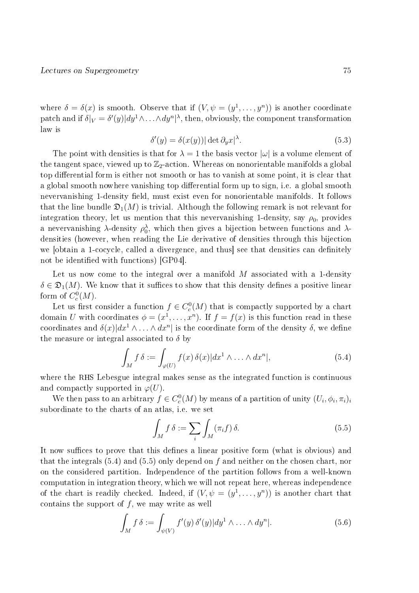where  $\delta = \delta(x)$  is smooth. Observe that if  $(V, \psi = (y^1, \dots, y^n))$  is another coordinate  ${\rm patch} \ {\rm and} \ {\rm if} \ \delta|_V = \delta'(y)| dy^1 \wedge \ldots \wedge dy^n |^{\lambda}, {\rm then, \ obviously, \ the \ component \ transformation}$ law is

$$
\delta'(y) = \delta(x(y)) |\det \partial_y x|^{\lambda}.
$$
\n(5.3)

The point with densities is that for  $\lambda = 1$  the basis vector  $|\omega|$  is a volume element of the tangent space, viewed up to  $\mathbb{Z}_2$ -action. Whereas on nonorientable manifolds a global top differential form is either not smooth or has to vanish at some point, it is clear that a global smooth nowhere vanishing top differential form up to sign, i.e. a global smooth nevervanishing 1-density field, must exist even for nonorientable manifolds. It follows that the line bundle  $\mathfrak{D}_1(M)$  is trivial. Although the following remark is not relevant for integration theory, let us mention that this nevervanishing 1-density, say  $\rho_0$ , provides a nevervanishing  $\lambda$ -density  $\rho_0^{\lambda}$ , which then gives a bijection between functions and  $\lambda$ densities (however, when reading the Lie derivative of densities through this bijection we [obtain a 1-cocycle, called a divergence, and thus] see that densities can definitely not be identified with functions) [GP04].

Let us now come to the integral over a manifold  $M$  associated with a 1-density  $\delta \in \mathfrak{D}_1(M)$ . We know that it suffices to show that this density defines a positive linear form of  $C_c^0(M)$ .

Let us first consider a function  $f \in C_c^0(M)$  that is compactly supported by a chart domain U with coordinates  $\phi = (x^1, \ldots, x^n)$ . If  $f = f(x)$  is this function read in these coordinates and  $\delta(x)|dx^1 \wedge \ldots \wedge dx^n|$  is the coordinate form of the density  $\delta$ , we define the measure or integral associated to  $\delta$  by

$$
\int_{M} f \,\delta := \int_{\varphi(U)} f(x) \,\delta(x) |dx^{1} \wedge \ldots \wedge dx^{n}|,
$$
\n(5.4)

where the RHS Lebesgue integral makes sense as the integrated function is continuous and compactly supported in  $\varphi(U)$ .

We then pass to an arbitrary  $f \in C_c^0(M)$  by means of a partition of unity  $(U_i, \phi_i, \pi_i)_i$ subordinate to the charts of an atlas, i.e. we set

$$
\int_{M} f \,\delta := \sum_{i} \int_{M} (\pi_{i} f) \,\delta. \tag{5.5}
$$

It now suffices to prove that this defines a linear positive form (what is obvious) and that the integrals  $(5.4)$  and  $(5.5)$  only depend on f and neither on the chosen chart, nor on the considered partition. Independence of the partition follows from a well-known computation in integration theory, which we will not repeat here, whereas independence of the chart is readily checked. Indeed, if  $(V, \psi = (y^1, \dots, y^n))$  is another chart that contains the support of  $f$ , we may write as well

$$
\int_M f \,\delta := \int_{\psi(V)} f'(y) \,\delta'(y) |dy^1 \wedge \ldots \wedge dy^n|.
$$
\n(5.6)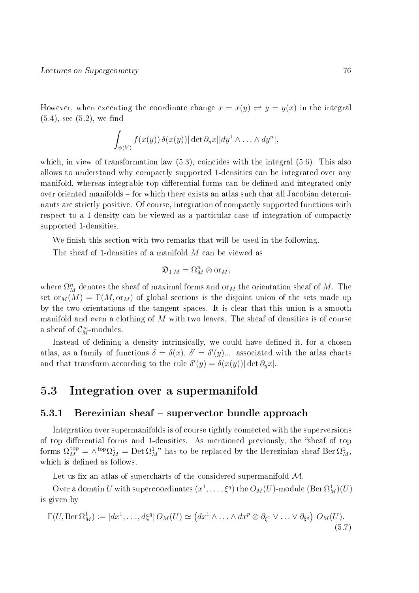However, when executing the coordinate change  $x = x(y) \rightleftharpoons y = y(x)$  in the integral  $(5.4)$ , see  $(5.2)$ , we find

$$
\int_{\psi(V)} f(x(y)) \, \delta(x(y)) |\det \partial_y x| |dy^1 \wedge \ldots \wedge dy^n|,
$$

which, in view of transformation law  $(5.3)$ , coincides with the integral  $(5.6)$ . This also allows to understand why compactly supported 1-densities can be integrated over any manifold, whereas integrable top differential forms can be defined and integrated only over oriented manifolds – for which there exists an atlas such that all Jacobian determinants are strictly positive. Of course, integration of compactly supported functions with respect to a 1-density can be viewed as a particular case of integration of compactly supported 1-densities.

We finish this section with two remarks that will be used in the following.

The sheaf of 1-densities of a manifold M can be viewed as

$$
\mathfrak{D}_{1\,M}=\Omega^n_M\otimes\mathrm{or}_M,
$$

where  $\Omega^n_M$  denotes the sheaf of maximal forms and  $\mathrm{or}_M$  the orientation sheaf of  $M.$  The set  $or_M(M) = \Gamma(M, or_M)$  of global sections is the disjoint union of the sets made up by the two orientations of the tangent spaces. It is clear that this union is a smooth manifold and even a clothing of  $M$  with two leaves. The sheaf of densities is of course a sheaf of  $\mathcal{C}_M^{\infty}$ -modules.

Instead of defining a density intrinsically, we could have defined it, for a chosen atlas, as a family of functions  $\delta = \delta(x)$ ,  $\delta' = \delta'(y)$ ... associated with the atlas charts and that transform according to the rule  $\delta'(y) = \delta(x(y)) |\det \partial_y x|$ .

## 5.3 Integration over a supermanifold

#### 5.3.1 Berezinian sheaf – supervector bundle approach

Integration over supermanifolds is of course tightly connected with the superversions of top differential forms and 1-densities. As mentioned previously, the "sheaf of top forms  $\Omega_M^{\text{top}} = \wedge^{\text{top}} \Omega_M^1 = \text{Det} \, \Omega_M^1$ " has to be replaced by the Berezinian sheaf Ber $\Omega_M^1$ , which is defined as follows.

Let us fix an atlas of supercharts of the considered supermanifold  $\mathcal{M}$ .

Over a domain  $U$  with supercoordinates  $(x^1,\ldots,\xi^q)$  the  $O_M(U)$ -module  $({\rm Ber}\,\Omega^1_M)(U)$ is given by

$$
\Gamma(U, \text{Ber } \Omega_M^1) := [dx^1, \dots, d\xi^q] O_M(U) \simeq (dx^1 \wedge \dots \wedge dx^p \otimes \partial_{\xi^1} \vee \dots \vee \partial_{\xi^q}) O_M(U).
$$
\n(5.7)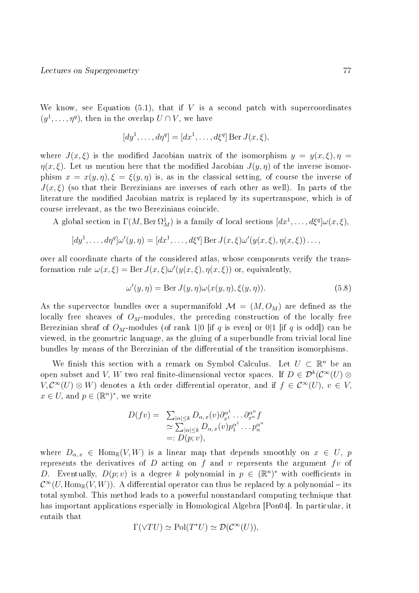We know, see Equation  $(5.1)$ , that if V is a second patch with supercoordinates  $(y^1, \ldots, \eta^q)$ , then in the overlap  $U \cap V$ , we have

$$
[dy1,..., d\etaq] = [dx1,..., d\xiq] Ber J(x, \xi),
$$

where  $J(x,\xi)$  is the modified Jacobian matrix of the isomorphism  $y = y(x,\xi), \eta =$  $\eta(x,\xi)$ . Let us mention here that the modified Jacobian  $J(y,\eta)$  of the inverse isomorphism  $x = x(y, \eta), \xi = \xi(y, \eta)$  is, as in the classical setting, of course the inverse of  $J(x,\xi)$  (so that their Berezinians are inverses of each other as well). In parts of the literature the modified Jacobian matrix is replaced by its supertranspose, which is of course irrelevant, as the two Berezinians coincide.

A global section in  $\Gamma(M, \text{Ber } \Omega^1_M)$  is a family of local sections  $[dx^1, \ldots, d\xi^q] \omega(x, \xi)$ ,

$$
[dy1,...,d\etaq] \omega'(y,\eta) = [dx1,...,d\xiq] Ber J(x,\xi)\omega'(y(x,\xi),\eta(x,\xi))...,
$$

over all coordinate charts of the considered atlas, whose components verify the transformation rule  $\omega(x,\xi) = \text{Ber } J(x,\xi)\omega'(y(x,\xi), \eta(x,\xi))$  or, equivalently,

$$
\omega'(y,\eta) = \text{Ber } J(y,\eta)\omega(x(y,\eta),\xi(y,\eta)).\tag{5.8}
$$

As the supervector bundles over a supermanifold  $\mathcal{M} = (M, O_M)$  are defined as the locally free sheaves of  $O_M$ -modules, the preceding construction of the locally free Berezinian sheaf of  $O_M$ -modules (of rank 1|0 [if q is even] or 0|1 [if q is odd]) can be viewed, in the geometric language, as the gluing of a superbundle from trivial local line bundles by means of the Berezinian of the differential of the transition isomorphisms.

We finish this section with a remark on Symbol Calculus. Let  $U \subset \mathbb{R}^n$  be an open subset and V, W two real finite-dimensional vector spaces. If  $D \in \mathcal{D}^k(\mathcal{C}^\infty(U) \otimes$  $V, \mathcal{C}^{\infty}(U) \otimes W$  denotes a kth order differential operator, and if  $f \in \mathcal{C}^{\infty}(U)$ ,  $v \in V$ ,  $x \in U$ , and  $p \in (\mathbb{R}^n)^*$ , we write

$$
D(fv) = \sum_{\substack{|\alpha| \leq k}} D_{\alpha,x}(v) \partial_{x^1}^{\alpha^1} \dots \partial_{x^n}^{\alpha^n} f
$$
  
\n
$$
\simeq \sum_{|\alpha| \leq k} D_{\alpha,x}(v) p_1^{\alpha^1} \dots p_n^{\alpha^n}
$$
  
\n
$$
=: D(p; v),
$$

where  $D_{\alpha,x} \in \text{Hom}_{\mathbb{R}}(V,W)$  is a linear map that depends smoothly on  $x \in U$ , p represents the derivatives of D acting on f and v represents the argument fv of D. Eventually,  $D(p; v)$  is a degree k polynomial in  $p \in (\mathbb{R}^n)^*$  with coefficients in  $\mathcal{C}^\infty (U, \operatorname{Hom}_\mathbb{R} (V,W)).$  A differential operator can thus be replaced by a polynomial – its total symbol. This method leads to a powerful nonstandard computing technique that has important applications especially in Homological Algebra [Pon04]. In particular, it entails that

$$
\Gamma(\vee TU) \simeq \text{Pol}(T^*U) \simeq \mathcal{D}(\mathcal{C}^\infty(U)),
$$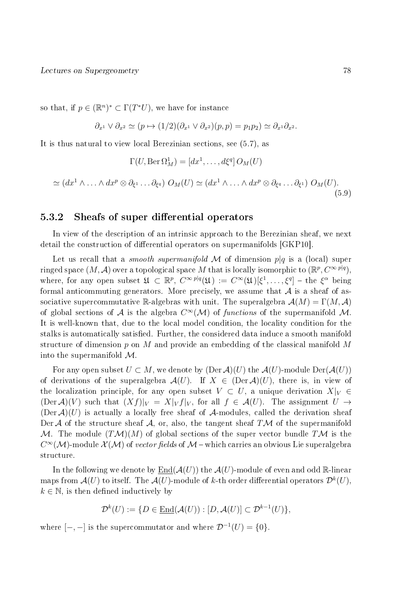so that, if  $p \in (\mathbb{R}^n)^* \subset \Gamma(T^*U)$ , we have for instance

$$
\partial_{x^1} \vee \partial_{x^2} \simeq (p \mapsto (1/2)(\partial_{x^1} \vee \partial_{x^2})(p, p) = p_1 p_2) \simeq \partial_{x^1} \partial_{x^2}.
$$

It is thus natural to view local Berezinian sections, see (5.7), as

$$
\Gamma(U,\mathrm{Ber}\,\Omega^1_M)=[dx^1,\ldots,d\xi^q]\,O_M(U)
$$

$$
\simeq (dx^1 \wedge \ldots \wedge dx^p \otimes \partial_{\xi^1} \ldots \partial_{\xi^q}) \; O_M(U) \simeq (dx^1 \wedge \ldots \wedge dx^p \otimes \partial_{\xi^q} \ldots \partial_{\xi^1}) \; O_M(U). \tag{5.9}
$$

#### 5.3.2 Sheafs of super differential operators

In view of the description of an intrinsic approach to the Berezinian sheaf, we next detail the construction of differential operators on supermanifolds [GKP10].

Let us recall that a *smooth supermanifold* M of dimension  $p|q$  is a (local) super ringed space  $(M, \mathcal{A})$  over a topological space  $M$  that is locally isomorphic to  $(\mathbb{R}^p, C^{\infty \, p|q}),$ where, for any open subset  $\mathfrak{U} \subset \mathbb{R}^p$ ,  $C^{\infty} \mathbb{P}^q(\mathfrak{U}) := C^{\infty}(\mathfrak{U})[\xi^1,\ldots,\xi^q] - \text{the } \xi^{\alpha}$  being formal anticommuting generators. More precisely, we assume that  $A$  is a sheaf of associative supercommutative R-algebras with unit. The superalgebra  $\mathcal{A}(M) = \Gamma(M, \mathcal{A})$ of global sections of  $\mathcal A$  is the algebra  $C^{\infty}(\mathcal M)$  of functions of the supermanifold  $\mathcal M$ . It is well-known that, due to the local model condition, the locality condition for the stalks is automatically satisfied. Further, the considered data induce a smooth manifold structure of dimension  $p$  on  $M$  and provide an embedding of the classical manifold  $M$ into the supermanifold  $\mathcal{M}$ .

For any open subset  $U \subset M$ , we denote by  $(Der \mathcal{A})(U)$  the  $\mathcal{A}(U)$ -module  $Der(\mathcal{A}(U))$ of derivations of the superalgebra  $\mathcal{A}(U)$ . If  $X \in (Der \mathcal{A})(U)$ , there is, in view of the localization principle, for any open subset  $V \subset U$ , a unique derivation  $X|_V \in$  $(\text{Der }\mathcal{A})(V)$  such that  $(Xf)|_V = X|_V f|_V$ , for all  $f \in \mathcal{A}(U)$ . The assignment  $U \to$  $(Der \mathcal{A})(U)$  is actually a locally free sheaf of A-modules, called the derivation sheaf Der A of the structure sheaf A, or, also, the tangent sheaf TM of the supermanifold M. The module  $(TM)(M)$  of global sections of the super vector bundle TM is the  $C^\infty(\mathcal M)$ -module  $\mathcal X(\mathcal M)$  of *vector fields* of  $\mathcal M$  – which carries an obvious Lie superalgebra structure.

In the following we denote by  $\text{End}(\mathcal{A}(U))$  the  $\mathcal{A}(U)$ -module of even and odd R-linear maps from  $\mathcal{A}(U)$  to itself. The  $\mathcal{A}(U)$ -module of  $k$ -th order differential operators  $\mathcal{D}^k(U),$  $k \in \mathbb{N}$ , is then defined inductively by

$$
\mathcal{D}^k(U) := \{ D \in \underline{\text{End}}(\mathcal{A}(U)) : [D, \mathcal{A}(U)] \subset \mathcal{D}^{k-1}(U) \},
$$

where  $[-,-]$  is the supercommutator and where  $\mathcal{D}^{-1}(U) = \{0\}.$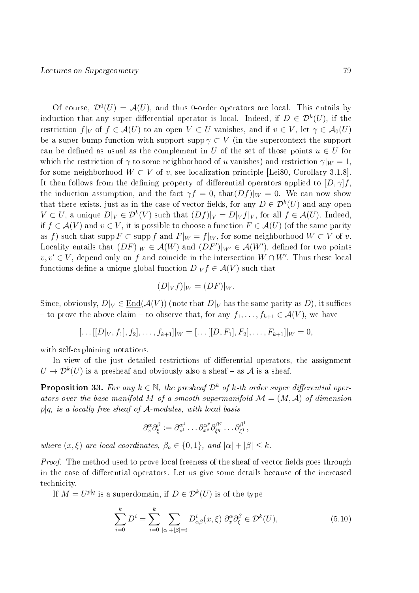Of course,  $\mathcal{D}^0(U) = \mathcal{A}(U)$ , and thus 0-order operators are local. This entails by induction that any super differential operator is local. Indeed, if  $D \in \mathcal{D}^k(U),$  if the restriction  $f|_V$  of  $f \in \mathcal{A}(U)$  to an open  $V \subset U$  vanishes, and if  $v \in V$ , let  $\gamma \in \mathcal{A}_0(U)$ be a super bump function with support supp  $\gamma \subset V$  (in the supercontext the support can be defined as usual as the complement in U of the set of those points  $u \in U$  for which the restriction of  $\gamma$  to some neighborhood of u vanishes) and restriction  $\gamma|_W = 1$ , for some neighborhood  $W \subset V$  of v, see localization principle [Lei80, Corollary 3.1.8]. It then follows from the defining property of differential operators applied to  $[D, \gamma]$ f. the induction assumption, and the fact  $\gamma f = 0$ , that  $(Df)|_W = 0$ . We can now show that there exists, just as in the case of vector fields, for any  $D \in \mathcal{D}^k(U)$  and any open  $V \subset U$ , a unique  $D|_V \in \mathcal{D}^k(V)$  such that  $(Df)|_V = D|_V f|_V$ , for all  $f \in \mathcal{A}(U)$ . Indeed, if  $f \in \mathcal{A}(V)$  and  $v \in V$ , it is possible to choose a function  $F \in \mathcal{A}(U)$  (of the same parity as f) such that supp  $F \subset \text{supp } f$  and  $F|_W = f|_W$ , for some neighborhood  $W \subset V$  of v. Locality entails that  $(DF)|_W \in \mathcal{A}(W)$  and  $(DF')|_{W'} \in \mathcal{A}(W')$ , defined for two points  $v, v' \in V$ , depend only on f and coincide in the intersection  $W \cap W'$ . Thus these local functions define a unique global function  $D|_V f \in \mathcal{A}(V)$  such that

$$
(D|_V f)|_W = (DF)|_W.
$$

Since, obviously,  $D|_V \in \underline{\text{End}}(\mathcal{A}(V))$  (note that  $D|_V$  has the same parity as D), it suffices - to prove the above claim - to observe that, for any  $f_1, \ldots, f_{k+1} \in \mathcal{A}(V)$ , we have

$$
[\dots[[D|_V, f_1], f_2], \dots, f_{k+1}]|_W = [\dots[[D, F_1], F_2], \dots, F_{k+1}]|_W = 0,
$$

with self-explaining notations.

In view of the just detailed restrictions of differential operators, the assignment  $U \to \mathcal{D}^k(U)$  is a presheaf and obviously also a sheaf – as  $\mathcal A$  is a sheaf.

**Proposition 33.** For any  $k \in \mathbb{N}$ , the presheaf  $\mathcal{D}^k$  of k-th order super differential operators over the base manifold M of a smooth supermanifold  $\mathcal{M} = (M, \mathcal{A})$  of dimension  $p|q$ , is a locally free sheaf of A-modules, with local basis

$$
\partial_x^{\alpha} \partial_{\xi}^{\beta} := \partial_{x^1}^{\alpha^1} \dots \partial_{x^p}^{\alpha^p} \partial_{\xi^q}^{\beta^q} \dots \partial_{\xi^1}^{\beta^1},
$$

where  $(x, \xi)$  are local coordinates,  $\beta_a \in \{0, 1\}$ , and  $|\alpha| + |\beta| \leq k$ .

*Proof.* The method used to prove local freeness of the sheaf of vector fields goes through in the case of differential operators. Let us give some details because of the increased technicity.

If  $M = U^{p|q}$  is a superdomain, if  $D \in \mathcal{D}^k(U)$  is of the type

$$
\sum_{i=0}^{k} D^i = \sum_{i=0}^{k} \sum_{|\alpha|+|\beta|=i} D^i_{\alpha\beta}(x,\xi) \partial_x^{\alpha} \partial_{\xi}^{\beta} \in \mathcal{D}^k(U), \tag{5.10}
$$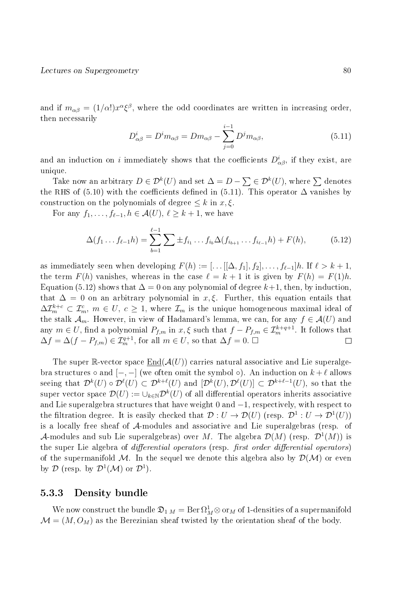and if  $m_{\alpha\beta} = (1/\alpha!) x^\alpha \xi^\beta$ , where the odd coordinates are written in increasing order, then necessarily

$$
D_{\alpha\beta}^i = D^i m_{\alpha\beta} = D m_{\alpha\beta} - \sum_{j=0}^{i-1} D^j m_{\alpha\beta}, \qquad (5.11)
$$

and an induction on i immediately shows that the coefficients  $D^i_{\alpha\beta}$ , if they exist, are unique.

Take now an arbitrary  $D \in \mathcal{D}^k(U)$  and set  $\Delta = D - \sum \in \mathcal{D}^k(U),$  where  $\sum$  denotes the RHS of (5.10) with the coefficients defined in (5.11). This operator  $\Delta$  vanishes by construction on the polynomials of degree  $\leq k$  in  $x, \xi$ .

For any  $f_1, \ldots, f_{\ell-1}, h \in \mathcal{A}(U), \ell \geq k+1$ , we have

$$
\Delta(f_1 \dots f_{\ell-1} h) = \sum_{b=1}^{\ell-1} \sum_{j=1}^{\ell-1} f_{i_1} \dots f_{i_b} \Delta(f_{i_{b+1}} \dots f_{i_{\ell-1}} h) + F(h), \tag{5.12}
$$

as immediately seen when developing  $F(h) := [\dots[[\Delta, f_1], f_2], \dots, f_{\ell-1}]h$ . If  $\ell > k + 1$ , the term  $F(h)$  vanishes, whereas in the case  $\ell = k + 1$  it is given by  $F(h) = F(1)h$ . Equation (5.12) shows that  $\Delta = 0$  on any polynomial of degree  $k+1$ , then, by induction. that  $\Delta = 0$  on an arbitrary polynomial in x,  $\xi$ . Further, this equation entails that  $\Delta\mathcal{I}_m^{k+c}\subset \mathcal{I}_m^c,\ m\in U,\ c\ge 1,$  where  $\mathcal{I}_m$  is the unique homogeneous maximal ideal of the stalk  $\mathcal{A}_m$ . However, in view of Hadamard's lemma, we can, for any  $f \in \mathcal{A}(U)$  and any  $m \in U$ , find a polynomial  $P_{f,m}$  in  $x, \xi$  such that  $f - P_{f,m} \in \mathcal{I}_m^{k+q+1}$ . It follows that  $\Delta f = \Delta(f - P_{f,m}) \in \mathcal{I}_m^{q+1}$ , for all  $m \in U$ , so that  $\Delta f = 0$ .  $\square$  $\Box$ 

The super R-vector space  $End(A(U))$  carries natural associative and Lie superalgebra structures  $\circ$  and  $[-,-]$  (we often omit the symbol  $\circ$ ). An induction on  $k+\ell$  allows seeing that  $\mathcal{D}^k(U) \circ \mathcal{D}^\ell(U) \subset \mathcal{D}^{k+\ell}(U)$  and  $[\mathcal{D}^k(U), \mathcal{D}^\ell(U)] \subset \mathcal{D}^{k+\ell-1}(U)$ , so that the super vector space  $\mathcal{D}(U):=\cup_{k\in\mathbb{N}}\mathcal{D}^k(U)$  of all differential operators inherits associative and Lie superalgebra structures that have weight 0 and −1, respectively, with respect to the filtration degree. It is easily checked that  $\mathcal{D}: U \to \mathcal{D}(U)$  (resp.  $\mathcal{D}^1: U \to \mathcal{D}^1(U)$ ) is a locally free sheaf of A-modules and associative and Lie superalgebras (resp. of A-modules and sub Lie superalgebras) over M. The algebra  $\mathcal{D}(M)$  (resp.  $\mathcal{D}^1(M)$ ) is the super Lie algebra of *differential operators* (resp. *first order differential operators*) of the supermanifold M. In the sequel we denote this algebra also by  $\mathcal{D}(\mathcal{M})$  or even by  $\mathcal{D}$  (resp. by  $\mathcal{D}^1(\mathcal{M})$  or  $\mathcal{D}^1$ ).

#### 5.3.3 Density bundle

We now construct the bundle  $\frak D_{1\,M}=\mathrm{Ber}\,\Omega^1_M\otimes$  or $_M$  of 1-densities of a supermanifold  $\mathcal{M} = (M, O_M)$  as the Berezinian sheaf twisted by the orientation sheaf of the body.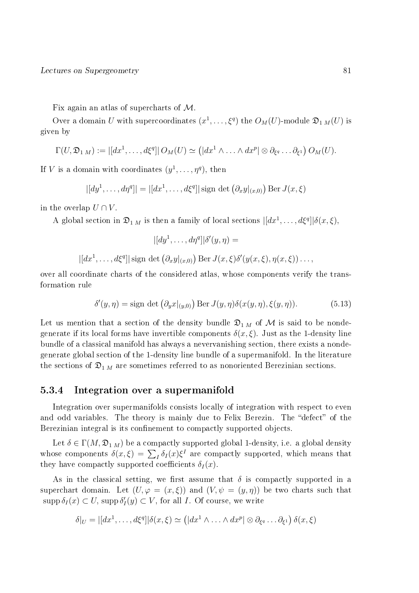Fix again an atlas of supercharts of M.

Over a domain  $U$  with supercoordinates  $(x^1,\ldots,\xi^q)$  the  $O_M(U)$ -module  $\mathfrak{D}_{1\,M}(U)$  is given by

$$
\Gamma(U, \mathfrak{D}_{1\,M}) := |[dx^1, \ldots, d\xi^q]| O_M(U) \simeq (|dx^1 \wedge \ldots \wedge dx^p| \otimes \partial_{\xi^q} \ldots \partial_{\xi^1}) O_M(U).
$$

If V is a domain with coordinates  $(y^1, \ldots, \eta^q)$ , then

$$
|[dy^1,\ldots, d\eta^q]| = |[dx^1,\ldots, d\xi^q]|
$$
sign det  $(\partial_x y|_{(x,0)})$  Ber  $J(x,\xi)$ 

in the overlap  $U \cap V$ .

A global section in  $\mathfrak{D}_{1\,M}$  is then a family of local sections  $|[dx^1,\ldots,d\xi^q]|\delta(x,\xi),$ 

$$
|[dy^1, \dots, d\eta^q]| \delta'(y, \eta) =
$$
  

$$
|[dx^1, \dots, d\xi^q]| \text{ sign det } (\partial_x y|_{(x,0)}) \text{ Ber } J(x,\xi) \delta'(y(x,\xi), \eta(x,\xi)) \dots,
$$

over all coordinate charts of the considered atlas, whose components verify the transformation rule

$$
\delta'(y,\eta) = \text{sign det} \left( \partial_y x|_{(y,0)} \right) \text{Ber } J(y,\eta) \delta(x(y,\eta), \xi(y,\eta)). \tag{5.13}
$$

Let us mention that a section of the density bundle  $\mathfrak{D}_{1 M}$  of M is said to be nondegenerate if its local forms have invertible components  $\delta(x,\xi)$ . Just as the 1-density line bundle of a classical manifold has always a nevervanishing section, there exists a nondegenerate global section of the 1-density line bundle of a supermanifold. In the literature the sections of  $\mathfrak{D}_{1\,M}$  are sometimes referred to as nonoriented Berezinian sections.

#### 5.3.4 Integration over a supermanifold

Integration over supermanifolds consists locally of integration with respect to even and odd variables. The theory is mainly due to Felix Berezin. The "defect" of the Berezinian integral is its confinement to compactly supported objects.

Let  $\delta \in \Gamma(M, \mathfrak{D}_{1,M})$  be a compactly supported global 1-density, i.e. a global density whose components  $\delta(x,\xi) = \sum_I \delta_I(x)\xi^I$  are compactly supported, which means that they have compactly supported coefficients  $\delta_I(x)$ .

As in the classical setting, we first assume that  $\delta$  is compactly supported in a superchart domain. Let  $(U, \varphi = (x, \xi))$  and  $(V, \psi = (y, \eta))$  be two charts such that  $\mathrm{supp} \,\delta_I(x) \subset U$ ,  $\mathrm{supp} \,\delta'_I(y) \subset V$ , for all I. Of course, we write

$$
\delta|_U = |[dx^1, \dots, d\xi^q]| \delta(x, \xi) \simeq (|dx^1 \wedge \dots \wedge dx^p| \otimes \partial_{\xi^q} \dots \partial_{\xi^1}) \delta(x, \xi)
$$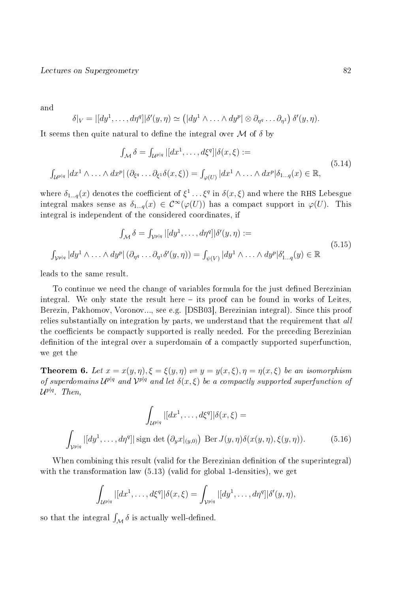and

$$
\delta|_V = |[dy^1, \ldots, d\eta^q]| \delta'(y, \eta) \simeq (|dy^1 \wedge \ldots \wedge dy^p| \otimes \partial_{\eta^q} \ldots \partial_{\eta^1}) \delta'(y, \eta).
$$

It seems then quite natural to define the integral over  $\mathcal M$  of  $\delta$  by

$$
\int_{\mathcal{M}} \delta = \int_{\mathcal{U}^{p|q}} |[dx^1, \dots, d\xi^q]| \delta(x, \xi) :=
$$
\n
$$
\int_{\mathcal{U}^{p|q}} |dx^1 \wedge \dots \wedge dx^p| (\partial_{\xi^q} \dots \partial_{\xi^1} \delta(x, \xi)) = \int_{\varphi(U)} |dx^1 \wedge \dots \wedge dx^p| \delta_{1 \dots q}(x) \in \mathbb{R},
$$
\n(5.14)

where  $\delta_{1...q}(x)$  denotes the coefficient of  $\xi^1\ldots \xi^q$  in  $\delta(x,\xi)$  and where the RHS Lebesgue integral makes sense as  $\delta_{1...q}(x) \in C^{\infty}(\varphi(U))$  has a compact support in  $\varphi(U)$ . This integral is independent of the considered coordinates, if

$$
\int_{\mathcal{M}} \delta = \int_{\mathcal{V}^{p|q}} |[dy^1, \dots, d\eta^q]| \delta'(y, \eta) :=
$$
\n
$$
\int_{\mathcal{V}^{p|q}} |dy^1 \wedge \dots \wedge dy^p| (\partial_{\eta^q} \dots \partial_{\eta^1} \delta'(y, \eta)) = \int_{\psi(V)} |dy^1 \wedge \dots \wedge dy^p| \delta'_{1 \dots q}(y) \in \mathbb{R}
$$
\n(5.15)

leads to the same result.

To continue we need the change of variables formula for the just defined Berezinian integral. We only state the result here  $-$  its proof can be found in works of Leites, Berezin, Pakhomov, Voronov..., see e.g. [DSB03], Berezinian integral). Since this proof relies substantially on integration by parts, we understand that the requirement that all the coefficients be compactly supported is really needed. For the preceding Berezinian definition of the integral over a superdomain of a compactly supported superfunction, we get the

**Theorem 6.** Let  $x = x(y, \eta), \xi = \xi(y, \eta) \rightleftharpoons y = y(x, \xi), \eta = \eta(x, \xi)$  be an isomorphism of superdomains  $\mathcal{U}^{p|q}$  and  $\mathcal{V}^{p|q}$  and let  $\delta(x,\xi)$  be a compactly supported superfunction of  $\mathcal{U}^{p|q}.$  Then,

$$
\int_{\mathcal{U}^{p|q}} |[dx^1, \dots, d\xi^q]| \delta(x,\xi) =
$$
\n
$$
\int_{\mathcal{V}^{p|q}} |[dy^1, \dots, d\eta^q]| \text{ sign det } (\partial_y x|_{(y,0)}) \text{ Ber } J(y,\eta) \delta(x(y,\eta), \xi(y,\eta)).
$$
\n(5.16)

When combining this result (valid for the Berezinian definition of the superintegral) with the transformation law  $(5.13)$  (valid for global 1-densities), we get

$$
\int_{\mathcal{U}^{p|q}} |[dx^1,\ldots,d\xi^q]| \delta(x,\xi) = \int_{\mathcal{V}^{p|q}} |[dy^1,\ldots,d\eta^q]| \delta'(y,\eta),
$$

so that the integral  $\int_{\mathcal{M}} \delta$  is actually well-defined.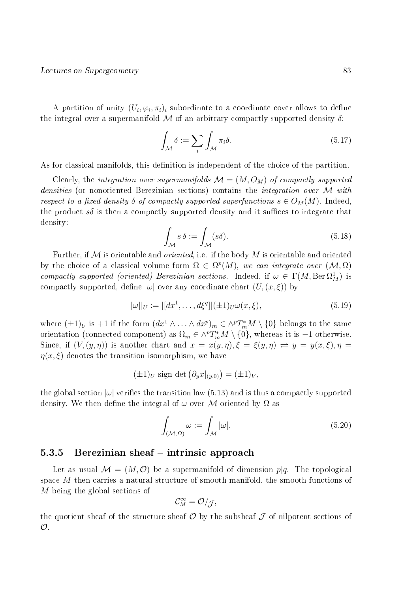A partition of unity  $(U_i, \varphi_i, \pi_i)_i$  subordinate to a coordinate cover allows to define the integral over a supermanifold  $\cal M$  of an arbitrary compactly supported density  $\delta$ :

$$
\int_{\mathcal{M}} \delta := \sum_{i} \int_{\mathcal{M}} \pi_{i} \delta. \tag{5.17}
$$

As for classical manifolds, this definition is independent of the choice of the partition.

Clearly, the integration over supermanifolds  $\mathcal{M} = (M, O_M)$  of compactly supported densities (or nonoriented Berezinian sections) contains the *integration over* M with respect to a fixed density  $\delta$  of compactly supported superfunctions  $s \in O_M(M)$ . Indeed, the product  $s\delta$  is then a compactly supported density and it suffices to integrate that density:

$$
\int_{\mathcal{M}} s \,\delta := \int_{\mathcal{M}} (s\delta). \tag{5.18}
$$

Further, if  $\mathcal M$  is orientable and *oriented*, i.e. if the body  $M$  is orientable and oriented by the choice of a classical volume form  $\Omega \in \Omega^p(M)$ , we can integrate over  $(\mathcal{M}, \Omega)$ compactly supported (oriented) Berezinian sections. Indeed, if  $\omega \in \Gamma(M, \text{Ber } \Omega^1_M)$  is compactly supported, define  $|\omega|$  over any coordinate chart  $(U,(x,\xi))$  by

$$
|\omega||_U := |[dx^1, \dots, d\xi^q]|(\pm 1)_U \omega(x, \xi), \tag{5.19}
$$

where  $(\pm 1)_U$  is +1 if the form  $(dx^1 \wedge ... \wedge dx^p)_m \in \wedge^p T^*_m M \setminus \{0\}$  belongs to the same orientation (connected component) as  $\Omega_m \in \wedge^p T^*_m M \setminus \{0\}$ , whereas it is  $-1$  otherwise. Since, if  $(V, (y, \eta))$  is another chart and  $x = x(y, \eta), \xi = \xi(y, \eta) \implies y = y(x, \xi), \eta = \xi(x, \eta)$  $\eta(x,\xi)$  denotes the transition isomorphism, we have

$$
(\pm 1)_U \text{ sign det } (\partial_y x|_{(y,0)}) = (\pm 1)_V,
$$

the global section  $|\omega|$  verifies the transition law (5.13) and is thus a compactly supported density. We then define the integral of  $\omega$  over M oriented by  $\Omega$  as

$$
\int_{(\mathcal{M},\Omega)} \omega := \int_{\mathcal{M}} |\omega|.
$$
\n(5.20)

#### $5.3.5$  Berezinian sheaf  $-$  intrinsic approach

Let as usual  $\mathcal{M} = (M, \mathcal{O})$  be a supermanifold of dimension  $p|q$ . The topological space M then carries a natural structure of smooth manifold, the smooth functions of M being the global sections of

$$
\mathcal{C}_M^\infty = \mathcal{O}/\mathcal{J},
$$

the quotient sheaf of the structure sheaf  $\mathcal O$  by the subsheaf  $\mathcal J$  of nilpotent sections of  $\mathcal{O}.$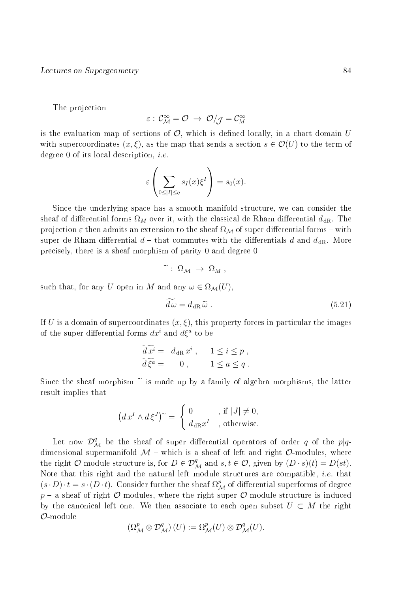The projection

$$
\varepsilon:\,\mathcal{C}_{\mathcal{M}}^{\infty}=\mathcal{O}\,\,\rightarrow\,\,\mathcal{O}/_{\mathcal{J}}=\mathcal{C}_{\mathcal{M}}^{\infty}
$$

is the evaluation map of sections of  $\mathcal{O}$ , which is defined locally, in a chart domain U with supercoordinates  $(x, \xi)$ , as the map that sends a section  $s \in \mathcal{O}(U)$  to the term of degree 0 of its local description, i.e.

$$
\varepsilon \left( \sum_{0 \leq |I| \leq q} s_I(x) \xi^I \right) = s_0(x).
$$

Since the underlying space has a smooth manifold structure, we can consider the sheaf of differential forms  $\Omega_M$  over it, with the classical de Rham differential  $d_{\rm dR}$ . The projection  $\varepsilon$  then admits an extension to the sheaf  $\Omega_M$  of super differential forms – with super de Rham differential  $d$  – that commutes with the differentials d and  $d_{\text{dR}}$ . More precisely, there is a sheaf morphism of parity 0 and degree 0

$$
\widetilde{\phantom{a}}: \ \Omega_{\mathcal{M}} \ \to \ \Omega_M \ ,
$$

such that, for any U open in M and any  $\omega \in \Omega_{\mathcal{M}}(U)$ ,

$$
\widetilde{d\,\omega} = d_{\rm dR}\,\widetilde{\omega}\ . \tag{5.21}
$$

If U is a domain of supercoordinates  $(x, \xi)$ , this property forces in particular the images of the super differential forms  $dx^i$  and  $d\xi^a$  to be

$$
d xi = ddR xi, 1 \le i \le p,
$$
  

$$
\overline{d \xia} = 0, 1 \le a \le q.
$$

Since the sheaf morphism  $\tilde{ }$  is made up by a family of algebra morphisms, the latter result implies that

$$
(dxI \wedge d\xiJ)~ = \begin{cases} 0, & \text{if } |J| \neq 0, \\ d_{\text{dR}}xI, \text{ otherwise.} \end{cases}
$$

Let now  $\mathcal{D}^{q}_{\mathcal{M}}$  be the sheaf of super differential operators of order  $q$  of the  $p|q$ dimensional supermanifold  $\mathcal{M}$  - which is a sheaf of left and right  $\mathcal{O}$ -modules, where the right  $\mathcal{O}\text{-module structure}$  is, for  $D \in \mathcal{D}_{\mathcal{M}}^q$  and  $s, t \in \mathcal{O}$ , given by  $(D \cdot s)(t) = D(st)$ . Note that this right and the natural left module structures are compatible, *i.e.* that  $(s \cdot D) \cdot t = s \cdot (D \cdot t)$ . Consider further the sheaf  $\Omega^p_{\mathcal{M}}$  of differential superforms of degree  $p - a$  sheaf of right  $\mathcal{O}$ -modules, where the right super  $\mathcal{O}$ -module structure is induced by the canonical left one. We then associate to each open subset  $U \subset M$  the right O-module

$$
\left(\Omega^p_{\mathcal{M}}\otimes \mathcal{D}^q_{\mathcal{M}}\right)(U):=\Omega^p_{\mathcal{M}}(U)\otimes \mathcal{D}^q_{\mathcal{M}}(U).
$$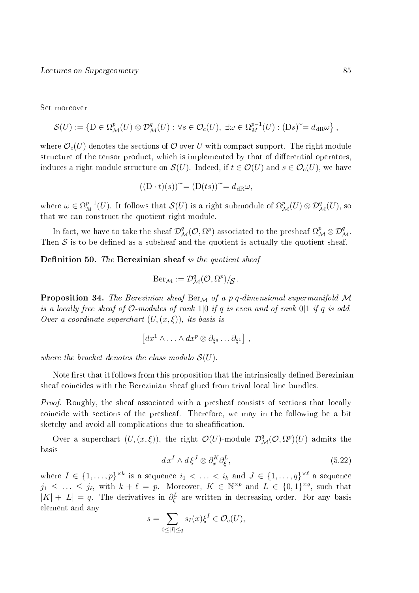Set moreover

$$
\mathcal{S}(U) := \{ \mathcal{D} \in \Omega_{\mathcal{M}}^p(U) \otimes \mathcal{D}_{\mathcal{M}}^q(U) : \forall s \in \mathcal{O}_c(U), \exists \omega \in \Omega_{\mathcal{M}}^{p-1}(U) : (\mathcal{D}s) \tilde{\ } = d_{\text{dR}}\omega \},
$$

where  $\mathcal{O}_{c}(U)$  denotes the sections of  $\mathcal{O}$  over U with compact support. The right module structure of the tensor product, which is implemented by that of differential operators. induces a right module structure on  $\mathcal{S}(U)$ . Indeed, if  $t \in \mathcal{O}(U)$  and  $s \in \mathcal{O}_c(U)$ , we have

$$
((D \cdot t)(s))^{\sim} = (D(ts))^{\sim} = d_{\text{dR}}\omega,
$$

where  $\omega \in \Omega^{p-1}_M(U)$ . It follows that  $\mathcal{S}(U)$  is a right submodule of  $\Omega^p_{\mathcal{M}}(U) \otimes \mathcal{D}^q_{\mathcal{M}}(U)$ , so that we can construct the quotient right module.

In fact, we have to take the sheaf  $\mathcal D^q_{\mathcal M}(\mathcal O,\Omega^p)$  associated to the presheaf  $\Omega^p_{\mathcal M}\otimes \mathcal D^q_{\mathcal M}.$ Then  $S$  is to be defined as a subsheaf and the quotient is actually the quotient sheaf.

**Definition 50.** The Berezinian sheaf is the quotient sheaf

$$
\mathrm{Ber}_{\mathcal{M}} := \mathcal{D}^q_{\mathcal{M}}(\mathcal{O}, \Omega^p)/_{\mathcal{S}}.
$$

**Proposition 34.** The Berezinian sheaf Ber<sub>M</sub> of a p|q-dimensional supermanifold M is a locally free sheaf of  $\mathcal{O}\text{-modules}$  of rank  $1|0$  if q is even and of rank  $0|1$  if q is odd. Over a coordinate superchart  $(U,(x,\xi))$ , its basis is

$$
\left[ dx^1 \wedge \ldots \wedge dx^p \otimes \partial_{\xi^q} \ldots \partial_{\xi^1} \right],
$$

where the bracket denotes the class modulo  $\mathcal{S}(U)$ .

Note first that it follows from this proposition that the intrinsically defined Berezinian sheaf coincides with the Berezinian sheaf glued from trival local line bundles.

*Proof.* Roughly, the sheaf associated with a presheaf consists of sections that locally coincide with sections of the presheaf. Therefore, we may in the following be a bit sketchy and avoid all complications due to sheafification.

Over a superchart  $(U,(x,\xi))$ , the right  $\mathcal{O}(U)$ -module  $\mathcal{D}^q_{\mathcal{M}}(\mathcal{O},\Omega^p)(U)$  admits the basis

$$
d x^I \wedge d \xi^J \otimes \partial_x^K \partial_{\xi}^L, \tag{5.22}
$$

where  $I \in \{1,\ldots,p\}^{\times k}$  is a sequence  $i_1 < \ldots < i_k$  and  $J \in \{1,\ldots,q\}^{\times \ell}$  a sequence  $j_1 \leq \ldots \leq j_{\ell}$ , with  $k+\ell = p$ . Moreover,  $K \in \mathbb{N}^{\times p}$  and  $L \in \{0,1\}^{\times q}$ , such that  $|K| + |L| = q$ . The derivatives in  $\partial_{\xi}^{L}$  are written in decreasing order. For any basis element and any

$$
s = \sum_{0 \le |I| \le q} s_I(x) \xi^I \in \mathcal{O}_c(U),
$$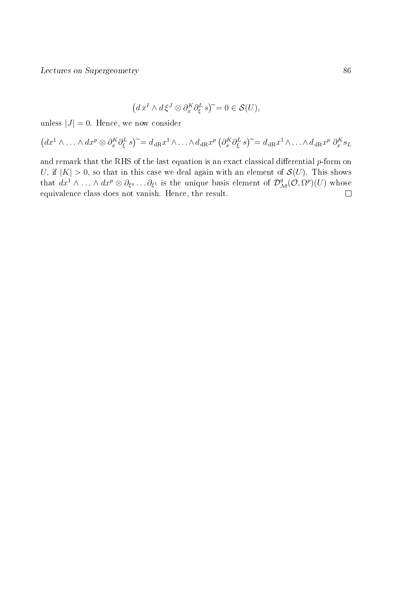$$
(d xI \wedge d \xiJ \otimes \partial_x^K \partial_{\xi}^L s)^{\sim} = 0 \in \mathcal{S}(U),
$$

unless  $|J| = 0$ . Hence, we now consider

$$
(dx^1 \wedge \ldots \wedge dx^p \otimes \partial_x^K \partial_{\xi}^L s)^{\sim} = d_{\text{dR}} x^1 \wedge \ldots \wedge d_{\text{dR}} x^p \left( \partial_x^K \partial_{\xi}^L s \right)^{\sim} = d_{\text{dR}} x^1 \wedge \ldots \wedge d_{\text{dR}} x^p \partial_x^K s_L
$$

and remark that the RHS of the last equation is an exact classical differential  $p$ -form on U, if  $|K| > 0$ , so that in this case we deal again with an element of  $\mathcal{S}(U)$ . This shows that  $dx^1 \wedge \ldots \wedge dx^p \otimes \partial_{\xi^q} \ldots \partial_{\xi^1}$  is the unique basis element of  $\mathcal{D}^q_{\mathcal{M}}(\mathcal{O}, \Omega^p)(U)$  whose equivalence class does not vanish. Hence, the result. $\Box$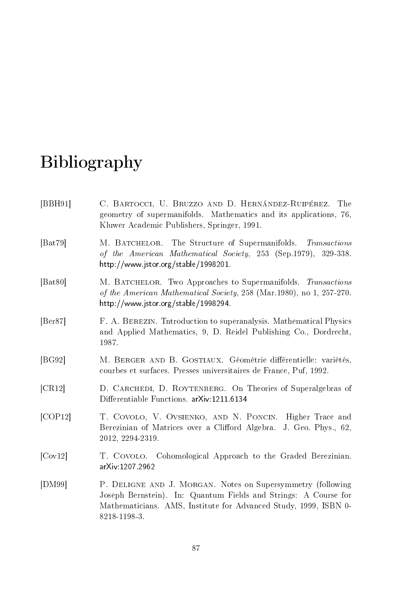# Bibliography

| [BBH91]                        | C. BARTOCCI, U. BRUZZO AND D. HERNÁNDEZ-RUIPÉREZ. The<br>geometry of supermanifolds. Mathematics and its applications, 76,<br>Kluwer Academic Publishers, Springer, 1991.                                          |
|--------------------------------|--------------------------------------------------------------------------------------------------------------------------------------------------------------------------------------------------------------------|
| [ <b>B</b> at79]               | M. BATCHELOR. The Structure of Supermanifolds. Transactions<br>of the American Mathematical Society, 253 (Sep.1979), 329-338.<br>http://www.jstor.org/stable/1998201.                                              |
| [ <b>B</b> at80]               | M. BATCHELOR. Two Approaches to Supermanifolds. Transactions<br>of the American Mathematical Society, 258 (Mar.1980), no 1, 257-270.<br>http://www.jstor.org/stable/1998294.                                       |
| [Ber87]                        | F. A. BEREZIN. Thiroduction to superanalysis. Mathematical Physics<br>and Applied Mathematics, 9, D. Reidel Publishing Co., Dordrecht,<br>1987.                                                                    |
| [BG92]                         | M. BERGER AND B. GOSTIAUX. Géométrie différentielle: variétés,<br>courbes et surfaces. Presses universitaires de France, Puf, 1992.                                                                                |
| CR12                           | D. CARCHEDI, D. ROYTENBERG. On Theories of Superalgebras of<br>Differentiable Functions. arXiv:1211.6134                                                                                                           |
| [COP12]                        | T. COVOLO, V. OVSIENKO, AND N. PONCIN. Higher Trace and<br>Berezinian of Matrices over a Clifford Algebra.<br>J. Geo. Phys., 62,<br>2012, 2294-2319.                                                               |
| $\lfloor \text{Cov12} \rfloor$ | T. COVOLO. Cohomological Approach to the Graded Berezinian.<br>arXiv: 1207 2962                                                                                                                                    |
| [DM99]                         | P. DELIGNE AND J. MORGAN. Notes on Supersymmetry (following<br>Joseph Bernstein). In: Quantum Fields and Strings: A Course for<br>Mathematicians. AMS, Institute for Advanced Study, 1999, ISBN 0-<br>8218-1198-3. |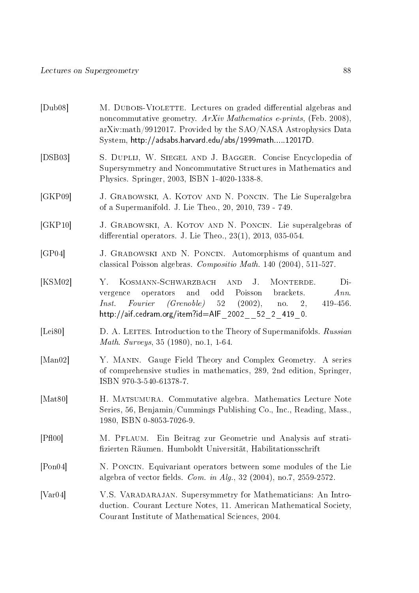| [Dub08]                     | M. DUBOIS-VIOLETTE. Lectures on graded differential algebras and<br>noncommutative geometry. $ArXiv$ Mathematics e-prints, (Feb. 2008),<br>arXiv:math/9912017. Provided by the SAO/NASA Astrophysics Data<br>System, http://adsabs.harvard.edu/abs/1999math12017D. |
|-----------------------------|--------------------------------------------------------------------------------------------------------------------------------------------------------------------------------------------------------------------------------------------------------------------|
| [DBB03]                     | S. DUPLIJ, W. SIEGEL AND J. BAGGER. Concise Encyclopedia of<br>Supersymmetry and Noncommutative Structures in Mathematics and<br>Physics. Springer, 2003, ISBN 1-4020-1338-8.                                                                                      |
| [GKP09]                     | J. GRABOWSKI, A. KOTOV AND N. PONCIN. The Lie Superalgebra<br>of a Supermanifold. J. Lie Theo., 20, 2010, 739 - 749.                                                                                                                                               |
| [GKP10]                     | J. GRABOWSKI, A. KOTOV AND N. PONCIN. Lie superalgebras of<br>differential operators. J. Lie Theo., $23(1)$ , $2013$ , $035-054$ .                                                                                                                                 |
| [GP04]                      | J. GRABOWSKI AND N. PONCIN. Automorphisms of quantum and<br>classical Poisson algebras. Compositio Math. 140 (2004), 511-527.                                                                                                                                      |
| [KSM02]                     | KOSMANN-SCHWARZBACH AND<br>$J_{\cdot}$<br>MONTERDE.<br>Di-<br>Y.<br>and<br>odd Poisson brackets.<br>Ann.<br>operators<br>vergence<br>Fourier (Grenoble) 52 (2002), no. 2,<br>Inst.<br>$419-456.$<br>http://aif.cedram.org/item?id=AIF_2002__52_2_419_0.            |
| [Lei80]                     | D. A. LEITES. Introduction to the Theory of Supermanifolds. Russian<br><i>Math. Surveys</i> , 35 (1980), no.1, 1-64.                                                                                                                                               |
| $\left[\text{Man}02\right]$ | Y. MANIN. Gauge Field Theory and Complex Geometry. A series<br>of comprehensive studies in mathematics, 289, 2nd edition, Springer,<br>ISBN 970-3-540-61378-7.                                                                                                     |
| [Mat80]                     | H. MATSUMURA. Commutative algebra. Mathematics Lecture Note<br>Series, 56, Benjamin/Cummings Publishing Co., Inc., Reading, Mass.,<br>1980, ISBN 0-8053-7026-9.                                                                                                    |
| [PH00]                      | Ein Beitrag zur Geometrie und Analysis auf strati-<br>M. PFLAUM.<br>fizierten Räumen. Humboldt Universität, Habilitationsschrift                                                                                                                                   |
| [Pon04]                     | N. PONCIN. Equivariant operators between some modules of the Lie<br>algebra of vector fields. <i>Com. in Alg.</i> , 32 (2004), no.7, 2559-2572.                                                                                                                    |
| Var04                       | V.S. VARADARAJAN. Supersymmetry for Mathematicians: An Intro-<br>duction. Courant Lecture Notes, 11. American Mathematical Society,<br>Courant Institute of Mathematical Sciences, 2004.                                                                           |